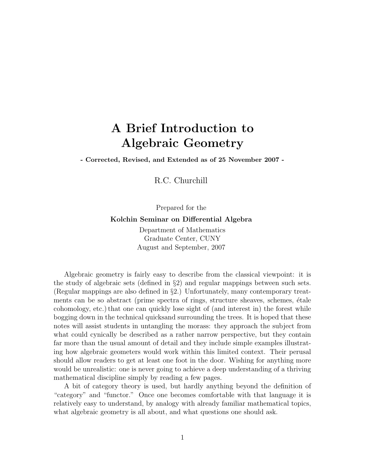# A Brief Introduction to Algebraic Geometry

- Corrected, Revised, and Extended as of 25 November 2007 -

R.C. Churchill

Prepared for the

Kolchin Seminar on Differential Algebra

Department of Mathematics Graduate Center, CUNY August and September, 2007

Algebraic geometry is fairly easy to describe from the classical viewpoint: it is the study of algebraic sets (defined in §2) and regular mappings between such sets. (Regular mappings are also defined in §2.) Unfortunately, many contemporary treatments can be so abstract (prime spectra of rings, structure sheaves, schemes, étale cohomology, etc.) that one can quickly lose sight of (and interest in) the forest while bogging down in the technical quicksand surrounding the trees. It is hoped that these notes will assist students in untangling the morass: they approach the subject from what could cynically be described as a rather narrow perspective, but they contain far more than the usual amount of detail and they include simple examples illustrating how algebraic geometers would work within this limited context. Their perusal should allow readers to get at least one foot in the door. Wishing for anything more would be unrealistic: one is never going to achieve a deep understanding of a thriving mathematical discipline simply by reading a few pages.

A bit of category theory is used, but hardly anything beyond the definition of "category" and "functor." Once one becomes comfortable with that language it is relatively easy to understand, by analogy with already familiar mathematical topics, what algebraic geometry is all about, and what questions one should ask.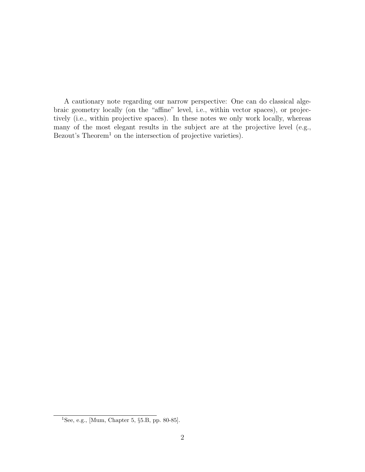A cautionary note regarding our narrow perspective: One can do classical algebraic geometry locally (on the "affine" level, i.e., within vector spaces), or projectively (i.e., within projective spaces). In these notes we only work locally, whereas many of the most elegant results in the subject are at the projective level (e.g., Bezout's  $Theorem<sup>1</sup>$  on the intersection of projective varieties).

<sup>&</sup>lt;sup>1</sup>See, e.g., [Mum, Chapter 5,  $\S 5.B$ , pp. 80-85].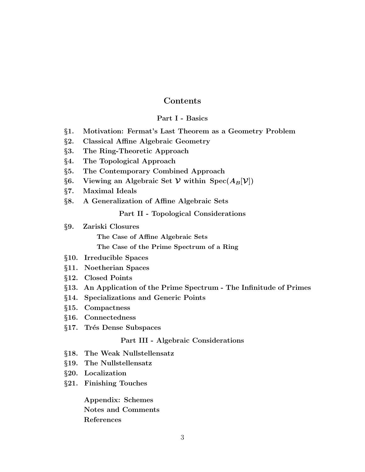### Contents

#### Part I - Basics

- §1. Motivation: Fermat's Last Theorem as a Geometry Problem
- §2. Classical Affine Algebraic Geometry
- §3. The Ring-Theoretic Approach
- §4. The Topological Approach
- §5. The Contemporary Combined Approach
- §6. Viewing an Algebraic Set  $\mathcal V$  within Spec $(A_B[\mathcal V])$
- §7. Maximal Ideals
- §8. A Generalization of Affine Algebraic Sets

Part II - Topological Considerations

- §9. Zariski Closures The Case of Affine Algebraic Sets The Case of the Prime Spectrum of a Ring
- §10. Irreducible Spaces
- §11. Noetherian Spaces
- §12. Closed Points
- §13. An Application of the Prime Spectrum The Infinitude of Primes
- §14. Specializations and Generic Points
- §15. Compactness
- §16. Connectedness
- §17. Trés Dense Subspaces

#### Part III - Algebraic Considerations

- §18. The Weak Nullstellensatz
- §19. The Nullstellensatz
- §20. Localization
- §21. Finishing Touches

Appendix: Schemes Notes and Comments References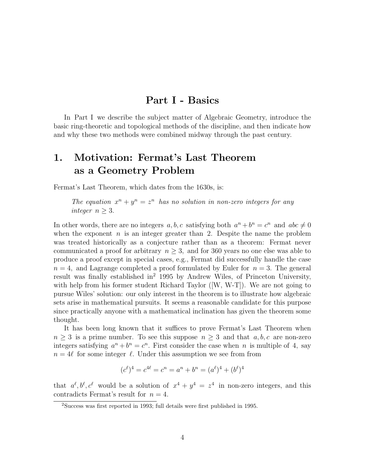### Part I - Basics

In Part I we describe the subject matter of Algebraic Geometry, introduce the basic ring-theoretic and topological methods of the discipline, and then indicate how and why these two methods were combined midway through the past century.

## 1. Motivation: Fermat's Last Theorem as a Geometry Problem

Fermat's Last Theorem, which dates from the 1630s, is:

The equation  $x^n + y^n = z^n$  has no solution in non-zero integers for any integer  $n \geq 3$ .

In other words, there are no integers  $a, b, c$  satisfying both  $a^n + b^n = c^n$  and  $abc \neq 0$ when the exponent  $n$  is an integer greater than 2. Despite the name the problem was treated historically as a conjecture rather than as a theorem: Fermat never communicated a proof for arbitrary  $n \geq 3$ , and for 360 years no one else was able to produce a proof except in special cases, e.g., Fermat did successfully handle the case  $n = 4$ , and Lagrange completed a proof formulated by Euler for  $n = 3$ . The general result was finally established in<sup>2</sup> 1995 by Andrew Wiles, of Princeton University, with help from his former student Richard Taylor ([W, W-T]). We are not going to pursue Wiles' solution: our only interest in the theorem is to illustrate how algebraic sets arise in mathematical pursuits. It seems a reasonable candidate for this purpose since practically anyone with a mathematical inclination has given the theorem some thought.

It has been long known that it suffices to prove Fermat's Last Theorem when  $n \geq 3$  is a prime number. To see this suppose  $n \geq 3$  and that  $a, b, c$  are non-zero integers satisfying  $a^n + b^n = c^n$ . First consider the case when n is multiple of 4, say  $n = 4\ell$  for some integer  $\ell$ . Under this assumption we see from from

$$
(c^{\ell})^4 = c^{4\ell} = c^n = a^n + b^n = (a^{\ell})^4 + (b^{\ell})^4
$$

that  $a^{\ell}, b^{\ell}, c^{\ell}$  would be a solution of  $x^4 + y^4 = z^4$  in non-zero integers, and this contradicts Fermat's result for  $n = 4$ .

<sup>2</sup>Success was first reported in 1993; full details were first published in 1995.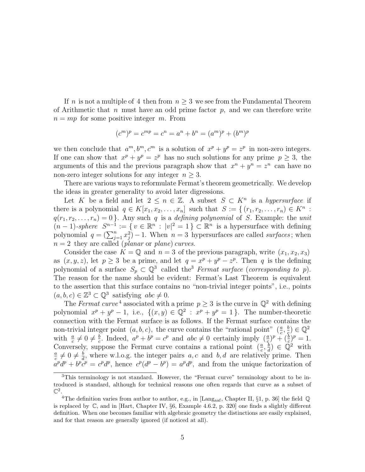If n is not a multiple of 4 then from  $n \geq 3$  we see from the Fundamental Theorem of Arithmetic that n must have an odd prime factor  $p$ , and we can therefore write  $n = mp$  for some positive integer m. From

$$
(cm)p = cmp = cn = an + bn = (am)p + (bm)p
$$

we then conclude that  $a^m, b^m, c^m$  is a solution of  $x^p + y^p = z^p$  in non-zero integers. If one can show that  $x^p + y^p = z^p$  has no such solutions for any prime  $p \geq 3$ , the arguments of this and the previous paragraph show that  $x^n + y^n = z^n$  can have no non-zero integer solutions for any integer  $n \geq 3$ .

There are various ways to reformulate Fermat's theorem geometrically. We develop the ideas in greater generality to avoid later digressions.

Let K be a field and let  $2 \leq n \in \mathbb{Z}$ . A subset  $S \subset K^n$  is a hypersurface if there is a polynomial  $q \in K[x_1, x_2, \ldots, x_n]$  such that  $S := \{(r_1, r_2, \ldots, r_n) \in K^n :$  $q(r_1, r_2, \ldots, r_n) = 0$ . Any such q is a defining polynomial of S. Example: the unit  $(n-1)$ -sphere  $S^{n-1} := \{ v \in \mathbb{R}^n : |v|^2 = 1 \} \subset \mathbb{R}^n$  is a hypersurface with defining polynomial  $q = (\sum_{j=1}^n x_j^2) - 1$ . When  $n = 3$  hypersurfaces are called *surfaces*; when  $n = 2$  they are called (*planar* or *plane*) curves.

Consider the case  $K = \mathbb{Q}$  and  $n = 3$  of the previous paragraph, write  $(x_1, x_2, x_3)$ as  $(x, y, z)$ , let  $p \ge 3$  be a prime, and let  $q = x^p + y^p - z^p$ . Then q is the defining polynomial of a surface  $S_p \subset \mathbb{Q}^3$  called the<sup>3</sup> Fermat surface (corresponding to p). The reason for the name should be evident: Fermat's Last Theorem is equivalent to the assertion that this surface contains no "non-trivial integer points", i.e., points  $(a, b, c) \in \mathbb{Z}^3 \subset \mathbb{Q}^3$  satisfying  $abc \neq 0$ .

The Fermat curve<sup>4</sup> associated with a prime  $p \geq 3$  is the curve in  $\mathbb{Q}^2$  with defining polynomial  $x^p + y^p - 1$ , i.e.,  $\{(x, y) \in \mathbb{Q}^2 : x^p + y^p = 1\}$ . The number-theoretic connection with the Fermat surface is as follows. If the Fermat surface contains the non-trivial integer point  $(a, b, c)$ , the curve contains the "rational point"  $(\frac{a}{c}, \frac{b}{c})$  $(\frac{b}{\varsigma})\in\mathbb{Q}^2$ with  $\frac{a}{c} \neq 0 \neq \frac{b}{c}$  $\frac{b}{c}$ . Indeed,  $a^p + b^p = c^p$  and  $abc \neq 0$  certainly imply  $(\frac{a}{c})^p + (\frac{b}{c})^p = 1$ . Conversely, suppose the Fermat curve contains a rational point  $(\frac{a}{c}, \frac{b}{d})$  $\frac{b}{d}$ )  $\in \tilde{\mathbb{Q}}^2$  with a  $\frac{a}{c} \neq 0 \neq \frac{b}{d}$  $\frac{b}{d}$ , where w.l.o.g. the integer pairs a, c and b, d are relatively prime. Then  $a^p d^p + b^p c^p = c^p d^p$ , hence  $c^p (d^p - b^p) = a^p d^p$ , and from the unique factorization of

<sup>&</sup>lt;sup>3</sup>This terminology is not standard. However, the "Fermat curve" terminology about to be introduced is standard, although for technical reasons one often regards that curve as a subset of  $\mathbb{C}^2$ .

<sup>&</sup>lt;sup>4</sup>The definition varies from author to author, e.g., in [Lang<sub>aaf</sub>, Chapter II, §1, p. 36] the field  $\mathbb Q$ is replaced by C, and in [Hart, Chapter IV, §6, Example 4.6.2, p. 320] one finds a slightly different definition. When one becomes familiar with algebraic geometry the distinctions are easily explained, and for that reason are generally ignored (if noticed at all).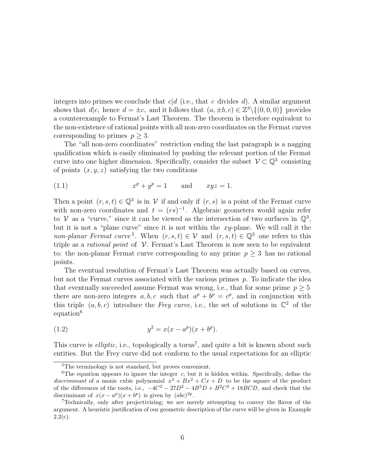integers into primes we conclude that  $c|d$  (i.e., that c divides d). A similar argument shows that  $d|c$ , hence  $d = \pm c$ , and it follows that  $(a, \pm b, c) \in \mathbb{Z}^3 \setminus \{(0, 0, 0)\}\$  provides a counterexample to Fermat's Last Theorem. The theorem is therefore equivalent to the non-existence of rational points with all non-zero coordinates on the Fermat curves corresponding to primes  $p \geq 3$ .

The "all non-zero coordinates" restriction ending the last paragraph is a nagging qualification which is easily eliminated by pushing the relevant portion of the Fermat curve into one higher dimension. Specifically, consider the subset  $\mathcal{V} \subset \mathbb{Q}^3$  consisting of points  $(x, y, z)$  satisfying the two conditions

$$
(1.1) \t\t xp + yp = 1 \t and \t xyz = 1.
$$

Then a point  $(r, s, t) \in \mathbb{Q}^3$  is in V if and only if  $(r, s)$  is a point of the Fermat curve with non-zero coordinates and  $t = (rs)^{-1}$ . Algebraic geometers would again refer to V as a "curve," since it can be viewed as the intersection of two surfaces in  $\mathbb{Q}^3$ , but it is not a "plane curve" since it is not within the  $xy$ -plane. We will call it the *non-planar Fermat curve*<sup>5</sup>. When  $(r, s, t) \in V$  and  $(r, s, t) \in \mathbb{Q}^3$  one refers to this triple as a *rational point* of  $V$ . Fermat's Last Theorem is now seen to be equivalent to: the non-planar Fermat curve corresponding to any prime  $p \geq 3$  has no rational points.

The eventual resolution of Fermat's Last Theorem was actually based on curves, but not the Fermat curves associated with the various primes  $p$ . To indicate the idea that eventually succeeded assume Fermat was wrong, i.e., that for some prime  $p \geq 5$ there are non-zero integers  $a, b, c$  such that  $a^p + b^p = c^p$ , and in conjunction with this triple  $(a, b, c)$  introduce the Frey curve, i.e., the set of solutions in  $\mathbb{C}^2$  of the equation<sup>6</sup>

(1.2) 
$$
y^2 = x(x - a^p)(x + b^p).
$$

This curve is *elliptic*, i.e., topologically a torus<sup>7</sup>, and quite a bit is known about such entities. But the Frey curve did not conform to the usual expectations for an elliptic

<sup>5</sup>The terminology is not standard, but proves convenient.

<sup>&</sup>lt;sup>6</sup>The equation appears to ignore the integer c, but it is hidden within. Specifically, define the discriminant of a monic cubic polynomial  $x^3 + Bx^2 + Cx + D$  to be the square of the product of the differences of the roots, i.e.,  $-4C^2 - 27D^2 - 4B^3D + B^2C^2 + 18BCD$ , and check that the discriminant of  $x(x - a^p)(x + b^p)$  is given by  $(abc)^{2p}$ .

<sup>7</sup>Technically, only after projectivizing; we are merely attempting to convey the flavor of the argument. A heuristic justification of our geometric description of the curve will be given in Example  $2.2(c)$ .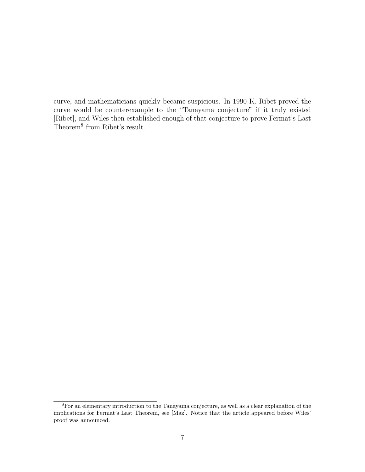curve, and mathematicians quickly became suspicious. In 1990 K. Ribet proved the curve would be counterexample to the "Tanayama conjecture" if it truly existed [Ribet], and Wiles then established enough of that conjecture to prove Fermat's Last Theorem<sup>8</sup> from Ribet's result.

<sup>8</sup>For an elementary introduction to the Tanayama conjecture, as well as a clear explanation of the implications for Fermat's Last Theorem, see [Maz]. Notice that the article appeared before Wiles' proof was announced.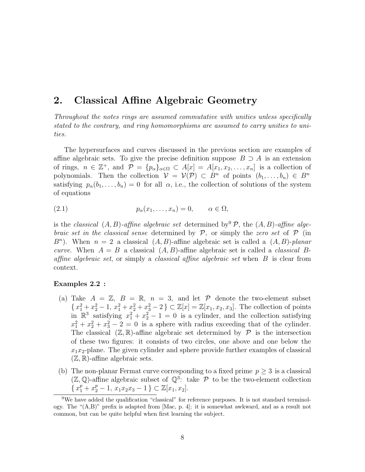### 2. Classical Affine Algebraic Geometry

Throughout the notes rings are assumed commutative with unities unless specifically stated to the contrary, and ring homomorphisms are assumed to carry unities to unities.

The hypersurfaces and curves discussed in the previous section are examples of affine algebraic sets. To give the precise definition suppose  $B \supset A$  is an extension of rings,  $n \in \mathbb{Z}^+$ , and  $\mathcal{P} = \{p_\alpha\}_{\alpha \in \Omega} \subset A[x] = A[x_1, x_2, \ldots, x_n]$  is a collection of polynomials. Then the collection  $V = V(\mathcal{P}) \subset B^n$  of points  $(b_1, \ldots, b_n) \in B^n$ satisfying  $p_{\alpha}(b_1,\ldots,b_n) = 0$  for all  $\alpha$ , i.e., the collection of solutions of the system of equations

$$
(2.1) \t\t\t p_{\alpha}(x_1,\ldots,x_n)=0, \t\t \alpha \in \Omega,
$$

is the classical  $(A, B)$ -affine algebraic set determined by  $\mathcal{P}$ , the  $(A, B)$ -affine algebraic set in the classical sense determined by  $P$ , or simply the zero set of  $P$  (in  $B<sup>n</sup>$ ). When  $n = 2$  a classical  $(A, B)$ -affine algebraic set is called a  $(A, B)$ -planar curve. When  $A = B$  a classical  $(A, B)$ -affine algebraic set is called a *classical* Baffine algebraic set, or simply a classical affine algebraic set when B is clear from context.

#### Examples 2.2 :

- (a) Take  $A = \mathbb{Z}$ ,  $B = \mathbb{R}$ ,  $n = 3$ , and let  $P$  denote the two-element subset  $\{x_1^2 + x_2^2 - 1, x_1^2 + x_2^2 + x_3^2 - 2\} \subset \mathbb{Z}[x] = \mathbb{Z}[x_1, x_2, x_3]$ . The collection of points in  $\mathbb{R}^3$  satisfying  $x_1^2 + x_2^2 - 1 = 0$  is a cylinder, and the collection satisfying  $x_1^2 + x_2^2 + x_3^2 - 2 = 0$  is a sphere with radius exceeding that of the cylinder. The classical  $(\mathbb{Z}, \mathbb{R})$ -affine algebraic set determined by  $\mathcal P$  is the intersection of these two figures: it consists of two circles, one above and one below the  $x_1x_2$ -plane. The given cylinder and sphere provide further examples of classical  $(\mathbb{Z}, \mathbb{R})$ -affine algebraic sets.
- (b) The non-planar Fermat curve corresponding to a fixed prime  $p \geq 3$  is a classical  $(\mathbb{Z}, \mathbb{Q})$ -affine algebraic subset of  $\mathbb{Q}^3$ : take  $\mathcal P$  to be the two-element collection  $\{x_1^p + x_2^p - 1, x_1x_2x_3 - 1\} \subset \mathbb{Z}[x_1, x_2].$

 $9$ We have added the qualification "classical" for reference purposes. It is not standard terminology. The "(A,B)" prefix is adapted from [Mac, p. 4]; it is somewhat awkward, and as a result not common, but can be quite helpful when first learning the subject.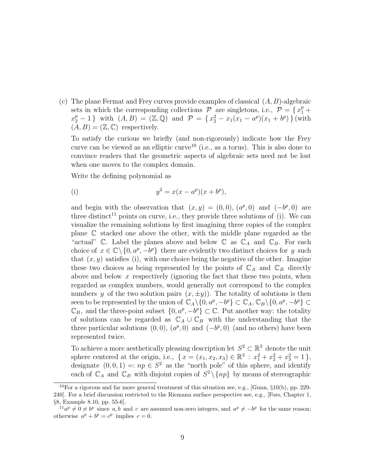(c) The plane Fermat and Frey curves provide examples of classical  $(A, B)$ -algebraic sets in which the corresponding collections  $P$  are singletons, i.e.,  $P = \{x_1^p +$  $x_2^p-1$  } with  $(A, B) = (\mathbb{Z}, \mathbb{Q})$  and  $\mathcal{P} = \{x_2^2 - x_1(x_1 - a^p)(x_1 + b^p)\}$  (with  $(A, B) = (\mathbb{Z}, \mathbb{C})$  respectively.

To satisfy the curious we briefly (and non-rigorously) indicate how the Frey curve can be viewed as an elliptic curve<sup>10</sup> (i.e., as a torus). This is also done to convince readers that the geometric aspects of algebraic sets need not be lost when one moves to the complex domain.

Write the defining polynomial as

(i) 
$$
y^2 = x(x - a^p)(x + b^p),
$$

and begin with the observation that  $(x, y) = (0, 0), (a^p, 0)$  and  $(-b^p, 0)$  are three distinct<sup>11</sup> points on curve, i.e., they provide three solutions of (i). We can visualize the remaining solutions by first imagining three copies of the complex plane C stacked one above the other, with the middle plane regarded as the "actual" C. Label the planes above and below C as  $\mathbb{C}_A$  and  $\mathbb{C}_B$ . For each choice of  $x \in \mathbb{C} \setminus \{0, a^p, -b^p\}$  there are evidently two distinct choices for y such that  $(x, y)$  satisfies (i), with one choice being the negative of the other. Imagine these two choices as being represented by the points of  $\mathbb{C}_A$  and  $\mathbb{C}_B$  directly above and below  $x$  respectively (ignoring the fact that these two points, when regarded as complex numbers, would generally not correspond to the complex numbers y of the two solution pairs  $(x, \pm y)$ . The totality of solutions is then seen to be represented by the union of  $\mathbb{C}_A \setminus \{0, a^p, -b^p\} \subset \mathbb{C}_A$ ,  $\mathbb{C}_B \setminus \{0, a^p, -b^p\} \subset$  $\mathbb{C}_B$ , and the three-point subset  $\{0, a^p, -b^p\} \subset \mathbb{C}$ . Put another way: the totality of solutions can be regarded as  $\mathbb{C}_A \cup \mathbb{C}_B$  with the understanding that the three particular solutions  $(0,0)$ ,  $(a^p,0)$  and  $(-b^p,0)$  (and no others) have been represented twice.

To achieve a more aesthetically pleasing description let  $S^2 \subset \mathbb{R}^3$  denote the unit sphere centered at the origin, i.e.,  $\{x = (x_1, x_2, x_3) \in \mathbb{R}^3 : x_1^2 + x_2^2 + x_3^2 = 1\},\$ designate  $(0,0,1) =: np \in S^2$  as the "north pole" of this sphere, and identify each of  $\mathbb{C}_A$  and  $\mathbb{C}_B$  with disjoint copies of  $S^2 \setminus \{np\}$  by means of stereographic

<sup>&</sup>lt;sup>10</sup>For a rigorous and far more general treatment of this situation see, e.g., [Gunn,  $\S10(b)$ , pp. 229-240]. For a brief discussion restricted to the Riemann surface perspective see, e.g., [Fors, Chapter 1, §8, Example 8.10, pp. 55-6].

 $1^1a^p \neq 0 \neq b^p$  since a, b and c are assumed non-zero integers, and  $a^p \neq -b^p$  for the same reason: otherwise  $a^p + b^p = c^p$  implies  $c = 0$ .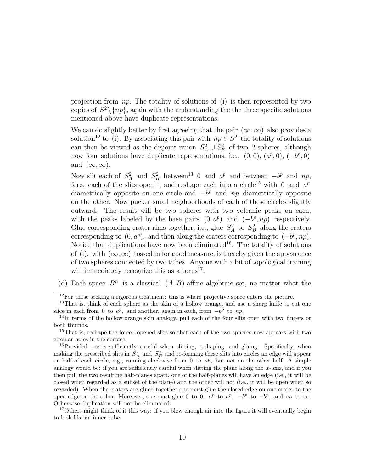projection from np. The totality of solutions of (i) is then represented by two copies of  $S^2 \setminus \{np\}$ , again with the understanding the the three specific solutions mentioned above have duplicate representations.

We can do slightly better by first agreeing that the pair  $(\infty, \infty)$  also provides a solution<sup>12</sup> to (i). By associating this pair with  $np \in S^2$  the totality of solutions can then be viewed as the disjoint union  $S_A^2 \cup S_B^2$  of two 2-spheres, although now four solutions have duplicate representations, i.e.,  $(0,0)$ ,  $(a^p,0)$ ,  $(-b^p,0)$ and  $(\infty, \infty)$ .

Now slit each of  $S_A^2$  and  $S_B^2$  between<sup>13</sup> 0 and  $a^p$  and between  $-b^p$  and  $np$ , force each of the slits open<sup>14</sup>, and reshape each into a circle<sup>15</sup> with 0 and  $a^p$ diametrically opposite on one circle and  $-b^p$  and  $np$  diametrically opposite on the other. Now pucker small neighborhoods of each of these circles slightly outward. The result will be two spheres with two volcanic peaks on each, with the peaks labeled by the base pairs  $(0, a^p)$  and  $(-b^p, np)$  respectively. Glue corresponding crater rims together, i.e., glue  $S_A^2$  to  $S_B^2$  along the craters corresponding to  $(0, a^p)$ , and then along the craters corresponding to  $(-b^p, np)$ . Notice that duplications have now been eliminated<sup>16</sup>. The totality of solutions of (i), with  $(\infty, \infty)$  tossed in for good measure, is thereby given the appearance of two spheres connected by two tubes. Anyone with a bit of topological training will immediately recognize this as a torus<sup>17</sup>.

(d) Each space  $B<sup>n</sup>$  is a classical  $(A, B)$ -affine algebraic set, no matter what the

<sup>17</sup>Others might think of it this way: if you blow enough air into the figure it will eventually begin to look like an inner tube.

<sup>&</sup>lt;sup>12</sup>For those seeking a rigorous treatment: this is where projective space enters the picture.

<sup>&</sup>lt;sup>13</sup>That is, think of each sphere as the skin of a hollow orange, and use a sharp knife to cut one slice in each from 0 to  $a^p$ , and another, again in each, from  $-b^p$  to np.

<sup>&</sup>lt;sup>14</sup>In terms of the hollow orange skin analogy, pull each of the four slits open with two fingers or both thumbs.

<sup>&</sup>lt;sup>15</sup>That is, reshape the forced-opened slits so that each of the two spheres now appears with two circular holes in the surface.

<sup>&</sup>lt;sup>16</sup>Provided one is sufficiently careful when slitting, reshaping, and gluing. Specifically, when making the prescribed slits in  $S_A^2$  and  $S_B^2$  and re-forming these slits into circles an edge will appear on half of each circle, e.g., running clockwise from 0 to  $a^p$ , but not on the other half. A simple analogy would be: if you are sufficiently careful when slitting the plane along the x-axis, and if you then pull the two resulting half-planes apart, one of the half-planes will have an edge (i.e., it will be closed when regarded as a subset of the plane) and the other will not (i.e., it will be open when so regarded). When the craters are glued together one must glue the closed edge on one crater to the open edge on the other. Moreover, one must glue 0 to 0,  $a^p$  to  $a^p$ ,  $-b^p$  to  $-b^p$ , and  $\infty$  to  $\infty$ . Otherwise duplication will not be eliminated.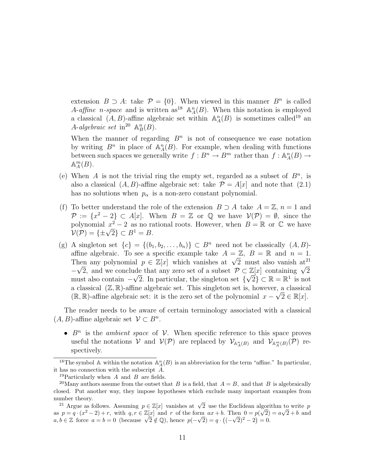extension  $B \supset A$ : take  $\mathcal{P} = \{0\}$ . When viewed in this manner  $B^n$  is called A-affine n-space and is written as<sup>18</sup>  $\mathbb{A}_{A}^{n}(B)$ . When this notation is employed a classical  $(A, B)$ -affine algebraic set within  $\mathbb{A}_{A}^{n}(B)$  is sometimes called<sup>19</sup> an A-algebraic set in<sup>20</sup>  $\mathbb{A}^n_B(B)$ .

When the manner of regarding  $B<sup>n</sup>$  is not of consequence we ease notation by writing  $B^n$  in place of  $\mathbb{A}_A^n(B)$ . For example, when dealing with functions between such spaces we generally write  $f: B^n \to B^m$  rather than  $f: \mathbb{A}_A^n(B) \to$  $\mathbb{A}_A^m(B)$ .

- (e) When A is not the trivial ring the empty set, regarded as a subset of  $B^n$ , is also a classical  $(A, B)$ -affine algebraic set: take  $\mathcal{P} = A[x]$  and note that  $(2.1)$ has no solutions when  $p_{\alpha}$  is a non-zero constant polynomial.
- (f) To better understand the role of the extension  $B \supset A$  take  $A = \mathbb{Z}$ ,  $n = 1$  and  $\mathcal{P} := \{x^2 - 2\} \subset A[x]$ . When  $B = \mathbb{Z}$  or  $\mathbb{Q}$  we have  $\mathcal{V}(\mathcal{P}) = \emptyset$ , since the polynomial  $x^2 - 2$  as no rational roots. However, when  $B = \mathbb{R}$  or  $\mathbb{C}$  we have polynomial  $x^2 - 2$  as no ra<br> $\mathcal{V}(\mathcal{P}) = \{\pm \sqrt{2}\} \subset B^1 = B.$
- (g) A singleton set  ${c} = {(b_1, b_2, \ldots, b_n)} \subset B^n$  need not be classically  $(A, B)$ affine algebraic. To see a specific example take  $A = \mathbb{Z}$ ,  $B = \mathbb{R}$  and  $n = 1$ . amne algebraic. To see a specific example take  $A = \mathbb{Z}$ ,  $B = \mathbb{R}$  and  $n = 1$ .<br>Then any polynomial  $p \in \mathbb{Z}[x]$  which vanishes at  $\sqrt{2}$  must also vanish at  $\mathbb{Z}^2$ Then any polynomial  $p \in \mathbb{Z}[x]$  which vanishes at  $\sqrt{2}$  must also vanish at  $-\sqrt{2}$ , and we conclude that any zero set of a subset  $\mathcal{P} \subset \mathbb{Z}[x]$  containing  $\sqrt{2}$ must also contain  $-\sqrt{2}$ . In particular, the singleton set  $\{\sqrt{2}\}\subset\mathbb{R}=\mathbb{R}^1$  is not a classical  $(\mathbb{Z}, \mathbb{R})$ -affine algebraic set. This singleton set is, however, a classical  $(\mathbb{R}, \mathbb{R})$ -affine algebraic set: it is the zero set of the polynomial  $x - \sqrt{2} \in \mathbb{R}[x]$ .

The reader needs to be aware of certain terminology associated with a classical  $(A, B)$ -affine algebraic set  $\mathcal{V} \subset B^n$ .

•  $B<sup>n</sup>$  is the *ambient space* of  $V$ . When specific reference to this space proves useful the notations V and  $V(\mathcal{P})$  are replaced by  $\mathcal{V}_{\mathbb{A}_{A}(B)}$  and  $\mathcal{V}_{\mathbb{A}_{A}(B)}(\mathcal{P})$  respectively.

<sup>&</sup>lt;sup>18</sup>The symbol A within the notation  $\mathbb{A}_{A}^{n}(B)$  is an abbreviation for the term "affine." In particular, it has no connection with the subscript A.

<sup>&</sup>lt;sup>19</sup>Particularly when  $A$  and  $B$  are fields.

<sup>&</sup>lt;sup>20</sup>Many authors assume from the outset that B is a field, that  $A = B$ , and that B is algebraically closed. Put another way, they impose hypotheses which exclude many important examples from number theory.

mber theory.<br><sup>21</sup> Argue as follows. Assuming  $p \in \mathbb{Z}[x]$  vanishes at  $\sqrt{2}$  use the Euclidean algorithm to write p as  $p = q \cdot (x^2 - 2) + r$ , with  $q, r \in \mathbb{Z}[x]$  and r of the form  $ax + b$ . Then  $0 = p(\sqrt{2}) = a\sqrt{2} + b$  and as  $p = q \cdot (x^2 - 2) + r$ , with  $q, r \in \mathbb{Z}[x]$  and r of the form  $ax + b$ . Then  $0 = p(\sqrt{2})$ <br>  $a, b \in \mathbb{Z}$  force  $a = b = 0$  (because  $\sqrt{2} \notin \mathbb{Q}$ ), hence  $p(-\sqrt{2}) = q \cdot ((-\sqrt{2})^2 - 2) = 0$ .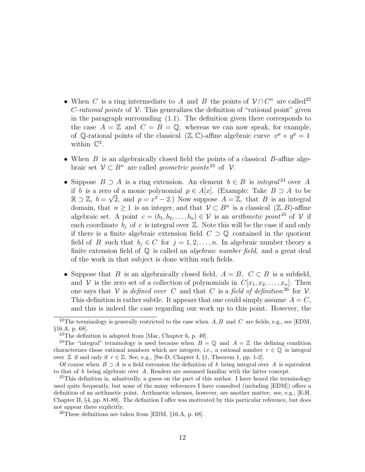- When C is a ring intermediate to A and B the points of  $V \cap C<sup>n</sup>$  are called<sup>22</sup> *C*-rational points of  $V$ . This generalizes the definition of "rational point" given in the paragraph surrounding (1.1). The definition given there corresponds to the case  $A = \mathbb{Z}$  and  $C = B = \mathbb{Q}$ , whereas we can now speak, for example, of Q-rational points of the classical  $(\mathbb{Z}, \mathbb{C})$ -affine algebraic curve  $x^p + y^p = 1$ within  $\mathbb{C}^2$ .
- When  $B$  is an algebraically closed field the points of a classical  $B$ -affine algebraic set  $\mathcal{V} \subset B^n$  are called *geometric points*<sup>23</sup> of  $\mathcal{V}$ .
- Suppose  $B \supset A$  is a ring extension. An element  $b \in B$  is *integral*<sup>24</sup> over A if b is a zero of a monic polynomial  $p \in A[x]$ . (Example: Take  $B \supset A$  to be  $\mathbb{R} \supset \mathbb{Z}$ ,  $b = \sqrt{2}$ , and  $p = x^2 - 2$ .) Now suppose  $A = \mathbb{Z}$ , that B is an integral domain, that  $n \geq 1$  is an integer, and that  $\mathcal{V} \subset B^n$  is a classical  $(\mathbb{Z}, B)$ -affine algebraic set. A point  $c = (b_1, b_2, \ldots, b_n) \in \mathcal{V}$  is an *arithmetic point* <sup>25</sup> of  $\mathcal{V}$  if each coordinate  $b_i$  of c is integral over  $\mathbb{Z}$ . Note this will be the case if and only if there is a finite algebraic extension field  $C \supset \mathbb{Q}$  contained in the quotient field of B such that  $b_i \in C$  for  $j = 1, 2, ..., n$ . In algebraic number theory a finite extension field of  $\mathbb Q$  is called an *algebraic number field*, and a great deal of the work in that subject is done within such fields.
- Suppose that B is an algebraically closed field,  $A = B$ ,  $C \subset B$  is a subfield, and V is the zero set of a collection of polynomials in  $C[x_1, x_2, \ldots, x_n]$ . Then one says that V is defined over C and that C is a field of definition  $26$  for V. This definition is rather subtle. It appears that one could simply assume  $A = C$ , and this is indeed the case regarding our work up to this point. However, the

<sup>&</sup>lt;sup>22</sup>The terminology is generally restricted to the case when  $A, B$  and  $C$  are fields, e.g., see [EDM, §16.A, p. 68].

<sup>&</sup>lt;sup>23</sup>The definition is adapted from [Mac, Chapter 6, p. 49].

<sup>&</sup>lt;sup>24</sup>The "integral" terminology is used because when  $B = \mathbb{Q}$  and  $A = \mathbb{Z}$  the defining condition characterizes those rational numbers which are integers, i.e., a rational number  $r \in \mathbb{Q}$  is integral over  $\mathbb Z$  if and only if  $r \in \mathbb Z$ . See, e.g., [Sw-D, Chapter I, §1, Theorem 1, pp. 1-2].

Of course when  $B \supseteq A$  is a field extension the definition of b being integral over A is equivalent to that of b being algebraic over A. Readers are assumed familiar with the latter concept.

 $^{25}$ This definition is, admittedly, a guess on the part of this author. I have heard the terminology used quite frequently, but none of the many references I have consulted (including [EDM]) offers a definition of an arithmetic point. Arithmetic schemes, however, are another matter: see, e.g., [E-H, Chapter II, §4, pp. 81-89]. The definition I offer was motivated by this particular reference, but does not appear there explicitly.

<sup>&</sup>lt;sup>26</sup>These definitions are taken from [EDM,  $\S16.A$ , p. 68].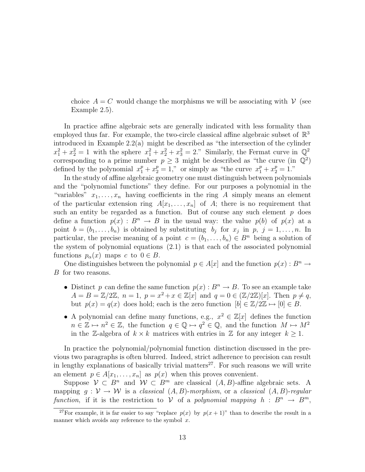choice  $A = C$  would change the morphisms we will be associating with  $V$  (see Example 2.5).

In practice affine algebraic sets are generally indicated with less formality than employed thus far. For example, the two-circle classical affine algebraic subset of  $\mathbb{R}^3$ introduced in Example 2.2(a) might be described as "the intersection of the cylinder  $x_1^2 + x_2^2 = 1$  with the sphere  $x_1^2 + x_2^2 + x_3^2 = 2$ ." Similarly, the Fermat curve in  $\mathbb{Q}^2$ corresponding to a prime number  $p \geq 3$  might be described as "the curve (in  $\mathbb{Q}^2$ ) defined by the polynomial  $x_1^p + x_2^p = 1$ ," or simply as "the curve  $x_1^p + x_2^p = 1$ ."

In the study of affine algebraic geometry one must distinguish between polynomials and the "polynomial functions" they define. For our purposes a polynomial in the "variables"  $x_1, \ldots, x_n$  having coefficients in the ring A simply means an element of the particular extension ring  $A[x_1, \ldots, x_n]$  of A; there is no requirement that such an entity be regarded as a function. But of course any such element  $p$  does define a function  $p(x) : B^n \to B$  in the usual way: the value  $p(b)$  of  $p(x)$  at a point  $b = (b_1, \ldots, b_n)$  is obtained by substituting  $b_j$  for  $x_j$  in  $p, j = 1, \ldots, n$ . In particular, the precise meaning of a point  $c = (b_1, \ldots, b_n) \in B^n$  being a solution of the system of polynomial equations (2.1) is that each of the associated polynomial functions  $p_{\alpha}(x)$  maps c to  $0 \in B$ .

One distinguishes between the polynomial  $p \in A[x]$  and the function  $p(x) : B^n \to$ B for two reasons.

- Distinct p can define the same function  $p(x): B<sup>n</sup> \to B$ . To see an example take  $A = B = \mathbb{Z}/2\mathbb{Z}, n = 1, p = x^2 + x \in \mathbb{Z}[x]$  and  $q = 0 \in (\mathbb{Z}/2\mathbb{Z})[x]$ . Then  $p \neq q$ , but  $p(x) = q(x)$  does hold; each is the zero function  $[b] \in \mathbb{Z}/2\mathbb{Z} \mapsto [0] \in B$ .
- A polynomial can define many functions, e.g.,  $x^2 \in \mathbb{Z}[x]$  defines the function  $n \in \mathbb{Z} \mapsto n^2 \in \mathbb{Z}$ , the function  $q \in \mathbb{Q} \mapsto q^2 \in \mathbb{Q}$ , and the function  $M \mapsto M^2$ in the Z-algebra of  $k \times k$  matrices with entries in Z for any integer  $k \geq 1$ .

In practice the polynomial/polynomial function distinction discussed in the previous two paragraphs is often blurred. Indeed, strict adherence to precision can result in lengthy explanations of basically trivial matters<sup>27</sup>. For such reasons we will write an element  $p \in A[x_1, \ldots, x_n]$  as  $p(x)$  when this proves convenient.

Suppose  $V \subset B^n$  and  $W \subset B^m$  are classical  $(A, B)$ -affine algebraic sets. A mapping  $q : \mathcal{V} \to \mathcal{W}$  is a classical  $(A, B)$ -morphism, or a classical  $(A, B)$ -regular function, if it is the restriction to V of a polynomial mapping  $h : B^n \to B^m$ ,

<sup>&</sup>lt;sup>27</sup>For example, it is far easier to say "replace  $p(x)$  by  $p(x + 1)$ " than to describe the result in a manner which avoids any reference to the symbol  $x$ .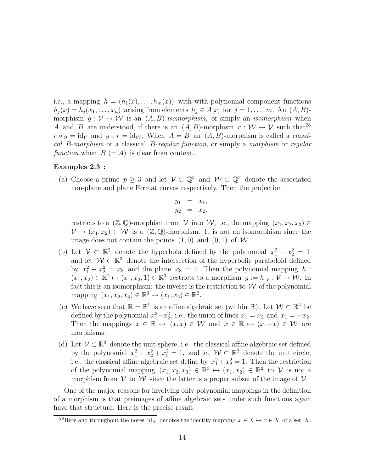i.e., a mapping  $h = (h_1(x), \ldots, h_m(x))$  with with polynomial component functions  $h_j(x) = h_j(x_1, \ldots, x_n)$  arising from elements  $h_j \in A[x]$  for  $j = 1, \ldots, m$ . An  $(A, B)$ morphism  $g: V \to W$  is an  $(A, B)$ -isomorphism, or simply an isomorphism when A and B are understood, if there is an  $(A, B)$ -morphism  $r : W \to V$  such that<sup>28</sup>  $r \circ g = id_{\mathcal{V}}$  and  $g \circ r = id_{\mathcal{W}}$ . When  $A = B$  an  $(A, B)$ -morphism is called a *classi*cal B-morphism or a classical B-regular function, or simply a morphism or regular function when  $B (= A)$  is clear from context.

#### Examples 2.3 :

(a) Choose a prime  $p \geq 3$  and let  $\mathcal{V} \subset \mathbb{Q}^3$  and  $\mathcal{W} \subset \mathbb{Q}^2$  denote the associated non-plane and plane Fermat curves respectively. Then the projection

$$
y_1 = x_1,
$$
  

$$
y_2 = x_2,
$$

restricts to a  $(\mathbb{Z}, \mathbb{Q})$ -morphism from  $\mathcal V$  into  $\mathcal W$ , i.e., the mapping  $(x_1, x_2, x_3) \in$  $\mathcal{V} \mapsto (x_1, x_2) \in \mathcal{W}$  is a  $(\mathbb{Z}, \mathbb{Q})$ -morphism. It is not an isomorphism since the image does not contain the points  $(1, 0)$  and  $(0, 1)$  of W.

- (b) Let  $\mathcal{V} \subset \mathbb{R}^2$  denote the hyperbola defined by the polynomial  $x_1^2 x_2^2 = 1$ and let  $W \subset \mathbb{R}^3$  denote the intersection of the hyperbolic paraboloid defined by  $x_1^2 - x_2^2 = x_3$  and the plane  $x_3 = 1$ . Then the polynomial mapping h:  $(x_1, x_2) \in \mathbb{R}^2 \mapsto (x_1, x_2, 1) \in \mathbb{R}^3$  restricts to a morphism  $g := h|_{\mathcal{V}} : \mathcal{V} \to \mathcal{W}$ . In fact this is an isomorphism: the inverse is the restriction to  $W$  of the polynomial mapping  $(x_1, x_2, x_3) \in \mathbb{R}^3 \mapsto (x_1, x_2) \in \mathbb{R}^2$ .
- (c) We have seen that  $\mathbb{R} = \mathbb{R}^1$  is an affine algebraic set (within  $\mathbb{R}$ ). Let  $\mathcal{W} \subset \mathbb{R}^2$  be defined by the polynomial  $x_1^2 - x_2^2$ , i.e., the union of lines  $x_1 = x_2$  and  $x_1 = -x_2$ . Then the mappings  $x \in \mathbb{R} \mapsto (x, x) \in \mathcal{W}$  and  $x \in \mathbb{R} \mapsto (x, -x) \in \mathcal{W}$  are morphisms.
- (d) Let  $\mathcal{V} \subset \mathbb{R}^3$  denote the unit sphere, i.e., the classical affine algebraic set defined by the polynomial  $x_1^2 + x_2^2 + x_3^2 = 1$ , and let  $W \subset \mathbb{R}^2$  denote the unit circle, i.e., the classical affine algebraic set define by  $x_1^2 + x_2^2 = 1$ . Then the restriction of the polynomial mapping  $(x_1, x_2, x_3) \in \mathbb{R}^3 \mapsto (x_1, x_2) \in \mathbb{R}^2$  to V is not a morphism from  $V$  to  $W$  since the latter is a proper subset of the image of  $V$ .

One of the major reasons for involving only polynomial mappings in the definition of a morphism is that preimages of affine algebraic sets under such functions again have that structure. Here is the precise result.

<sup>&</sup>lt;sup>28</sup>Here and throughout the notes id<sub>X</sub> denotes the identity mapping  $x \in X \mapsto x \in X$  of a set X.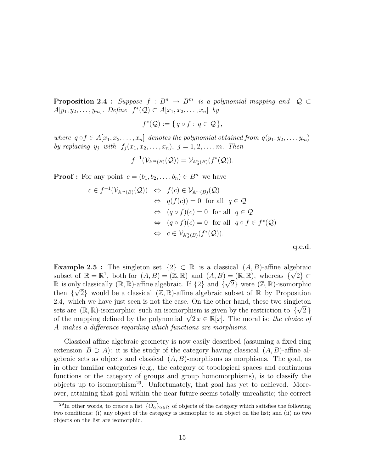**Proposition 2.4 :** Suppose  $f : B^n \to B^m$  is a polynomial mapping and  $Q \subset$  $A[y_1, y_2, \ldots, y_m]$ . Define  $f^*(\mathcal{Q}) \subset A[x_1, x_2, \ldots, x_n]$  by

$$
f^*(\mathcal{Q}) := \{ q \circ f : q \in \mathcal{Q} \},
$$

where  $q \circ f \in A[x_1, x_2, \ldots, x_n]$  denotes the polynomial obtained from  $q(y_1, y_2, \ldots, y_m)$ by replacing  $y_j$  with  $f_j(x_1, x_2, \ldots, x_n)$ ,  $j = 1, 2, \ldots, m$ . Then

$$
f^{-1}(\mathcal{V}_{\mathbb{A}^m(B)}(\mathcal{Q}))=\mathcal{V}_{\mathbb{A}^n_A(B)}(f^*(\mathcal{Q})).
$$

**Proof :** For any point  $c = (b_1, b_2, \ldots, b_n) \in B^n$  we have

$$
c \in f^{-1}(\mathcal{V}_{\mathbb{A}^m(B)}(\mathcal{Q})) \Leftrightarrow f(c) \in \mathcal{V}_{\mathbb{A}^m(B)}(\mathcal{Q})
$$
  
\n
$$
\Leftrightarrow q(f(c)) = 0 \text{ for all } q \in \mathcal{Q}
$$
  
\n
$$
\Leftrightarrow (q \circ f)(c) = 0 \text{ for all } q \in \mathcal{Q}
$$
  
\n
$$
\Leftrightarrow (q \circ f)(c) = 0 \text{ for all } q \circ f \in f^*(\mathcal{Q})
$$
  
\n
$$
\Leftrightarrow c \in \mathcal{V}_{\mathbb{A}^n_A(B)}(f^*(\mathcal{Q})).
$$

q.e.d.

Example 2.5 : The singleton set  $\{2\} \subset \mathbb{R}$  is a classical  $(A, B)$ -affine algebraic subset of  $\mathbb{R} = \mathbb{R}^1$ , both for  $(A, B) = (\mathbb{Z}, \mathbb{R})$  and  $(A, B) = (\mathbb{R}, \mathbb{R})$ , whereas  $\{\sqrt{2}\} \subset$ **R** is only classically (**R**, **R**)-affine algebraic. If  $\{2\}$  and  $\{\sqrt{2}\}$  were  $(\mathbb{Z}, \mathbb{R})$ -isomorphic then  $\{\sqrt{2}\}\$  would be a classical  $(\mathbb{Z}, \mathbb{R})$ -affine algebraic subset of  $\mathbb{R}$  by Proposition 2.4, which we have just seen is not the case. On the other hand, these two singleton sets are  $(\mathbb{R}, \mathbb{R})$ -isomorphic: such an isomorphism is given by the restriction to  $\{\sqrt{2}\}\$ sets are  $(\mathbb{R}, \mathbb{R})$ -isomorphic: such an isomorphism is given by the restriction to  $\{\sqrt{2}\}$  of the mapping defined by the polynomial  $\sqrt{2}x \in \mathbb{R}[x]$ . The moral is: *the choice of* A makes a difference regarding which functions are morphisms.

Classical affine algebraic geometry is now easily described (assuming a fixed ring extension  $B \supseteq A$ ): it is the study of the category having classical  $(A, B)$ -affine algebraic sets as objects and classical  $(A, B)$ -morphisms as morphisms. The goal, as in other familiar categories (e.g., the category of topological spaces and continuous functions or the category of groups and group homomorphisms), is to classify the objects up to isomorphism<sup>29</sup>. Unfortunately, that goal has yet to achieved. Moreover, attaining that goal within the near future seems totally unrealistic; the correct

<sup>&</sup>lt;sup>29</sup>In other words, to create a list  $\{O_\alpha\}_{\alpha \in \Omega}$  of objects of the category which satisfies the following two conditions: (i) any object of the category is isomorphic to an object on the list; and (ii) no two objects on the list are isomorphic.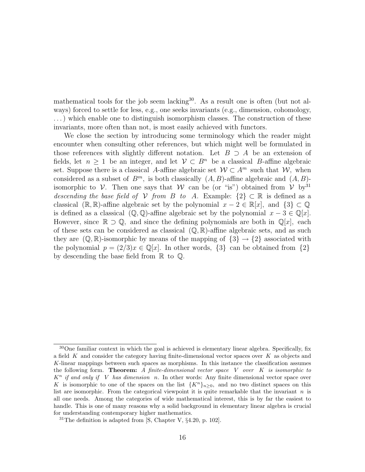mathematical tools for the job seem lacking<sup>30</sup>. As a result one is often (but not always) forced to settle for less, e.g., one seeks invariants (e.g., dimension, cohomology, . . .) which enable one to distinguish isomorphism classes. The construction of these invariants, more often than not, is most easily achieved with functors.

We close the section by introducing some terminology which the reader might encounter when consulting other references, but which might well be formulated in those references with slightly different notation. Let  $B \supset A$  be an extension of fields, let  $n \geq 1$  be an integer, and let  $V \subset B^n$  be a classical B-affine algebraic set. Suppose there is a classical A-affine algebraic set  $W \subset A^m$  such that W, when considered as a subset of  $B^m$ , is both classically  $(A, B)$ -affine algebraic and  $(A, B)$ isomorphic to V. Then one says that W can be (or "is") obtained from V by <sup>31</sup> descending the base field of V from B to A. Example:  $\{2\} \subset \mathbb{R}$  is defined as a classical ( $\mathbb{R}, \mathbb{R}$ )-affine algebraic set by the polynomial  $x - 2 \in \mathbb{R}[x]$ , and  $\{3\} \subset \mathbb{Q}$ is defined as a classical  $(\mathbb{Q}, \mathbb{Q})$ -affine algebraic set by the polynomial  $x - 3 \in \mathbb{Q}[x]$ . However, since  $\mathbb{R} \supset \mathbb{Q}$ , and since the defining polynomials are both in  $\mathbb{Q}[x]$ , each of these sets can be considered as classical  $(\mathbb{Q}, \mathbb{R})$ -affine algebraic sets, and as such they are  $(\mathbb{Q}, \mathbb{R})$ -isomorphic by means of the mapping of  $\{3\} \rightarrow \{2\}$  associated with the polynomial  $p = (2/3)x \in \mathbb{Q}[x]$ . In other words,  $\{3\}$  can be obtained from  $\{2\}$ by descending the base field from  $\mathbb R$  to  $\mathbb Q$ .

<sup>&</sup>lt;sup>30</sup>One familiar context in which the goal is achieved is elementary linear algebra. Specifically, fix a field  $K$  and consider the category having finite-dimensional vector spaces over  $K$  as objects and K-linear mappings between such spaces as morphisms. In this instance the classification assumes the following form. Theorem: A finite-dimensional vector space  $V$  over  $K$  is isomorphic to  $K<sup>n</sup>$  if and only if V has dimension n. In other words: Any finite dimensional vector space over K is isomorphic to one of the spaces on the list  $\{K^n\}_{n>0}$ , and no two distinct spaces on this list are isomorphic. From the categorical viewpoint it is quite remarkable that the invariant  $n$  is all one needs. Among the categories of wide mathematical interest, this is by far the easiest to handle. This is one of many reasons why a solid background in elementary linear algebra is crucial for understanding contemporary higher mathematics.

 $31$ The definition is adapted from [S, Chapter V,  $\S 4.20$ , p. 102].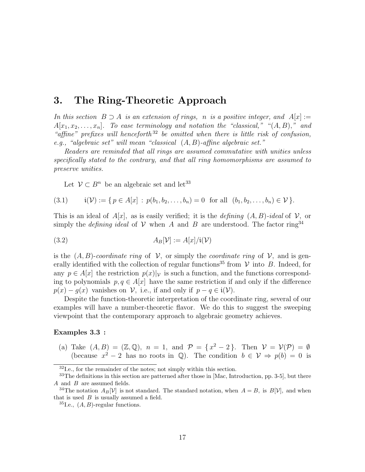### 3. The Ring-Theoretic Approach

In this section  $B \supset A$  is an extension of rings, n is a positive integer, and  $A[x] :=$  $A[x_1, x_2, \ldots, x_n]$ . To ease terminology and notation the "classical," " $(A, B)$ ," and "affine" prefixes will henceforth<sup>32</sup> be omitted when there is little risk of confusion, e.g., "algebraic set" will mean "classical (A, B)-affine algebraic set."

Readers are reminded that all rings are assumed commutative with unities unless specifically stated to the contrary, and that all ring homomorphisms are assumed to preserve unities.

Let  $\mathcal{V} \subset B^n$  be an algebraic set and let<sup>33</sup>

$$
(3.1) \qquad \mathfrak{i}(\mathcal{V}) := \{ \, p \in A[x] \, : \, p(b_1, b_2, \dots, b_n) = 0 \, \text{ for all } \, (b_1, b_2, \dots, b_n) \in \mathcal{V} \, \}.
$$

This is an ideal of  $A[x]$ , as is easily verified; it is the *defining*  $(A, B)$ -ideal of  $V$ , or simply the *defining ideal* of  $V$  when A and B are understood. The factor ring<sup>34</sup>

$$
(3.2) \t\t AB[ $\mathcal{V}$ ] := A[x]/i( $\mathcal{V}$ )
$$

is the  $(A, B)$ -coordinate ring of  $\mathcal{V}$ , or simply the coordinate ring of  $\mathcal{V}$ , and is generally identified with the collection of regular functions<sup>35</sup> from  $V$  into B. Indeed, for any  $p \in A[x]$  the restriction  $p(x)|_y$  is such a function, and the functions corresponding to polynomials  $p, q \in A[x]$  have the same restriction if and only if the difference  $p(x) - q(x)$  vanishes on V, i.e., if and only if  $p - q \in i(\mathcal{V})$ .

Despite the function-theoretic interpretation of the coordinate ring, several of our examples will have a number-theoretic flavor. We do this to suggest the sweeping viewpoint that the contemporary approach to algebraic geometry achieves.

#### Examples 3.3 :

(a) Take  $(A, B) = (\mathbb{Z}, \mathbb{Q})$ ,  $n = 1$ , and  $\mathcal{P} = \{x^2 - 2\}$ . Then  $\mathcal{V} = \mathcal{V}(\mathcal{P}) = \emptyset$ (because  $x^2 - 2$  has no roots in Q). The condition  $b \in \mathcal{V} \Rightarrow p(b) = 0$  is

<sup>32</sup>I.e., for the remainder of the notes; not simply within this section.

<sup>33</sup>The definitions in this section are patterned after those in [Mac, Introduction, pp. 3-5], but there  $A$  and  $B$  are assumed fields.

<sup>&</sup>lt;sup>34</sup>The notation  $A_B[\mathcal{V}]$  is not standard. The standard notation, when  $A = B$ , is  $B[\mathcal{V}]$ , and when that is used  $B$  is usually assumed a field.

<sup>&</sup>lt;sup>35</sup>I.e.,  $(A, B)$ -regular functions.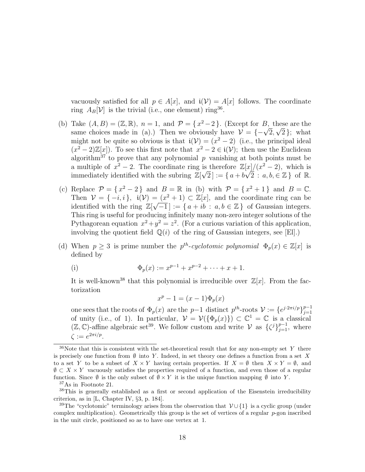vacuously satisfied for all  $p \in A[x]$ , and  $\mathfrak{i}(\mathcal{V}) = A[x]$  follows. The coordinate ring  $A_B[\mathcal{V}]$  is the trivial (i.e., one element) ring<sup>36</sup>.

- (b) Take  $(A, B) = (\mathbb{Z}, \mathbb{R}), n = 1, \text{ and } \mathcal{P} = \{x^2 2\}.$  (Except for  $B$ , these are the Take  $(A, B) = (\mathbb{Z}, \mathbb{K})$ ,  $n = 1$ , and  $P = \{x^2 - 2\}$ . (Except for B, these are the same choices made in (a).) Then we obviously have  $\mathcal{V} = \{-\sqrt{2}, \sqrt{2}\}$ ; what might not be quite so obvious is that  $i(\mathcal{V}) = (x^2 - 2)$  (i.e., the principal ideal  $(x^2-2)\mathbb{Z}[x]$ . To see this first note that  $x^2-2 \in i(\mathcal{V})$ ; then use the Euclidean algorithm<sup>37</sup> to prove that any polynomial p vanishing at both points must be a multiple of  $x^2 - 2$ . The coordinate ring is therefore  $\mathbb{Z}[x]/(x^2 - 2)$ , which is immediately identified with the subring  $\mathbb{Z}[\sqrt{2}] := \{a + b\sqrt{2} : a, b \in \mathbb{Z}\}\$  of R.
- (c) Replace  $\mathcal{P} = \{x^2 2\}$  and  $B = \mathbb{R}$  in (b) with  $\mathcal{P} = \{x^2 + 1\}$  and  $B = \mathbb{C}$ . Then  $\mathcal{V} = \{-i, i\}$ ,  $\mathfrak{i}(\mathcal{V}) = (x^2 + 1) \subset \mathbb{Z}[x]$ , and the coordinate ring can be identified with the ring  $\mathbb{Z}[\sqrt{-1}] := \{a + ib : a, b \in \mathbb{Z}\}\$  of Gaussian integers. This ring is useful for producing infinitely many non-zero integer solutions of the Pythagorean equation  $x^2 + y^2 = z^2$ . (For a curious variation of this application, involving the quotient field  $\mathbb{Q}(i)$  of the ring of Gaussian integers, see [El].)
- (d) When  $p \geq 3$  is prime number the  $p^{th}\text{-}cyclotomic polynomial \Phi_p(x) \in \mathbb{Z}[x]$  is defined by

(i) 
$$
\Phi_p(x) := x^{p-1} + x^{p-2} + \cdots + x + 1.
$$

It is well-known<sup>38</sup> that this polynomial is irreducible over  $\mathbb{Z}[x]$ . From the factorization

$$
x^p - 1 = (x - 1)\Phi_p(x)
$$

one sees that the roots of  $\Phi_p(x)$  are the p-1 distinct  $p^{th}$ -roots  $\mathcal{V} := \{e^{j \cdot 2\pi i/p}\}_{j=1}^{p-1}$  $j=1$ of unity (i.e., of 1). In particular,  $\mathcal{V} = \mathcal{V}(\{\Phi_p(x)\}) \subset \mathbb{C}^1 = \mathbb{C}$  is a classical  $(\mathbb{Z}, \mathbb{C})$ -affine algebraic set<sup>39</sup>. We follow custom and write  $\mathcal V$  as  $\{\zeta^j\}_{j=1}^{p-1}$ , where  $\zeta := e^{2\pi i/p}.$ 

<sup>37</sup>As in Footnote 21.

 $36$ Note that this is consistent with the set-theoretical result that for any non-empty set Y there is precisely one function from  $\emptyset$  into Y. Indeed, in set theory one defines a function from a set X to a set Y to be a subset of  $X \times Y$  having certain properties. If  $X = \emptyset$  then  $X \times Y = \emptyset$ , and  $\emptyset \subset X \times Y$  vacuously satisfies the properties required of a function, and even those of a regular function. Since  $\emptyset$  is the only subset of  $\emptyset \times Y$  it is the unique function mapping  $\emptyset$  into Y.

<sup>38</sup>This is generally established as a first or second application of the Eisenstein irreducibility criterion, as in [L, Chapter IV, §3, p. 184].

<sup>&</sup>lt;sup>39</sup>The "cyclotomic" terminology arises from the observation that  $\mathcal{V} \cup \{1\}$  is a cyclic group (under complex multiplication). Geometrically this group is the set of vertices of a regular  $p$ -gon inscribed in the unit circle, positioned so as to have one vertex at 1.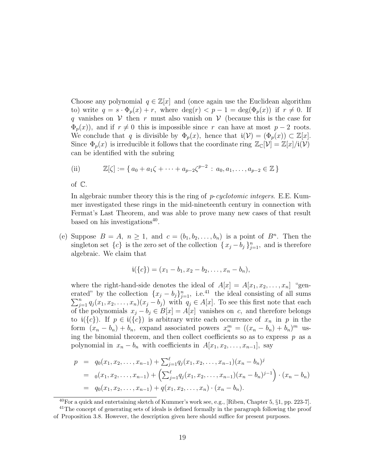Choose any polynomial  $q \in \mathbb{Z}[x]$  and (once again use the Euclidean algorithm to) write  $q = s \cdot \Phi_p(x) + r$ , where  $\deg(r) < p - 1 = \deg(\Phi_p(x))$  if  $r \neq 0$ . If q vanishes on  $V$  then r must also vanish on  $V$  (because this is the case for  $\Phi_p(x)$ , and if  $r \neq 0$  this is impossible since r can have at most  $p-2$  roots. We conclude that q is divisible by  $\Phi_p(x)$ , hence that  $i(\mathcal{V}) = (\Phi_p(x)) \subset \mathbb{Z}[x]$ . Since  $\Phi_p(x)$  is irreducible it follows that the coordinate ring  $\mathbb{Z}_{\mathbb{C}}[\mathcal{V}] = \mathbb{Z}[x]/i(\mathcal{V})$ can be identified with the subring

(ii) 
$$
\mathbb{Z}[\zeta] := \{ a_0 + a_1 \zeta + \cdots + a_{p-2} \zeta^{p-2} : a_0, a_1, \ldots, a_{p-2} \in \mathbb{Z} \}
$$

of C.

In algebraic number theory this is the ring of  $p$ -cyclotomic integers. E.E. Kummer investigated these rings in the mid-nineteenth century in connection with Fermat's Last Theorem, and was able to prove many new cases of that result based on his investigations<sup>40</sup>.

(e) Suppose  $B = A$ ,  $n \ge 1$ , and  $c = (b_1, b_2, \ldots, b_n)$  is a point of  $B^n$ . Then the singleton set  $\{c\}$  is the zero set of the collection  $\{x_j - b_j\}_{j=1}^n$ , and is therefore algebraic. We claim that

$$
\mathbf{i}(\{c\}) = (x_1 - b_1, x_2 - b_2, \dots, x_n - b_n),
$$

where the right-hand-side denotes the ideal of  $A[x] = A[x_1, x_2, \ldots, x_n]$  "generated" by the collection  $\{x_j - b_j\}_{j=1}^n$ , i.e.<sup>41</sup> the ideal consisting of all sums  $\sum_{j=1}^n q_j(x_1, x_2, \ldots, x_n)(x_j - b_j)$  with  $q_j \in A[x]$ . To see this first note that each of the polynomials  $x_j - b_j \in B[x] = A[x]$  vanishes on c, and therefore belongs to  $\mathfrak{i}(\{c\})$ . If  $p \in \mathfrak{i}(\{c\})$  is arbitrary write each occurrence of  $x_n$  in p in the form  $(x_n - b_n) + b_n$ , expand associated powers  $x_n^m = ((x_n - b_n) + b_n)^m$  using the binomial theorem, and then collect coefficients so as to express  $p$  as a polynomial in  $x_n - b_n$  with coefficients in  $A[x_1, x_2, \ldots, x_{n-1}],$  say

$$
p = q_0(x_1, x_2, \dots, x_{n-1}) + \sum_{j=1}^{\ell} q_j(x_1, x_2, \dots, x_{n-1})(x_n - b_n)^j
$$
  
\n
$$
= o(x_1, x_2, \dots, x_{n-1}) + \left(\sum_{j=1}^{\ell} q_j(x_1, x_2, \dots, x_{n-1})(x_n - b_n)^{j-1}\right) \cdot (x_n - b_n)
$$
  
\n
$$
= q_0(x_1, x_2, \dots, x_{n-1}) + q(x_1, x_2, \dots, x_n) \cdot (x_n - b_n).
$$

<sup>40</sup>For a quick and entertaining sketch of Kummer's work see, e.g., [Riben, Chapter 5, §1, pp. 223-7].

<sup>&</sup>lt;sup>41</sup>The concept of generating sets of ideals is defined formally in the paragraph following the proof

of Proposition 3.8. However, the description given here should suffice for present purposes.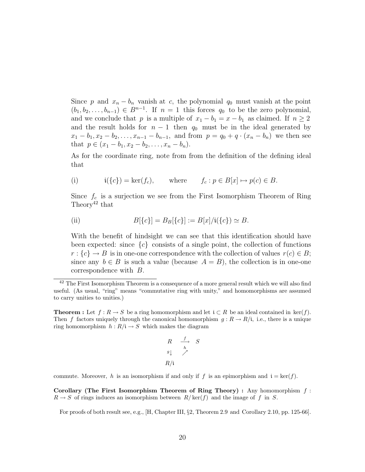Since p and  $x_n - b_n$  vanish at c, the polynomial  $q_0$  must vanish at the point  $(b_1, b_2, \ldots, b_{n-1}) \in B^{n-1}$ . If  $n = 1$  this forces  $q_0$  to be the zero polynomial, and we conclude that p is a multiple of  $x_1 - b_1 = x - b_1$  as claimed. If  $n \ge 2$ and the result holds for  $n - 1$  then  $q_0$  must be in the ideal generated by  $x_1 - b_1, x_2 - b_2, \ldots, x_{n-1} - b_{n-1}$ , and from  $p = q_0 + q \cdot (x_n - b_n)$  we then see that  $p \in (x_1 - b_1, x_2 - b_2, \ldots, x_n - b_n)$ .

As for the coordinate ring, note from from the definition of the defining ideal that

(i) 
$$
i({c}) = ker(f_c),
$$
 where  $f_c : p \in B[x] \mapsto p(c) \in B.$ 

Since  $f_c$  is a surjection we see from the First Isomorphism Theorem of Ring Theory<sup>42</sup> that

(ii) 
$$
B[\{c\}] = B_B[\{c\}] := B[x]/i(\{c\}) \simeq B.
$$

With the benefit of hindsight we can see that this identification should have been expected: since  $\{c\}$  consists of a single point, the collection of functions  $r : \{c\} \to B$  is in one-one correspondence with the collection of values  $r(c) \in B$ ; since any  $b \in B$  is such a value (because  $A = B$ ), the collection is in one-one correspondence with B.

**Theorem :** Let  $f: R \to S$  be a ring homomorphism and let  $i \subset R$  be an ideal contained in ker(f). Then f factors uniquely through the canonical homomorphism  $g: R \to R/i$ , i.e., there is a unique ring homomorphism  $h: R/\mathfrak{i} \to S$  which makes the diagram

$$
\begin{array}{ccc}\nR & \xrightarrow{f} & S \\
g \downarrow & \nearrow & \\
R/i & & & \n\end{array}
$$

commute. Moreover, h is an isomorphism if and only if f is an epimorphism and  $i = \text{ker}(f)$ .

Corollary (The First Isomorphism Theorem of Ring Theory) : Any homomorphism  $f$ :  $R \to S$  of rings induces an isomorphism between  $R/\text{ker}(f)$  and the image of f in S.

For proofs of both result see, e.g., [H, Chapter III, §2, Theorem 2.9 and Corollary 2.10, pp. 125-66].

<sup>&</sup>lt;sup>42</sup> The First Isomorphism Theorem is a consequence of a more general result which we will also find useful. (As usual, "ring" means "commutative ring with unity," and homomorphisms are assumed to carry unities to unities.)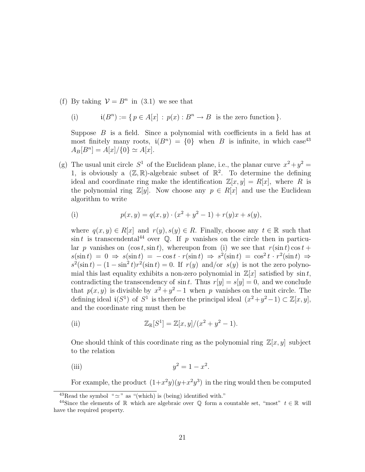(f) By taking  $V = B<sup>n</sup>$  in (3.1) we see that

(i) 
$$
\mathfrak{i}(B^n) := \{ p \in A[x] : p(x) : B^n \to B \text{ is the zero function } \}.
$$

Suppose  $B$  is a field. Since a polynomial with coefficients in a field has at most finitely many roots,  $\mathfrak{i}(B^n) = \{0\}$  when B is infinite, in which case<sup>43</sup>  $A_B[B^n] = A[x]/\{0\} \simeq A[x].$ 

(g) The usual unit circle  $S^1$  of the Euclidean plane, i.e., the planar curve  $x^2 + y^2 =$ 1, is obviously a  $(\mathbb{Z}, \mathbb{R})$ -algebraic subset of  $\mathbb{R}^2$ . To determine the defining ideal and coordinate ring make the identification  $\mathbb{Z}[x, y] = R[x]$ , where R is the polynomial ring  $\mathbb{Z}[y]$ . Now choose any  $p \in R[x]$  and use the Euclidean algorithm to write

(i) 
$$
p(x,y) = q(x,y) \cdot (x^2 + y^2 - 1) + r(y)x + s(y),
$$

where  $q(x, y) \in R[x]$  and  $r(y), s(y) \in R$ . Finally, choose any  $t \in \mathbb{R}$  such that  $\sin t$  is transcendental<sup>44</sup> over Q. If p vanishes on the circle then in particular p vanishes on  $(\cos t, \sin t)$ , whereupon from (i) we see that  $r(\sin t) \cos t +$  $s(\sin t) = 0 \Rightarrow s(\sin t) = -\cos t \cdot r(\sin t) \Rightarrow s^2(\sin t) = \cos^2 t \cdot r^2(\sin t) \Rightarrow$  $s^2(\sin t) - (1 - \sin^2 t)r^2(\sin t) = 0$ . If  $r(y)$  and/or  $s(y)$  is not the zero polynomial this last equality exhibits a non-zero polynomial in  $\mathbb{Z}[x]$  satisfied by sin t, contradicting the transcendency of  $\sin t$ . Thus  $r[y] = s[y] = 0$ , and we conclude that  $p(x, y)$  is divisible by  $x^2 + y^2 - 1$  when p vanishes on the unit circle. The defining ideal  $\mathfrak{i}(S^1)$  of  $S^1$  is therefore the principal ideal  $(x^2+y^2-1) \subset \mathbb{Z}[x,y],$ and the coordinate ring must then be

(ii) 
$$
\mathbb{Z}_{\mathbb{R}}[S^1] = \mathbb{Z}[x, y]/(x^2 + y^2 - 1).
$$

One should think of this coordinate ring as the polynomial ring  $\mathbb{Z}[x, y]$  subject to the relation

(iii) 
$$
y^2 = 1 - x^2
$$
.

For example, the product  $(1+x^2y)(y+x^2y^3)$  in the ring would then be computed

<sup>&</sup>lt;sup>43</sup>Read the symbol " $\simeq$ " as "(which) is (being) identified with."

<sup>&</sup>lt;sup>44</sup>Since the elements of R which are algebraic over Q form a countable set, "most"  $t \in \mathbb{R}$  will have the required property.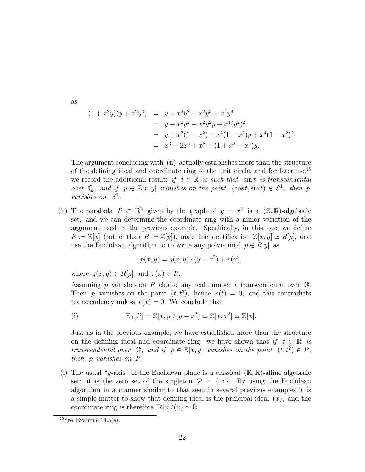as

$$
(1+x^2y)(y+x^2y^3) = y+x^2y^2+x^2y^3+x^4y^4
$$
  
= y+x^2y^2+x^2y^2y+x^4(y^2)^2  
= y+x^2(1-x^2)+x^2(1-x^2)y+x^4(1-x^2)^2  
= x^2-2x^6+x^8+(1+x^2-x^4)y.

The argument concluding with (ii) actually establishes more than the structure of the defining ideal and coordinate ring of the unit circle, and for later use<sup>45</sup> we record the additional result: if  $t \in \mathbb{R}$  is such that sint is transcendental over Q, and if  $p \in \mathbb{Z}[x, y]$  vanishes on the point  $(\cos t, \sin t) \in S^1$ , then p vanishes on  $S^1$ .

(h) The parabola  $P \subset \mathbb{R}^2$  given by the graph of  $y = x^2$  is a  $(\mathbb{Z}, \mathbb{R})$ -algebraic set, and we can determine the coordinate ring with a minor variation of the argument used in the previous example. Specifically, in this case we define  $R := \mathbb{Z}[x]$  (rather than  $R := \mathbb{Z}[y]$ ), make the identification  $\mathbb{Z}[x, y] \simeq R[y]$ , and use the Euclidean algorithm to to write any polynomial  $p \in R[y]$  as

$$
p(x, y) = q(x, y) \cdot (y - x^2) + r(x),
$$

where  $q(x, y) \in R[y]$  and  $r(x) \in R$ .

Assuming p vanishes on P choose any real number t transcendental over  $\mathbb{Q}$ . Then p vanishes on the point  $(t, t^2)$ , hence  $r(t) = 0$ , and this contradicts transcendency unless  $r(x) = 0$ . We conclude that

(i) 
$$
\mathbb{Z}_{\mathbb{R}}[P] = \mathbb{Z}[x, y]/(y - x^2) \simeq \mathbb{Z}[x, x^2] \simeq \mathbb{Z}[x].
$$

Just as in the previous example, we have established more than the structure on the defining ideal and coordinate ring: we have shown that if  $t \in \mathbb{R}$  is transcendental over  $\mathbb{Q}$ , and if  $p \in \mathbb{Z}[x, y]$  vanishes on the point  $(t, t^2) \in P$ , then p vanishes on P.

(i) The usual "y-axis" of the Euclidean plane is a classical  $(\mathbb{R}, \mathbb{R})$ -affine algebraic set: it is the zero set of the singleton  $\mathcal{P} = \{x\}$ . By using the Euclidean algorithm in a manner similar to that seen in several previous examples it is a simple matter to show that defining ideal is the principal ideal  $(x)$ , and the coordinate ring is therefore  $\mathbb{R}[x]/(x) \simeq \mathbb{R}$ .

 $45$ See Example  $14.3$ (e).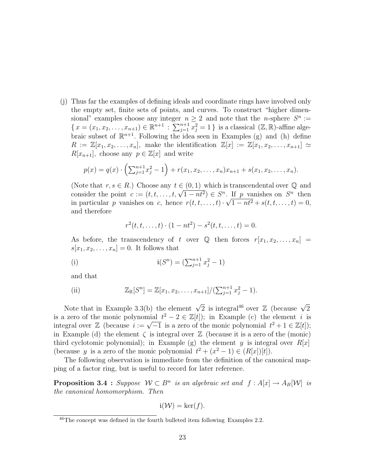(j) Thus far the examples of defining ideals and coordinate rings have involved only the empty set, finite sets of points, and curves. To construct "higher dimensional" examples choose any integer  $n \geq 2$  and note that the *n*-sphere  $S^n :=$ sional examples choose any integer *n*<br> ${x = (x_1, x_2, ..., x_{n+1}) \in \mathbb{R}^{n+1} : \sum_{i=1}^{n+1}$  $j=1}^{n+1} x_j^2 = 1$  } is a classical  $(\mathbb{Z}, \mathbb{R})$ -affine algebraic subset of  $\mathbb{R}^{n+1}$ . Following the idea seen in Examples (g) and (h) define  $R := \mathbb{Z}[x_1, x_2, \ldots, x_n],$  make the identification  $\mathbb{Z}[x] := \mathbb{Z}[x_1, x_2, \ldots, x_{n+1}] \simeq$  $R[x_{n+1}]$ , choose any  $p \in \mathbb{Z}[x]$  and write

$$
p(x) = q(x) \cdot \left( \sum_{j=1}^{n+1} x_j^2 - 1 \right) + r(x_1, x_2, \dots, x_n) x_{n+1} + s(x_1, x_2, \dots, x_n).
$$

(Note that  $r, s \in R$ .) Choose any  $t \in (0, 1)$  which is transcendental over  $\mathbb Q$  and (Note that  $r, s \in R$ .) Choose any  $t \in (0, 1)$  which is transcendental over  $\mathcal Q$  and<br>consider the point  $c := (t, t, \ldots, t, \sqrt{1 - nt^2}) \in S^n$ . If p vanishes on  $S^n$  then in particular p vanishes on c, hence  $r(t, t, \ldots, t) \cdot \sqrt{1 - nt^2} + s(t, t, \ldots, t) = 0$ , and therefore

$$
r^{2}(t, t, \ldots, t) \cdot (1 - nt^{2}) - s^{2}(t, t, \ldots, t) = 0.
$$

As before, the transcendency of t over  $\mathbb Q$  then forces  $r[x_1, x_2, \ldots, x_n] =$  $s[x_1, x_2, \ldots, x_n] = 0$ . It follows that

(i) 
$$
\mathfrak{i}(S^n) = (\sum_{j=1}^{n+1} x_j^2 - 1)
$$

and that

(ii) 
$$
\mathbb{Z}_{\mathbb{R}}[S^n] = \mathbb{Z}[x_1, x_2, \dots, x_{n+1}]/(\sum_{j=1}^{n+1} x_j^2 - 1).
$$

Note that in Example 3.3(b) the element  $\sqrt{2}$  is integral<sup>46</sup> over  $\mathbb Z$  (because  $\sqrt{2}$ is a zero of the monic polynomial  $t^2 - 2 \in \mathbb{Z}[t]$ ; in Example (c) the element i is is a zero of the monic polynomial  $t^2 - 2 \in \mathbb{Z}[t]$ ; in Example (c) the element t is<br>integral over  $\mathbb{Z}$  (because  $i := \sqrt{-1}$  is a zero of the monic polynomial  $t^2 + 1 \in \mathbb{Z}[t]$ ); in Example (d) the element  $\zeta$  is integral over  $\mathbb Z$  (because it is a zero of the (monic) third cyclotomic polynomial); in Example (g) the element y is integral over  $R[x]$ (because y is a zero of the monic polynomial  $t^2 + (x^2 - 1) \in (R[x])[t]).$ 

The following observation is immediate from the definition of the canonical mapping of a factor ring, but is useful to record for later reference.

**Proposition 3.4** : Suppose  $W \subset B^n$  is an algebraic set and  $f : A[x] \to A_B[W]$  is the canonical homomorphism. Then

$$
\mathfrak{i}(\mathcal{W}) = \ker(f).
$$

<sup>46</sup>The concept was defined in the fourth bulleted item following Examples 2.2.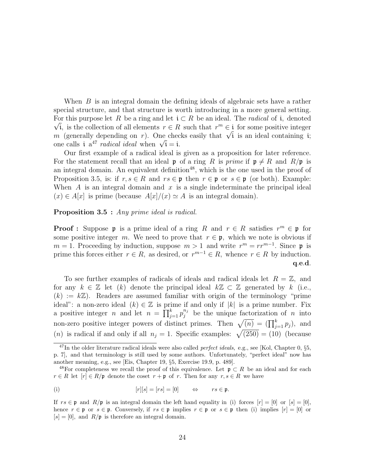When B is an integral domain the defining ideals of algebraic sets have a rather special structure, and that structure is worth introducing in a more general setting. For this purpose let R be a ring and let  $\mathfrak{i} \subset R$  be an ideal. The *radical* of  $\mathfrak{i}$ , denoted i, is the collection of all elements  $r \in R$  such that  $r^m \in \mathfrak{i}$  for some positive integer  $\forall$  i, is the collection of all elements  $r \in R$  such that  $r^m \in i$  for some positive integer  $m$  (generally depending on r). One checks easily that  $\sqrt{i}$  is an ideal containing i; m (generally depending on r). One chechoical ideal when  $\sqrt{i} = i$ .

Our first example of a radical ideal is given as a proposition for later reference. For the statement recall that an ideal p of a ring R is prime if  $p \neq R$  and  $R/p$  is an integral domain. An equivalent definition<sup>48</sup>, which is the one used in the proof of Proposition 3.5, is: if  $r, s \in R$  and  $rs \in \mathfrak{p}$  then  $r \in \mathfrak{p}$  or  $s \in \mathfrak{p}$  (or both). Example: When A is an integral domain and x is a single indeterminate the principal ideal  $(x) \in A[x]$  is prime (because  $A[x]/(x) \simeq A$  is an integral domain).

#### Proposition 3.5 : Any prime ideal is radical.

**Proof :** Suppose **p** is a prime ideal of a ring R and  $r \in R$  satisfies  $r^m \in \mathfrak{p}$  for some positive integer m. We need to prove that  $r \in \mathfrak{p}$ , which we note is obvious if  $m = 1$ . Proceeding by induction, suppose  $m > 1$  and write  $r<sup>m</sup> = rr<sup>m-1</sup>$ . Since p is prime this forces either  $r \in R$ , as desired, or  $r^{m-1} \in R$ , whence  $r \in R$  by induction. q.e.d.

To see further examples of radicals of ideals and radical ideals let  $R = \mathbb{Z}$ , and for any  $k \in \mathbb{Z}$  let  $(k)$  denote the principal ideal  $k\mathbb{Z} \subset \mathbb{Z}$  generated by k (i.e.,  $(k) := k\mathbb{Z}$ . Readers are assumed familiar with origin of the terminology "prime" ideal": a non-zero ideal  $(k) \in \mathbb{Z}$  is prime if and only if  $|k|$  is a prime number. Fix a positive integer n and let  $n = \prod_{i=1}^{k}$  $_{j=1}^{k} p_j^{n_j}$  be the unique factorization of n into a positive integer *n* and let  $n - \prod_{j=1}^{n} p_j$  be the unique ractorization of *n* into<br>non-zero positive integer powers of distinct primes. Then  $\sqrt{(n)} = (\prod_{j=1}^{k} p_j)$ , and non-zero positive integer powers of distinct primes. Then  $\sqrt{(n)} - \Pi_{j=1} p_j$ , and  $(n)$  is radical if and only if all  $n_j = 1$ . Specific examples:  $\sqrt{(250)} = (10)$  (because

(i) 
$$
[r][s] = [rs] = [0] \qquad \Leftrightarrow \qquad rs \in \mathfrak{p}.
$$

 $^{47}$ In the older literature radical ideals were also called *perfect ideals*, e.g., see [Kol, Chapter 0, §5, p. 7], and that terminology is still used by some authors. Unfortunately, "perfect ideal" now has another meaning, e.g., see [Eis, Chapter 19, §5, Exercise 19.9, p. 489].

<sup>&</sup>lt;sup>48</sup>For completeness we recall the proof of this equivalence. Let  $\mathfrak{p} \subset R$  be an ideal and for each  $r \in R$  let  $[r] \in R/\mathfrak{p}$  denote the coset  $r + \mathfrak{p}$  of r. Then for any  $r, s \in R$  we have

If  $rs \in \mathfrak{p}$  and  $R/\mathfrak{p}$  is an integral domain the left hand equality in (i) forces  $[r] = [0]$  or  $[s] = [0]$ , hence  $r \in \mathfrak{p}$  or  $s \in \mathfrak{p}$ . Conversely, if  $rs \in \mathfrak{p}$  implies  $r \in \mathfrak{p}$  or  $s \in \mathfrak{p}$  then (i) implies  $[r] = [0]$  or  $[s] = [0]$ , and  $R/\mathfrak{p}$  is therefore an integral domain.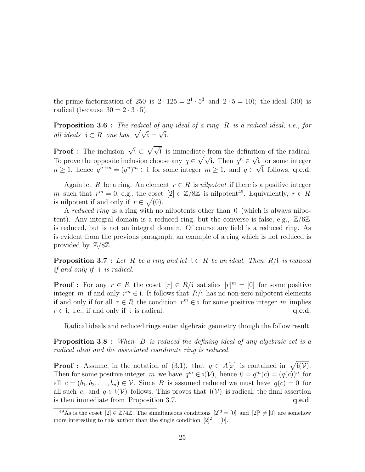the prime factorization of 250 is  $2 \cdot 125 = 2^1 \cdot 5^3$  and  $2 \cdot 5 = 10$ ; the ideal (30) is radical (because  $30 = 2 \cdot 3 \cdot 5$ ).

**Proposition 3.6** : The radical of any ideal of a ring R is a radical ideal, i.e., for **Proposition 3.6** : The radical of an<br>all ideals  $i \subset R$  one has  $\sqrt{\sqrt{i}} = \sqrt{i}$ .

**Proof :** The inclusion  $\sqrt{\textbf{i}} \subset$  $\sqrt{ }$ i is immediate from the definition of the radical. To prove the opposite inclusion choose any  $q \in \sqrt{\sqrt{i}}$ . Then  $q^n \in \sqrt{i}$  for some integer  $n \geq 1$ , hence  $q^{n+m} = (q^n)^m \in \mathfrak{i}$  for some integer  $m \geq 1$ , and  $q \in \sqrt{\mathfrak{i}}$  follows. **q.e.d.** 

Again let R be a ring. An element  $r \in R$  is *nilpotent* if there is a positive integer m such that  $r^m = 0$ , e.g., the coset  $[2] \in \mathbb{Z}/8\mathbb{Z}$  is nilpotent<sup>49</sup>. Equivalently,  $r \in R$ is nilpotent if and only if  $r \in \sqrt{(0)}$ .

A reduced ring is a ring with no nilpotents other than 0 (which is always nilpotent). Any integral domain is a reduced ring, but the converse is false, e.g.,  $\mathbb{Z}/6\mathbb{Z}$ is reduced, but is not an integral domain. Of course any field is a reduced ring. As is evident from the previous paragraph, an example of a ring which is not reduced is provided by  $\mathbb{Z}/8\mathbb{Z}$ .

**Proposition 3.7** : Let R be a ring and let  $i \subset R$  be an ideal. Then R/i is reduced if and only if i is radical.

**Proof**: For any  $r \in R$  the coset  $[r] \in R/i$  satisfies  $[r]^m = [0]$  for some positive integer m if and only  $r^m \in \mathfrak{i}$ . It follows that  $R/\mathfrak{i}$  has no non-zero nilpotent elements if and only if for all  $r \in R$  the condition  $r^m \in \mathfrak{i}$  for some positive integer m implies  $r \in \mathfrak{i}$ , i.e., if and only if  $\mathfrak{i}$  is radical. q.e.d.

Radical ideals and reduced rings enter algebraic geometry though the follow result.

**Proposition 3.8** : When  $B$  is reduced the defining ideal of any algebraic set is a radical ideal and the associated coordinate ring is reduced.

**Proof**: Assume, in the notation of (3.1), that  $q \in A[x]$  is contained in  $\sqrt{\mathfrak{i}(\mathcal{V})}$ . Then for some positive integer m we have  $q^m \in \mathfrak{i}(\mathcal{V})$ , hence  $0 = q^m(c) = (q(c))^n$  for all  $c = (b_1, b_2, \ldots, b_n) \in \mathcal{V}$ . Since B is assumed reduced we must have  $q(c) = 0$  for all such c, and  $q \in i(\mathcal{V})$  follows. This proves that  $i(\mathcal{V})$  is radical; the final assertion is then immediate from Proposition 3.7.  $q.e.d.$ 

<sup>&</sup>lt;sup>49</sup>As is the coset  $[2] \in \mathbb{Z}/4\mathbb{Z}$ . The simultaneous conditions  $[2]^3 = [0]$  and  $[2]^2 \neq [0]$  are somehow more interesting to this author than the single condition  $[2]^2 = [0]$ .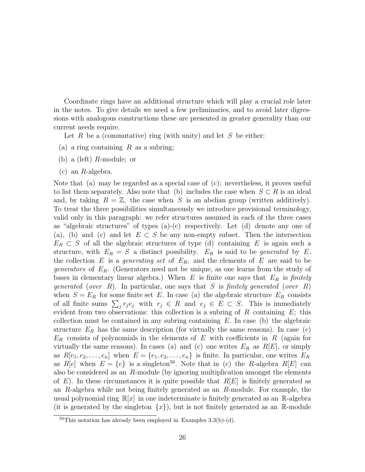Coordinate rings have an additional structure which will play a crucial role later in the notes. To give details we need a few preliminaries, and to avoid later digressions with analogous constructions these are presented in greater generality than our current needs require.

Let R be a (commutative) ring (with unity) and let S be either:

- (a) a ring containing  $R$  as a subring;
- (b) a (left)  $R$ -module; or
- (c) an R-algebra.

Note that (a) may be regarded as a special case of (c); nevertheless, it proves useful to list them separately. Also note that (b) includes the case when  $S \subset R$  is an ideal and, by taking  $R = \mathbb{Z}$ , the case when S is an abelian group (written additively). To treat the three possibilities simultaneously we introduce provisional terminology, valid only in this paragraph: we refer structures assumed in each of the three cases as "algebraic structures" of types (a)-(c) respectively. Let (d) denote any one of (a), (b) and (c) and let  $E \subset S$  be any non-empty subset. Then the intersection  $E_R \subset S$  of all the algebraic structures of type (d) containing E is again such a structure, with  $E_R = S$  a distinct possibility.  $E_R$  is said to be *generated* by  $E$ , the collection E is a *generating set* of  $E_R$ , and the elements of E are said to be *generators* of  $E_R$ . (Generators need not be unique, as one learns from the study of bases in elementary linear algebra.) When  $E$  is finite one says that  $E_R$  is finitely generated (over  $R$ ). In particular, one says that  $S$  is finitely generated (over  $R$ ) when  $S = E_R$  for some finite set E. In case (a) the algebraic structure  $E_R$  consists when  $s = E_R$  for some finite set E. In case (a) the algebraic structure  $E_R$  consists of all finite sums  $\sum_j r_j e_j$  with  $r_j \in R$  and  $e_j \in E \subset S$ . This is immediately evident from two observations: this collection is a subring of R containing  $E$ ; this collection must be contained in any subring containing  $E$ . In case (b) the algebraic structure  $E_R$  has the same description (for virtually the same reasons). In case (c)  $E_R$  consists of polynomials in the elements of E with coefficients in R (again for virtually the same reasons). In cases (a) and (c) one writes  $E_R$  as  $R[E]$ , or simply as  $R[e_1, e_2, \ldots, e_n]$  when  $E = \{e_1, e_2, \ldots, e_n\}$  is finite. In particular, one writes  $E_R$ as  $R[e]$  when  $E = \{e\}$  is a singleton<sup>50</sup>. Note that in (c) the R-algebra  $R[E]$  can also be considered as an R-module (by ignoring multiplication amongst the elements of E). In these circumstances it is quite possible that  $R[E]$  is finitely generated as an R-algebra while not being finitely generated as an R-module. For example, the usual polynomial ring  $\mathbb{R}[x]$  in one indeterminate is finitely generated as an  $\mathbb{R}$ -algebra (it is generated by the singleton  $\{x\}$ ), but is not finitely generated as an R-module

 $50$ This notation has already been employed in Examples 3.3(b)-(d).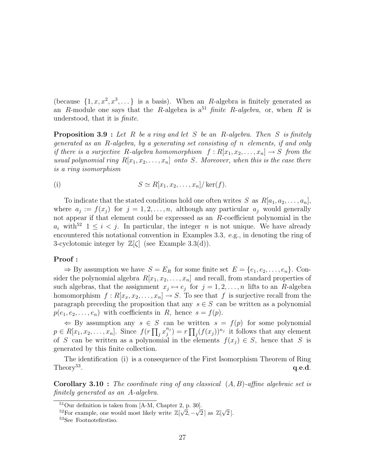(because  $\{1, x, x^2, x^3, \dots\}$  is a basis). When an R-algebra is finitely generated as an R-module one says that the R-algebra is  $a^{51}$  finite R-algebra, or, when R is understood, that it is finite.

**Proposition 3.9** : Let R be a ring and let S be an R-algebra. Then S is finitely generated as an R-algebra, by a generating set consisting of n elements, if and only if there is a surjective R-algebra homomorphism  $f: R[x_1, x_2, \ldots, x_n] \to S$  from the usual polynomial ring  $R[x_1, x_2, \ldots, x_n]$  onto S. Moreover, when this is the case there is a ring isomorphism

(i) 
$$
S \simeq R[x_1, x_2, \dots, x_n] / \ker(f).
$$

To indicate that the stated conditions hold one often writes S as  $R[a_1, a_2, \ldots, a_n]$ , where  $a_j := f(x_j)$  for  $j = 1, 2, ..., n$ , although any particular  $a_j$  would generally not appear if that element could be expressed as an R-coefficient polynomial in the  $a_i$  with<sup>52</sup>  $1 \leq i \leq j$ . In particular, the integer n is not unique. We have already encountered this notational convention in Examples 3.3, e.g., in denoting the ring of 3-cyclotomic integer by  $\mathbb{Z}[\zeta]$  (see Example 3.3(d)).

#### Proof :

 $\Rightarrow$  By assumption we have  $S = E_R$  for some finite set  $E = \{e_1, e_2, \ldots, e_n\}$ . Consider the polynomial algebra  $R[x_1, x_2, \ldots, x_n]$  and recall, from standard properties of such algebras, that the assignment  $x_j \mapsto e_j$  for  $j = 1, 2, ..., n$  lifts to an R-algebra homomorphism  $f: R[x_x, x_2, \ldots, x_n] \to S$ . To see that f is surjective recall from the paragraph preceding the proposition that any  $s \in S$  can be written as a polynomial  $p(e_1, e_2, \ldots, e_n)$  with coefficients in R, hence  $s = f(p)$ .

 $\Leftarrow$  By assumption any  $s \in S$  can be written  $s = f(p)$  for some polynomial  $p \in R[x_1, x_2, \ldots, x_n]$ . Since  $f(r \prod_j x_j^{n_j})$  $j^{n_j}$ ) =  $r \prod_j (f(x_j))^{n_j}$  it follows that any element of S can be written as a polynomial in the elements  $f(x_i) \in S$ , hence that S is generated by this finite collection.

The identification (i) is a consequence of the First Isomorphism Theorem of Ring Theory<sup>53</sup>. . The contraction of the contraction of  $\mathbf{q}.\mathbf{e}.\mathbf{d}$ .

**Corollary 3.10** : The coordinate ring of any classical  $(A, B)$ -affine algebraic set is finitely generated as an A-algebra.

<sup>&</sup>lt;sup>51</sup>Our definition is taken from [A-M, Chapter 2, p. 30].

<sup>&</sup>lt;sup>52</sup>For example, one would most likely write  $\mathbb{Z}[\sqrt{2}, -\sqrt{2}]$  as  $\mathbb{Z}[\sqrt{2}]$ √  $2$  ].

<sup>53</sup>See Footnotefirstiso.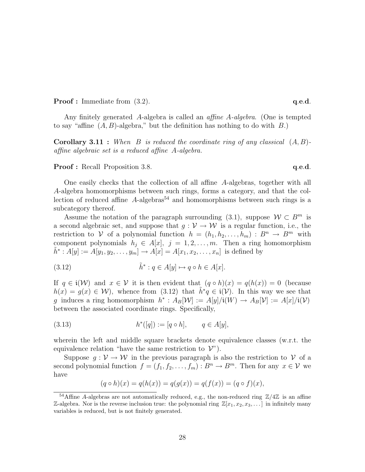**Proof :** Immediate from (3.2). **q.e.d. q.e.d.** 

Any finitely generated A-algebra is called an affine A-algebra. (One is tempted to say "affine  $(A, B)$ -algebra," but the definition has nothing to do with  $B$ .)

**Corollary 3.11 :** When B is reduced the coordinate ring of any classical  $(A, B)$ affine algebraic set is a reduced affine A-algebra.

**Proof :** Recall Proposition 3.8. **q.e.d.** 

One easily checks that the collection of all affine A-algebras, together with all A-algebra homomorphisms between such rings, forms a category, and that the collection of reduced affine  $A$ -algebras<sup>54</sup> and homomorphisms between such rings is a subcategory thereof.

Assume the notation of the paragraph surrounding (3.1), suppose  $W \subset B^m$  is a second algebraic set, and suppose that  $g: V \to W$  is a regular function, i.e., the restriction to V of a polynomial function  $h = (h_1, h_2, \ldots, h_m) : B^n \to B^m$  with component polynomials  $h_j \in A[x]$ ,  $j = 1, 2, ..., m$ . Then a ring homomorphism  $\tilde{h}^* : A[y] := A[y_1, y_2, \dots, y_m] \to A[x] = A[x_1, x_2, \dots, x_n]$  is defined by

(3.12) 
$$
\tilde{h}^* : q \in A[y] \mapsto q \circ h \in A[x].
$$

If  $q \in i(\mathcal{W})$  and  $x \in \mathcal{V}$  it is then evident that  $(q \circ h)(x) = q(h(x)) = 0$  (because  $h(x) = g(x) \in W$ , whence from (3.12) that  $\tilde{h}^* q \in \mathfrak{i}(\mathcal{V})$ . In this way we see that g induces a ring homomorphism  $h^*: A_B[\mathcal{W}] := A[y]/i(W) \rightarrow A_B[\mathcal{V}] := A[x]/i(\mathcal{V})$ between the associated coordinate rings. Specifically,

(3.13) 
$$
h^*([q]) := [q \circ h], \qquad q \in A[y],
$$

wherein the left and middle square brackets denote equivalence classes (w.r.t. the equivalence relation "have the same restriction to  $\mathcal{V}$ ").

Suppose  $g: V \to W$  in the previous paragraph is also the restriction to V of a second polynomial function  $f = (f_1, f_2, \ldots, f_m) : B^n \to B^m$ . Then for any  $x \in V$  we have

$$
(q \circ h)(x) = q(h(x)) = q(g(x)) = q(f(x)) = (q \circ f)(x),
$$

<sup>&</sup>lt;sup>54</sup>Affine A-algebras are not automatically reduced, e.g., the non-reduced ring  $\mathbb{Z}/4\mathbb{Z}$  is an affine Z-algebra. Nor is the reverse inclusion true: the polynomial ring  $\mathbb{Z}[x_1, x_2, x_3, \dots]$  in infinitely many variables is reduced, but is not finitely generated.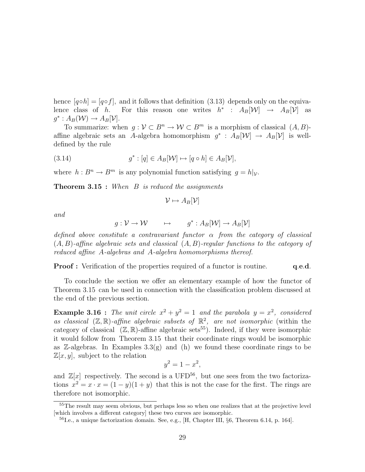hence  $[q \circ h] = [q \circ f]$ , and it follows that definition (3.13) depends only on the equivalence class of h. For this reason one writes  $h^*$  :  $A_B[\mathcal{W}] \rightarrow A_B[\mathcal{V}]$  as  $g^*: A_B(\mathcal{W}) \to A_B[\mathcal{V}].$ 

To summarize: when  $g: \mathcal{V} \subset B^n \to \mathcal{W} \subset B^m$  is a morphism of classical  $(A, B)$ affine algebraic sets an A-algebra homomorphism  $g^* : A_B[\mathcal{W}] \to A_B[\mathcal{V}]$  is welldefined by the rule

(3.14) 
$$
g^* : [q] \in A_B[\mathcal{W}] \mapsto [q \circ h] \in A_B[\mathcal{V}],
$$

where  $h : B^n \to B^m$  is any polynomial function satisfying  $g = h|_{\mathcal{V}}$ .

**Theorem 3.15 :** When  $B$  is reduced the assignments

$$
\mathcal{V} \mapsto A_B[\mathcal{V}]
$$

and

$$
g: \mathcal{V} \to \mathcal{W} \qquad \mapsto \qquad g^*: A_B[\mathcal{W}] \to A_B[\mathcal{V}]
$$

defined above constitute a contravariant functor  $\alpha$  from the category of classical  $(A, B)$ -affine algebraic sets and classical  $(A, B)$ -regular functions to the category of reduced affine A-algebras and A-algebra homomorphisms thereof.

**Proof :** Verification of the properties required of a functor is routine. q.e.d.

To conclude the section we offer an elementary example of how the functor of Theorem 3.15 can be used in connection with the classification problem discussed at the end of the previous section.

**Example 3.16**: The unit circle  $x^2 + y^2 = 1$  and the parabola  $y = x^2$ , considered as classical  $(\mathbb{Z}, \mathbb{R})$ -affine algebraic subsets of  $\mathbb{R}^2$ , are not isomorphic (within the category of classical  $(\mathbb{Z}, \mathbb{R})$ -affine algebraic sets<sup>55</sup>). Indeed, if they were isomorphic it would follow from Theorem 3.15 that their coordinate rings would be isomorphic as  $\mathbb{Z}$ -algebras. In Examples 3.3(g) and (h) we found these coordinate rings to be  $\mathbb{Z}[x, y]$ , subject to the relation

$$
y^2 = 1 - x^2,
$$

and  $\mathbb{Z}[x]$  respectively. The second is a UFD<sup>56</sup>, but one sees from the two factorizations  $x^2 = x \cdot x = (1 - y)(1 + y)$  that this is not the case for the first. The rings are therefore not isomorphic.

<sup>&</sup>lt;sup>55</sup>The result may seem obvious, but perhaps less so when one realizes that at the projective level [which involves a different category] these two curves are isomorphic.

<sup>56</sup>I.e., a unique factorization domain. See, e.g., [H, Chapter III, §6, Theorem 6.14, p. 164].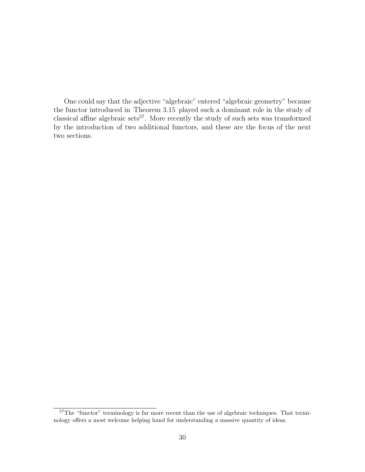One could say that the adjective "algebraic" entered "algebraic geometry" because the functor introduced in Theorem 3.15 played such a dominant role in the study of classical affine algebraic sets<sup>57</sup>. More recently the study of such sets was transformed by the introduction of two additional functors, and these are the focus of the next two sections.

<sup>&</sup>lt;sup>57</sup>The "functor" terminology is far more recent than the use of algebraic techniques. That terminology offers a most welcome helping hand for understanding a massive quantity of ideas.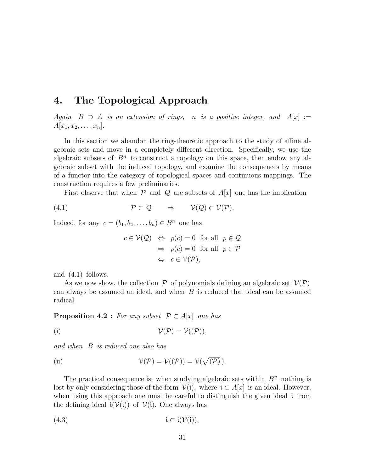### 4. The Topological Approach

Again  $B \supset A$  is an extension of rings, n is a positive integer, and  $A[x] :=$  $A[x_1, x_2, \ldots, x_n].$ 

In this section we abandon the ring-theoretic approach to the study of affine algebraic sets and move in a completely different direction. Specifically, we use the algebraic subsets of  $B<sup>n</sup>$  to construct a topology on this space, then endow any algebraic subset with the induced topology, and examine the consequences by means of a functor into the category of topological spaces and continuous mappings. The construction requires a few preliminaries.

First observe that when  $P$  and  $Q$  are subsets of  $A[x]$  one has the implication

$$
(4.1) \t\t\t\t \mathcal{P} \subset \mathcal{Q} \t\t \Rightarrow \t\t\t \mathcal{V}(\mathcal{Q}) \subset \mathcal{V}(\mathcal{P}).
$$

Indeed, for any  $c = (b_1, b_2, \ldots, b_n) \in B^n$  one has

$$
c \in \mathcal{V}(\mathcal{Q}) \Leftrightarrow p(c) = 0 \text{ for all } p \in \mathcal{Q}
$$

$$
\Rightarrow p(c) = 0 \text{ for all } p \in \mathcal{P}
$$

$$
\Leftrightarrow c \in \mathcal{V}(\mathcal{P}),
$$

and (4.1) follows.

As we now show, the collection  $P$  of polynomials defining an algebraic set  $V(P)$ can always be assumed an ideal, and when  $B$  is reduced that ideal can be assumed radical.

**Proposition 4.2** : For any subset  $P \subset A[x]$  one has

(i) 
$$
\mathcal{V}(\mathcal{P})=\mathcal{V}(\mathcal{P})),
$$

and when B is reduced one also has

(ii) 
$$
\mathcal{V}(\mathcal{P}) = \mathcal{V}((\mathcal{P})) = \mathcal{V}(\sqrt{(\mathcal{P})}).
$$

The practical consequence is: when studying algebraic sets within  $B<sup>n</sup>$  nothing is lost by only considering those of the form  $\mathcal{V}(i)$ , where  $i \subset A[x]$  is an ideal. However, when using this approach one must be careful to distinguish the given ideal *i* from the defining ideal  $i(\mathcal{V}(i))$  of  $\mathcal{V}(i)$ . One always has

(4.3) i ⊂ i(V(i)),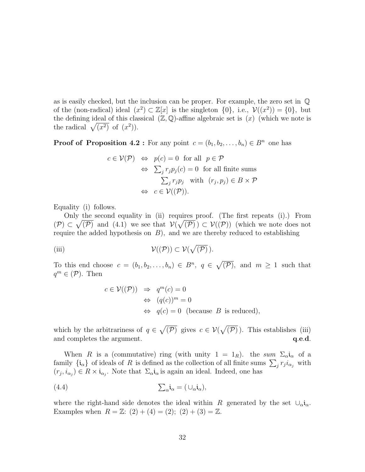as is easily checked, but the inclusion can be proper. For example, the zero set in Q of the (non-radical) ideal  $(x^2) \subset \mathbb{Z}[x]$  is the singleton  $\{0\}$ , i.e.,  $\mathcal{V}((x^2)) = \{0\}$ , but the defining ideal of this classical  $(\mathbb{Z}, \mathbb{Q})$ -affine algebraic set is  $(x)$  (which we note is the defining ideal of this cla<br>the radical  $\sqrt{(x^2)}$  of  $(x^2)$ ).

**Proof of Proposition 4.2 :** For any point  $c = (b_1, b_2, \ldots, b_n) \in B^n$  one has

$$
c \in \mathcal{V}(\mathcal{P}) \iff p(c) = 0 \text{ for all } p \in \mathcal{P}
$$
  
\n
$$
\iff \sum_{j} r_{j} p_{j}(c) = 0 \text{ for all finite sums}
$$
  
\n
$$
\sum_{j} r_{j} p_{j} \text{ with } (r_{j}, p_{j}) \in B \times \mathcal{P}
$$
  
\n
$$
\iff c \in \mathcal{V}((\mathcal{P})).
$$

Equality (i) follows.

Only the second equality in (ii) requires proof. (The first repeats (i).) From  $(\mathcal{P}) \subset \sqrt{(\mathcal{P})}$  and  $(4.1)$  we see that  $\mathcal{V}(\sqrt{(\mathcal{P})}) \subset \mathcal{V}((\mathcal{P}))$  (which we note does not require the added hypothesis on  $B$ ), and we are thereby reduced to establishing

(iii) 
$$
\mathcal{V}(\mathcal{P}) \subset \mathcal{V}(\sqrt{\mathcal{P}}).
$$

To this end choose  $c = (b_1, b_2, \ldots, b_n) \in B^n$ ,  $q \in$ p  $(\mathcal{P})$ , and  $m \geq 1$  such that  $q^m \in (\mathcal{P})$ . Then

$$
c \in \mathcal{V}((\mathcal{P})) \Rightarrow q^m(c) = 0
$$
  
\n
$$
\Leftrightarrow (q(c))^m = 0
$$
  
\n
$$
\Leftrightarrow q(c) = 0 \text{ (because } B \text{ is reduced)},
$$

which by the arbitrariness of  $q \in$ p  $(\mathcal{P})$  gives  $c \in \mathcal{V}$ p  $(\mathcal{P})$ ). This establishes (iii) and completes the argument.  $q.e.d.$ 

When R is a (commutative) ring (with unity  $1 = 1_R$ ). the sum  $\Sigma_{\alpha}$  i<sub>α</sub> of a when *R* is a (commutative) ring (with different  $I = I_R$ ), the sum  $\sum_{i} c_i a_i$  or a family  $\{i_\alpha\}$  of ideals of *R* is defined as the collection of all finite sums  $\sum_j r_j i_{\alpha_j}$  with  $(r_j, i_{\alpha_j}) \in R \times \mathfrak{i}_{\alpha_j}$ . Note that  $\Sigma_{\alpha} \mathfrak{i}_{\alpha}$  is again an ideal. Indeed, one has

(4.4) 
$$
\sum_{\alpha} \mathbf{i}_{\alpha} = (\cup_{\alpha} \mathbf{i}_{\alpha}),
$$

where the right-hand side denotes the ideal within R generated by the set  $\bigcup_{\alpha} i_{\alpha}$ . Examples when  $R = \mathbb{Z}$ :  $(2) + (4) = (2)$ ;  $(2) + (3) = \mathbb{Z}$ .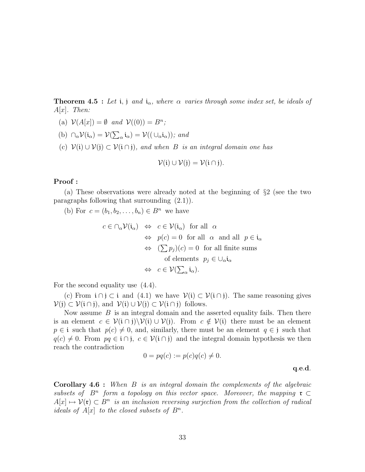**Theorem 4.5 :** Let i, j and i<sub>α</sub>, where  $\alpha$  varies through some index set, be ideals of  $A[x]$ . Then:

- (a)  $\mathcal{V}(A[x]) = \emptyset$  and  $\mathcal{V}((0)) = B^n;$
- (b)  $\cap_{\alpha} \mathcal{V}(\mathfrak{i}_{\alpha}) = \mathcal{V}(\mathfrak{j}_{\alpha})$  $\overline{ }$  $a_{\alpha}$ **i** $_{\alpha}$ ) =  $\mathcal{V}((\cup_{\alpha} i_{\alpha}))$ ; and
- (c)  $\mathcal{V}(i) \cup \mathcal{V}(j) \subset \mathcal{V}(i \cap j)$ , and when B is an integral domain one has

$$
\mathcal{V}(i) \cup \mathcal{V}(j) = \mathcal{V}(i \cap j).
$$

#### Proof :

(a) These observations were already noted at the beginning of §2 (see the two paragraphs following that surrounding (2.1)).

(b) For  $c = (b_1, b_2, \ldots, b_n) \in B^n$  we have

$$
c \in \cap_{\alpha} \mathcal{V}(\mathfrak{i}_{\alpha}) \iff c \in \mathcal{V}(\mathfrak{i}_{\alpha}) \text{ for all } \alpha
$$
  
\n
$$
\iff p(c) = 0 \text{ for all } \alpha \text{ and all } p \in \mathfrak{i}_{\alpha}
$$
  
\n
$$
\iff (\sum p_j)(c) = 0 \text{ for all finite sums}
$$
  
\nof elements  $p_j \in \bigcup_{\alpha} \mathfrak{i}_{\alpha}$   
\n
$$
\iff c \in \mathcal{V}(\sum_{\alpha} \mathfrak{i}_{\alpha}).
$$

For the second equality use (4.4).

(c) From  $i \cap j \subset i$  and (4.1) we have  $\mathcal{V}(i) \subset \mathcal{V}(i \cap j)$ . The same reasoning gives  $\mathcal{V}(i) \subset \mathcal{V}(i \cap j)$ , and  $\mathcal{V}(i) \cup \mathcal{V}(j) \subset \mathcal{V}(i \cap j)$  follows.

Now assume  $B$  is an integral domain and the asserted equality fails. Then there is an element  $c \in \mathcal{V}(\mathfrak{i} \cap \mathfrak{j})\setminus\mathcal{V}(\mathfrak{i}) \cup \mathcal{V}(\mathfrak{j})$ . From  $c \notin \mathcal{V}(\mathfrak{i})$  there must be an element  $p \in \mathfrak{i}$  such that  $p(c) \neq 0$ , and, similarly, there must be an element  $q \in \mathfrak{j}$  such that  $q(c) \neq 0$ . From  $pq \in \mathfrak{i} \cap \mathfrak{j}$ ,  $c \in \mathcal{V}(\mathfrak{i} \cap \mathfrak{j})$  and the integral domain hypothesis we then reach the contradiction

$$
0 = pq(c) := p(c)q(c) \neq 0.
$$
q.e.d.

Corollary 4.6 : When B is an integral domain the complements of the algebraic subsets of  $B<sup>n</sup>$  form a topology on this vector space. Moreover, the mapping  $\mathfrak{r} \subset$  $A[x] \mapsto \mathcal{V}(\mathfrak{r}) \subset B^n$  is an inclusion reversing surjection from the collection of radical ideals of  $A[x]$  to the closed subsets of  $B^n$ .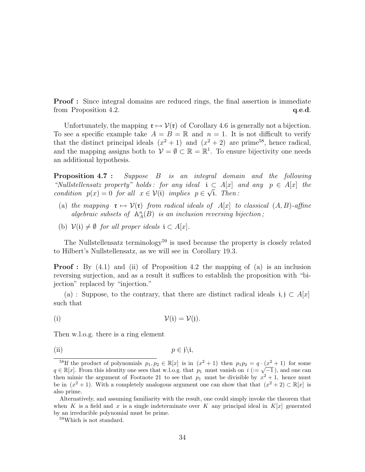**Proof**: Since integral domains are reduced rings, the final assertion is immediate from Proposition 4.2.  $q.e.d.$ 

Unfortunately, the mapping  $\mathfrak{r} \mapsto \mathcal{V}(\mathfrak{r})$  of Corollary 4.6 is generally not a bijection. To see a specific example take  $A = B = \mathbb{R}$  and  $n = 1$ . It is not difficult to verify that the distinct principal ideals  $(x^2 + 1)$  and  $(x^2 + 2)$  are prime<sup>58</sup>, hence radical, and the mapping assigns both to  $\mathcal{V} = \emptyset \subset \mathbb{R} = \mathbb{R}^1$ . To ensure bijectivity one needs an additional hypothesis.

Proposition 4.7 : Suppose B is an integral domain and the following "Nullstellensatz property" holds: for any ideal  $i \subset A[x]$  and any  $p \in A[x]$  the condition  $p(x) = 0$  for all  $x \in V(i)$  implies  $p \in \sqrt{i}$ . Then:

- (a) the mapping  $\mathfrak{r} \mapsto \mathcal{V}(\mathfrak{r})$  from radical ideals of A[x] to classical  $(A, B)$ -affine algebraic subsets of  $\mathbb{A}_{A}^{n}(B)$  is an inclusion reversing bijection;
- (b)  $\mathcal{V}(i) \neq \emptyset$  for all proper ideals  $i \subset A[x]$ .

The Nullstellensatz terminology<sup>59</sup> is used because the property is closely related to Hilbert's Nullstellensatz, as we will see in Corollary 19.3.

**Proof**: By (4.1) and (ii) of Proposition 4.2 the mapping of (a) is an inclusion reversing surjection, and as a result it suffices to establish the proposition with "bijection" replaced by "injection."

(a) : Suppose, to the contrary, that there are distinct radical ideals  $i, j \text{ }\subset A[x]$ such that

(i)  $\mathcal{V}(i) = \mathcal{V}(j)$ .

Then w.l.o.g. there is a ring element

(ii) 
$$
p \in \mathfrak{j} \setminus \mathfrak{i}
$$
,

<sup>&</sup>lt;sup>58</sup>If the product of polynomials  $p_1, p_2 \in \mathbb{R}[x]$  is in  $(x^2 + 1)$  then  $p_1p_2 = q \cdot (x^2 + 1)$  for some The product of polynomials  $p_1, p_2 \in \mathbb{R}[\mathbb{Z}]$  is in  $(\mathbb{Z}^+ + 1)$  then  $p_1p_2 = q \cdot (\mathbb{Z}^+ + 1)$  for some  $q \in \mathbb{R}[\mathbb{Z}]$ . From this identity one sees that w.l.o.g. that  $p_1$  must vanish on  $i := \sqrt{-1}$ , and one can then mimic the argument of Footnote 21 to see that  $p_1$  must be divisible by  $x^2 + 1$ , hence must be in  $(x^2 + 1)$ . With a completely analogous argument one can show that that  $(x^2 + 2) \subset \mathbb{R}[x]$  is also prime.

Alternatively, and assuming familiarity with the result, one could simply invoke the theorem that when K is a field and x is a single indeterminate over K any principal ideal in  $K[x]$  generated by an irreducible polynomial must be prime.

<sup>59</sup>Which is not standard.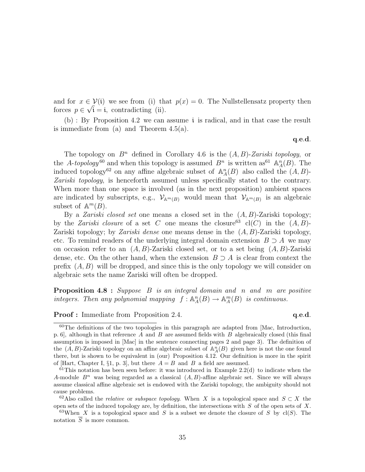and for  $x \in \mathcal{V}(\mathfrak{i})$  we see from (i) that  $p(x) = 0$ . The Nullstellensatz property then forces  $p \in \sqrt{i} = i$ , contradicting (ii).

(b) : By Proposition 4.2 we can assume i is radical, and in that case the result is immediate from (a) and Theorem  $4.5(a)$ .

q.e.d.

The topology on  $B<sup>n</sup>$  defined in Corollary 4.6 is the  $(A, B)$ -Zariski topology, or the A-topology<sup>60</sup> and when this topology is assumed  $B^n$  is written as<sup>61</sup>  $\mathbb{A}^n_A(B)$ . The induced topology<sup>62</sup> on any affine algebraic subset of  $\mathbb{A}_{A}^{n}(B)$  also called the  $(A, B)$ -Zariski topology, is henceforth assumed unless specifically stated to the contrary. When more than one space is involved (as in the next proposition) ambient spaces are indicated by subscripts, e.g.,  $\mathcal{V}_{\mathbb{A}^m(B)}$  would mean that  $\mathcal{V}_{\mathbb{A}^m(B)}$  is an algebraic subset of  $\mathbb{A}^m(B)$ .

By a *Zariski closed set* one means a closed set in the  $(A, B)$ -Zariski topology; by the *Zariski closure* of a set C one means the closure<sup>63</sup> cl(C) in the  $(A, B)$ -Zariski topology; by *Zariski dense* one means dense in the  $(A, B)$ -Zariski topology, etc. To remind readers of the underlying integral domain extension  $B \supset A$  we may on occasion refer to an  $(A, B)$ -Zariski closed set, or to a set being  $(A, B)$ -Zariski dense, etc. On the other hand, when the extension  $B \supset A$  is clear from context the prefix  $(A, B)$  will be dropped, and since this is the only topology we will consider on algebraic sets the name Zariski will often be dropped.

**Proposition 4.8** : Suppose B is an integral domain and n and m are positive integers. Then any polynomial mapping  $f: \mathbb{A}_{A}^{n}(B) \to \mathbb{A}_{A}^{m}(B)$  is continuous.

**Proof :** Immediate from Proposition 2.4. q.e.d.

<sup>60</sup>The definitions of the two topologies in this paragraph are adapted from [Mac, Introduction, p. 6, although in that reference A and B are assumed fields with B algebraically closed (this final assumption is imposed in [Mac] in the sentence connecting pages 2 and page 3). The definition of the  $(A, B)$ -Zariski topology on an affine algebraic subset of  $\mathbb{A}_A^n(B)$  given here is not the one found there, but is shown to be equivalent in (our) Proposition 4.12. Our definition is more in the spirit of [Hart, Chapter I, §1, p. 3], but there  $A = B$  and B a field are assumed.

 $61$ This notation has been seen before: it was introduced in Example 2.2(d) to indicate when the A-module  $B^n$  was being regarded as a classical  $(A, B)$ -affine algebraic set. Since we will always assume classical affine algebraic set is endowed with the Zariski topology, the ambiguity should not cause problems.

<sup>&</sup>lt;sup>62</sup>Also called the *relative* or *subspace topology*. When X is a topological space and  $S \subset X$  the open sets of the induced topology are, by definition, the intersections with  $S$  of the open sets of  $X$ .

<sup>&</sup>lt;sup>63</sup>When X is a topological space and S is a subset we denote the closure of S by cl(S). The notation  $\overline{S}$  is more common.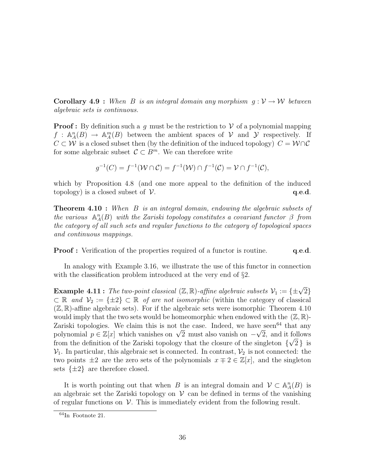**Corollary 4.9** : When B is an integral domain any morphism  $g: V \to W$  between algebraic sets is continuous.

**Proof**: By definition such a q must be the restriction to  $\mathcal V$  of a polynomial mapping  $f : \mathbb{A}_{A}^{n}(B) \to \mathbb{A}_{A}^{m}(B)$  between the ambient spaces of  $V$  and  $\mathcal{Y}$  respectively. If  $C \subset \mathcal{W}$  is a closed subset then (by the definition of the induced topology)  $C = \mathcal{W} \cap \mathcal{C}$ for some algebraic subset  $\mathcal{C} \subset B^m$ . We can therefore write

$$
g^{-1}(C) = f^{-1}(\mathcal{W} \cap C) = f^{-1}(\mathcal{W}) \cap f^{-1}(C) = \mathcal{V} \cap f^{-1}(C),
$$

which by Proposition 4.8 (and one more appeal to the definition of the induced topology) is a closed subset of  $V$ .  $q.e.d.$ 

**Theorem 4.10**: When B is an integral domain, endowing the algebraic subsets of the various  $\mathbb{A}_{A}^{n}(B)$  with the Zariski topology constitutes a covariant functor  $\beta$  from the category of all such sets and regular functions to the category of topological spaces and continuous mappings.

**Proof :** Verification of the properties required of a functor is routine. **q.e.d.** 

In analogy with Example 3.16, we illustrate the use of this functor in connection with the classification problem introduced at the very end of  $\S2$ .

**Example 4.11:** The two-point classical  $(\mathbb{Z}, \mathbb{R})$ -affine algebraic subsets  $\mathcal{V}_1 := {\pm \sqrt{2}}$  $\subset \mathbb{R}$  and  $\mathcal{V}_2 := \{\pm 2\} \subset \mathbb{R}$  of are not isomorphic (within the category of classical  $(\mathbb{Z}, \mathbb{R})$ -affine algebraic sets). For if the algebraic sets were isomorphic Theorem 4.10 would imply that the two sets would be homeomorphic when endowed with the  $(\mathbb{Z}, \mathbb{R})$ -Zariski topologies. We claim this is not the case. Indeed, we have seen<sup>64</sup> that any Lariski topologies. We claim this is not the case. Indeed, we have seen that any polynomial  $p \in \mathbb{Z}[x]$  which vanishes on  $\sqrt{2}$  must also vanish on  $-\sqrt{2}$ , and it follows from the definition of the Zariski topology that the closure of the singleton  $\{\sqrt{2}\}\;$  is  $\mathcal{V}_1$ . In particular, this algebraic set is connected. In contrast,  $\mathcal{V}_2$  is not connected: the two points  $\pm 2$  are the zero sets of the polynomials  $x \mp 2 \in \mathbb{Z}[x]$ , and the singleton sets  $\{\pm 2\}$  are therefore closed.

It is worth pointing out that when B is an integral domain and  $\mathcal{V} \subset \mathbb{A}_{A}^{n}(B)$  is an algebraic set the Zariski topology on  $V$  can be defined in terms of the vanishing of regular functions on  $\mathcal V$ . This is immediately evident from the following result.

<sup>64</sup>In Footnote 21.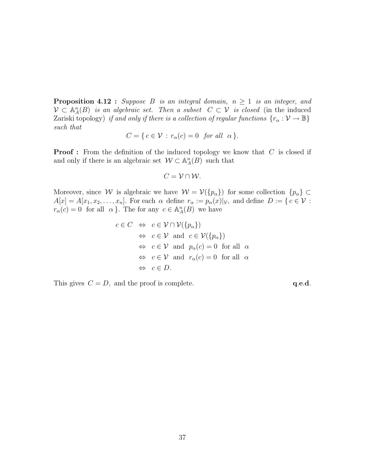**Proposition 4.12 :** Suppose B is an integral domain,  $n \geq 1$  is an integer, and  $\mathcal{V} \subset \mathbb{A}_{A}^{n}(B)$  is an algebraic set. Then a subset  $C \subset \mathcal{V}$  is closed (in the induced Zariski topology) if and only if there is a collection of regular functions  $\{r_\alpha : \mathcal{V} \to \mathbb{B}\}\$ such that

$$
C = \{ c \in \mathcal{V} : r_{\alpha}(c) = 0 \text{ for all } \alpha \}.
$$

**Proof**: From the definition of the induced topology we know that C is closed if and only if there is an algebraic set  $\mathcal{W} \subset \mathbb{A}_{A}^{n}(B)$  such that

$$
C=\mathcal{V}\cap\mathcal{W}.
$$

Moreover, since W is algebraic we have  $W = V(\{p_{\alpha}\})$  for some collection  $\{p_{\alpha}\}\subset$  $A[x] = A[x_1, x_2, \ldots, x_n]$ . For each  $\alpha$  define  $r_\alpha := p_\alpha(x)|_\mathcal{V}$ , and define  $D := \{ c \in \mathcal{V} :$  $r_{\alpha}(c) = 0$  for all  $\alpha$ . The for any  $c \in \mathbb{A}_{A}^{n}(B)$  we have

$$
c \in C \Leftrightarrow c \in \mathcal{V} \cap \mathcal{V}(\{p_{\alpha}\})
$$
  
\n
$$
\Leftrightarrow c \in \mathcal{V} \text{ and } c \in \mathcal{V}(\{p_{\alpha}\})
$$
  
\n
$$
\Leftrightarrow c \in \mathcal{V} \text{ and } p_{\alpha}(c) = 0 \text{ for all } \alpha
$$
  
\n
$$
\Leftrightarrow c \in \mathcal{V} \text{ and } r_{\alpha}(c) = 0 \text{ for all } \alpha
$$
  
\n
$$
\Leftrightarrow c \in D.
$$

This gives  $C = D$ , and the proof is complete.  $q.e.d.$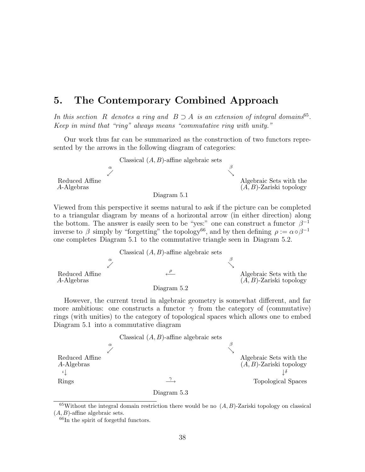# 5. The Contemporary Combined Approach

In this section R denotes a ring and  $B \supset A$  is an extension of integral domains<sup>65</sup>. Keep in mind that "ring" always means "commutative ring with unity."

Our work thus far can be summarized as the construction of two functors represented by the arrows in the following diagram of categories:



Viewed from this perspective it seems natural to ask if the picture can be completed to a triangular diagram by means of a horizontal arrow (in either direction) along the bottom. The answer is easily seen to be "yes:" one can construct a functor  $\beta^{-1}$ inverse to  $\beta$  simply by "forgetting" the topology<sup>66</sup>, and by then defining  $\rho := \alpha \circ \beta^{-1}$ one completes Diagram 5.1 to the commutative triangle seen in Diagram 5.2.



However, the current trend in algebraic geometry is somewhat different, and far more ambitious: one constructs a functor  $\gamma$  from the category of (commutative) rings (with unities) to the category of topological spaces which allows one to embed Diagram 5.1 into a commutative diagram



 $65$ Without the integral domain restriction there would be no  $(A, B)$ -Zariski topology on classical  $(A, B)$ -affine algebraic sets.

 $66$ In the spirit of forgetful functors.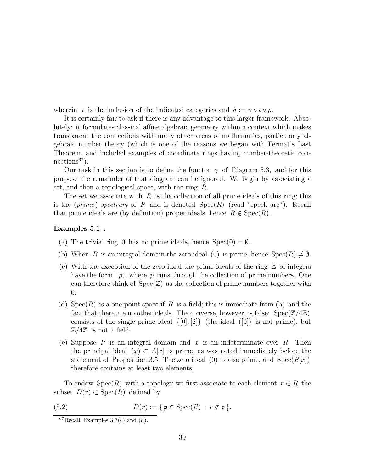wherein  $\iota$  is the inclusion of the indicated categories and  $\delta := \gamma \circ \iota \circ \rho$ .

It is certainly fair to ask if there is any advantage to this larger framework. Absolutely: it formulates classical affine algebraic geometry within a context which makes transparent the connections with many other areas of mathematics, particularly algebraic number theory (which is one of the reasons we began with Fermat's Last Theorem, and included examples of coordinate rings having number-theoretic connections<sup>67</sup>).

Our task in this section is to define the functor  $\gamma$  of Diagram 5.3, and for this purpose the remainder of that diagram can be ignored. We begin by associating a set, and then a topological space, with the ring R.

The set we associate with  $R$  is the collection of all prime ideals of this ring; this is the (prime) spectrum of R and is denoted  $Spec(R)$  (read "speck are"). Recall that prime ideals are (by definition) proper ideals, hence  $R \notin \text{Spec}(R)$ .

### Examples 5.1 :

- (a) The trivial ring 0 has no prime ideals, hence  $Spec(0) = \emptyset$ .
- (b) When R is an integral domain the zero ideal (0) is prime, hence  $Spec(R) \neq \emptyset$ .
- (c) With the exception of the zero ideal the prime ideals of the ring  $\mathbb Z$  of integers have the form  $(p)$ , where p runs through the collection of prime numbers. One can therefore think of  $Spec(\mathbb{Z})$  as the collection of prime numbers together with 0.
- (d)  $Spec(R)$  is a one-point space if R is a field; this is immediate from (b) and the fact that there are no other ideals. The converse, however, is false:  $Spec(\mathbb{Z}/4\mathbb{Z})$ consists of the single prime ideal  $\{0, 2\}$  (the ideal  $([0])$  is not prime), but  $\mathbb{Z}/4\mathbb{Z}$  is not a field.
- (e) Suppose R is an integral domain and x is an indeterminate over R. Then the principal ideal  $(x) \subset A[x]$  is prime, as was noted immediately before the statement of Proposition 3.5. The zero ideal (0) is also prime, and  $Spec(R[x])$ therefore contains at least two elements.

To endow  $Spec(R)$  with a topology we first associate to each element  $r \in R$  the subset  $D(r) \subset \text{Spec}(R)$  defined by

(5.2) 
$$
D(r) := \{ \mathfrak{p} \in \operatorname{Spec}(R) : r \notin \mathfrak{p} \}.
$$

 ${}^{67}$ Recall Examples 3.3(c) and (d).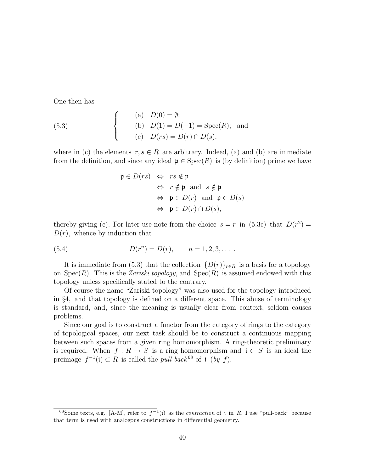One then has

(5.3)   
\n(a) 
$$
D(0) = \emptyset
$$
;  
\n(b)  $D(1) = D(-1) = \text{Spec}(R)$ ; and  
\n(c)  $D(rs) = D(r) \cap D(s)$ ,

where in (c) the elements  $r, s \in R$  are arbitrary. Indeed, (a) and (b) are immediate from the definition, and since any ideal  $\mathfrak{p} \in \text{Spec}(R)$  is (by definition) prime we have

$$
\mathfrak{p} \in D(rs) \Leftrightarrow rs \notin \mathfrak{p}
$$
  
\n
$$
\Leftrightarrow r \notin \mathfrak{p} \text{ and } s \notin \mathfrak{p}
$$
  
\n
$$
\Leftrightarrow \mathfrak{p} \in D(r) \text{ and } \mathfrak{p} \in D(s)
$$
  
\n
$$
\Leftrightarrow \mathfrak{p} \in D(r) \cap D(s),
$$

thereby giving (c). For later use note from the choice  $s = r$  in (5.3c) that  $D(r^2) =$  $D(r)$ , whence by induction that

(5.4) 
$$
D(r^n) = D(r), \qquad n = 1, 2, 3, \dots
$$

It is immediate from (5.3) that the collection  $\{D(r)\}_{r\in R}$  is a basis for a topology on  $Spec(R)$ . This is the *Zariski topology*, and  $Spec(R)$  is assumed endowed with this topology unless specifically stated to the contrary.

Of course the name "Zariski topology" was also used for the topology introduced in §4, and that topology is defined on a different space. This abuse of terminology is standard, and, since the meaning is usually clear from context, seldom causes problems.

Since our goal is to construct a functor from the category of rings to the category of topological spaces, our next task should be to construct a continuous mapping between such spaces from a given ring homomorphism. A ring-theoretic preliminary is required. When  $f: R \to S$  is a ring homomorphism and  $i \subset S$  is an ideal the preimage  $f^{-1}(\mathfrak{i}) \subset R$  is called the *pull-back*<sup>68</sup> of  $\mathfrak{i}$  (*by f*).

<sup>&</sup>lt;sup>68</sup>Some texts, e.g., [A-M], refer to  $f^{-1}(i)$  as the *contraction* of i in R. I use "pull-back" because that term is used with analogous constructions in differential geometry.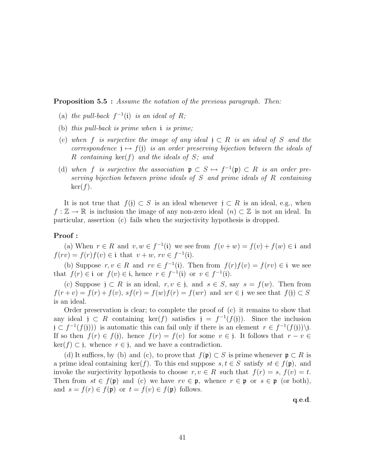**Proposition 5.5** : Assume the notation of the previous paragraph. Then:

- (a) the pull-back  $f^{-1}(i)$  is an ideal of R;
- (b) this pull-back is prime when i is prime;
- (c) when f is surjective the image of any ideal  $j \subset R$  is an ideal of S and the correspondence  $j \mapsto f(j)$  is an order preserving bijection between the ideals of R containing  $\ker(f)$  and the ideals of S; and
- (d) when f is surjective the association  $\mathfrak{p} \subset S \mapsto f^{-1}(\mathfrak{p}) \subset R$  is an order preserving bijection between prime ideals of  $S$  and prime ideals of  $R$  containing  $\ker(f)$ .

It is not true that  $f(j) \subset S$  is an ideal whenever  $j \subset R$  is an ideal, e.g., when  $f : \mathbb{Z} \to \mathbb{R}$  is inclusion the image of any non-zero ideal  $(n) \subset \mathbb{Z}$  is not an ideal. In particular, assertion (c) fails when the surjectivity hypothesis is dropped.

## Proof :

(a) When  $r \in R$  and  $v, w \in f^{-1}(i)$  we see from  $f(v + w) = f(v) + f(w) \in i$  and  $f(rv) = f(r) f(v) \in \mathfrak{i}$  that  $v + w$ ,  $rv \in f^{-1}(\mathfrak{i}).$ 

(b) Suppose  $r, v \in R$  and  $rv \in f^{-1}(i)$ . Then from  $f(r)f(v) = f(rv) \in i$  we see that  $f(r) \in \mathfrak{i}$  or  $f(v) \in \mathfrak{i}$ , hence  $r \in f^{-1}(\mathfrak{i})$  or  $v \in f^{-1}(\mathfrak{i})$ .

(c) Suppose  $j \subset R$  is an ideal,  $r, v \in j$ , and  $s \in S$ , say  $s = f(w)$ . Then from  $f(r+v) = f(r) + f(v)$ ,  $sf(r) = f(w)f(r) = f(wr)$  and  $wr \in j$  we see that  $f(j) \subset S$ is an ideal.

Order preservation is clear; to complete the proof of (c) it remains to show that any ideal  $j \subset R$  containing  $\ker(f)$  satisfies  $j = f^{-1}(f(j))$ . Since the inclusion  $j \subset f^{-1}(f(j))$  is automatic this can fail only if there is an element  $r \in f^{-1}(f(j))$ ). If so then  $f(r) \in f(j)$ , hence  $f(r) = f(v)$  for some  $v \in j$ . It follows that  $r - v \in j$  $\ker(f) \subset \mathfrak{j}$ , whence  $r \in \mathfrak{j}$ , and we have a contradiction.

(d) It suffices, by (b) and (c), to prove that  $f(\mathfrak{p}) \subset S$  is prime whenever  $\mathfrak{p} \subset R$  is a prime ideal containing ker(f). To this end suppose  $s, t \in S$  satisfy  $st \in f(\mathfrak{p})$ , and invoke the surjectivity hypothesis to choose  $r, v \in R$  such that  $f(r) = s, f(v) = t$ . Then from  $st \in f(\mathfrak{p})$  and (c) we have  $rv \in \mathfrak{p}$ , whence  $r \in \mathfrak{p}$  or  $s \in \mathfrak{p}$  (or both), and  $s = f(r) \in f(\mathfrak{p})$  or  $t = f(v) \in f(\mathfrak{p})$  follows.

q.e.d.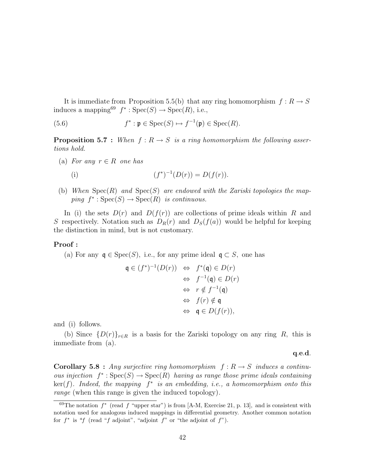It is immediate from Proposition 5.5(b) that any ring homomorphism  $f: R \to S$ induces a mapping<sup>69</sup>  $f^*$ : Spec $(S) \to \text{Spec}(R)$ , i.e.,

(5.6) 
$$
f^* : \mathfrak{p} \in \text{Spec}(S) \mapsto f^{-1}(\mathfrak{p}) \in \text{Spec}(R).
$$

**Proposition 5.7** : When  $f: R \to S$  is a ring homomorphism the following assertions hold.

- (a) For any  $r \in R$  one has (i)  $(f$ \*)<sup>-1</sup>( $D(r)$ ) =  $D(f(r))$ .
- (b) When  $Spec(R)$  and  $Spec(S)$  are endowed with the Zariski topologies the mapping  $f^*$ :  $Spec(S) \rightarrow Spec(R)$  is continuous.

In (i) the sets  $D(r)$  and  $D(f(r))$  are collections of prime ideals within R and S respectively. Notation such as  $D_R(r)$  and  $D_S(f(a))$  would be helpful for keeping the distinction in mind, but is not customary.

### Proof :

(a) For any  $\mathfrak{q} \in \text{Spec}(S)$ , i.e., for any prime ideal  $\mathfrak{q} \subset S$ , one has

$$
\begin{array}{rcl}\n\mathfrak{q} \in (f^*)^{-1}(D(r)) & \Leftrightarrow & f^*(\mathfrak{q}) \in D(r) \\
& \Leftrightarrow & f^{-1}(\mathfrak{q}) \in D(r) \\
& \Leftrightarrow & r \notin f^{-1}(\mathfrak{q}) \\
& \Leftrightarrow & f(r) \notin \mathfrak{q} \\
& \Leftrightarrow & \mathfrak{q} \in D(f(r)),\n\end{array}
$$

and (i) follows.

(b) Since  $\{D(r)\}_{r\in R}$  is a basis for the Zariski topology on any ring R, this is immediate from (a).

q.e.d.

**Corollary 5.8** : Any surjective ring homomorphism  $f: R \rightarrow S$  induces a continuous injection  $f^* : \text{Spec}(S) \to \text{Spec}(R)$  having as range those prime ideals containing  $\ker(f)$ . Indeed, the mapping  $f^*$  is an embedding, i.e., a homeomorphism onto this range (when this range is given the induced topology).

<sup>&</sup>lt;sup>69</sup>The notation  $f^*$  (read f "upper star") is from [A-M, Exercise 21, p. 13], and is consistent with notation used for analogous induced mappings in differential geometry. Another common notation for  $f^*$  is "f (read "f adjoint", "adjoint f" or "the adjoint of  $f$ ").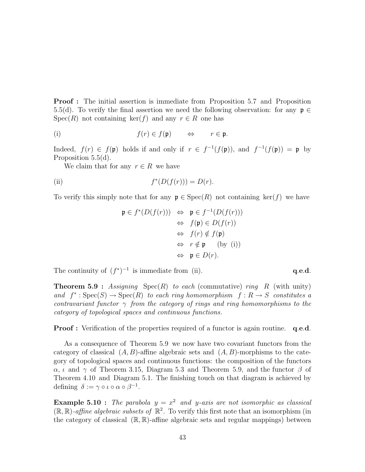**Proof**: The initial assertion is immediate from Proposition 5.7 and Proposition 5.5(d). To verify the final assertion we need the following observation: for any  $\mathfrak{p} \in$  $Spec(R)$  not containing ker(f) and any  $r \in R$  one has

(i) 
$$
f(r) \in f(\mathfrak{p}) \qquad \Leftrightarrow \qquad r \in \mathfrak{p}.
$$

Indeed,  $f(r) \in f(\mathfrak{p})$  holds if and only if  $r \in f^{-1}(f(\mathfrak{p}))$ , and  $f^{-1}(f(\mathfrak{p})) = \mathfrak{p}$  by Proposition 5.5(d).

We claim that for any  $r \in R$  we have

(ii) 
$$
f^*(D(f(r))) = D(r).
$$

To verify this simply note that for any  $\mathfrak{p} \in \text{Spec}(R)$  not containing ker(f) we have

$$
\mathfrak{p} \in f^*(D(f(r))) \Leftrightarrow \mathfrak{p} \in f^{-1}(D(f(r)))
$$
  
\n
$$
\Leftrightarrow f(\mathfrak{p}) \in D(f(r))
$$
  
\n
$$
\Leftrightarrow f(r) \notin f(\mathfrak{p})
$$
  
\n
$$
\Leftrightarrow r \notin \mathfrak{p} \qquad \text{(by (i))}
$$
  
\n
$$
\Leftrightarrow \mathfrak{p} \in D(r).
$$

The continuity of  $(f^*)^{-1}$  is immediate from (ii).  $q.e.d.$ 

**Theorem 5.9 :** Assigning Spec $(R)$  to each (commutative) ring R (with unity) and  $f^*$ :  $Spec(S) \rightarrow Spec(R)$  to each ring homomorphism  $f: R \rightarrow S$  constitutes a contravariant functor  $\gamma$  from the category of rings and ring homomorphisms to the category of topological spaces and continuous functions.

**Proof :** Verification of the properties required of a functor is again routine. q.e.d.

As a consequence of Theorem 5.9 we now have two covariant functors from the category of classical  $(A, B)$ -affine algebraic sets and  $(A, B)$ -morphisms to the category of topological spaces and continuous functions: the composition of the functors  $\alpha$ ,  $\iota$  and  $\gamma$  of Theorem 3.15, Diagram 5.3 and Theorem 5.9, and the functor  $\beta$  of Theorem 4.10 and Diagram 5.1. The finishing touch on that diagram is achieved by defining  $\delta := \gamma \circ \iota \circ \alpha \circ \beta^{-1}$ .

**Example 5.10**: The parabola  $y = x^2$  and y-axis are not isomorphic as classical  $(\mathbb{R}, \mathbb{R})$ -affine algebraic subsets of  $\mathbb{R}^2$ . To verify this first note that an isomorphism (in the category of classical  $(\mathbb{R}, \mathbb{R})$ -affine algebraic sets and regular mappings) between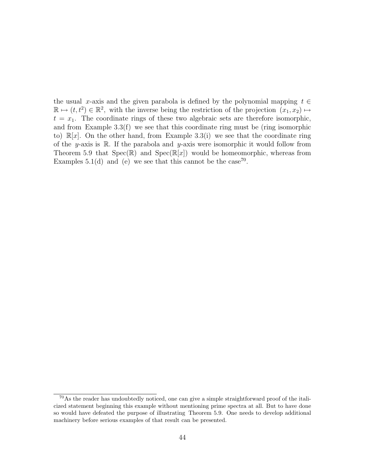the usual x-axis and the given parabola is defined by the polynomial mapping  $t \in$  $\mathbb{R} \mapsto (t, t^2) \in \mathbb{R}^2$ , with the inverse being the restriction of the projection  $(x_1, x_2) \mapsto$  $t = x_1$ . The coordinate rings of these two algebraic sets are therefore isomorphic, and from Example 3.3(f) we see that this coordinate ring must be (ring isomorphic to)  $\mathbb{R}[x]$ . On the other hand, from Example 3.3(i) we see that the coordinate ring of the y-axis is  $\mathbb R$ . If the parabola and y-axis were isomorphic it would follow from Theorem 5.9 that  $Spec(\mathbb{R})$  and  $Spec(\mathbb{R}[x])$  would be homeomorphic, whereas from Examples 5.1(d) and (e) we see that this cannot be the case<sup>70</sup>.

<sup>&</sup>lt;sup>70</sup>As the reader has undoubtedly noticed, one can give a simple straightforward proof of the italicized statement beginning this example without mentioning prime spectra at all. But to have done so would have defeated the purpose of illustrating Theorem 5.9. One needs to develop additional machinery before serious examples of that result can be presented.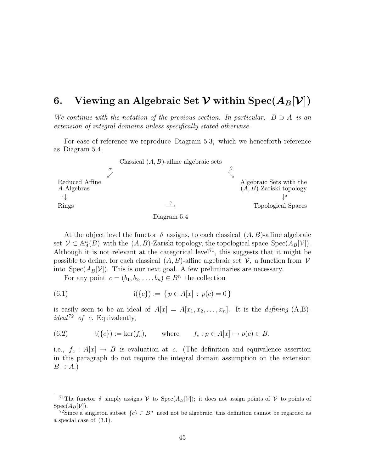# 6. Viewing an Algebraic Set  $\mathcal V$  within  $\text{Spec}(A_B[\mathcal V])$

We continue with the notation of the previous section. In particular,  $B \supset A$  is an extension of integral domains unless specifically stated otherwise.

For ease of reference we reproduce Diagram 5.3, which we henceforth reference as Diagram 5.4.



Diagram 5.4

At the object level the functor  $\delta$  assigns, to each classical  $(A, B)$ -affine algebraic set  $\mathcal{V} \subset \mathbb{A}_{A}^{n}(B)$  with the  $(A, B)$ -Zariski topology, the topological space  $\text{Spec}(A_{B}[\mathcal{V}])$ . Although it is not relevant at the categorical level<sup>71</sup>, this suggests that it might be possible to define, for each classical  $(A, B)$ -affine algebraic set  $\mathcal V$ , a function from  $\mathcal V$ into  $Spec(A_B[\mathcal{V}])$ . This is our next goal. A few preliminaries are necessary.

For any point  $c = (b_1, b_2, \ldots, b_n) \in B^n$  the collection

(6.1) 
$$
\mathfrak{i}(\{c\}) := \{ p \in A[x] : p(c) = 0 \}
$$

is easily seen to be an ideal of  $A[x] = A[x_1, x_2, \ldots, x_n]$ . It is the *defining* (A,B)*ideal*<sup>72</sup> of c. Equivalently,

(6.2) 
$$
i({c}) := \ker(f_c), \quad \text{where} \quad f_c : p \in A[x] \mapsto p(c) \in B,
$$

i.e.,  $f_c: A[x] \rightarrow B$  is evaluation at c. (The definition and equivalence assertion in this paragraph do not require the integral domain assumption on the extension  $B \supset A$ .)

<sup>&</sup>lt;sup>71</sup>The functor  $\delta$  simply assigns  $V$  to Spec(A<sub>B</sub>[V]); it does not assign points of V to points of  $Spec(A_B[\mathcal{V}]).$ 

<sup>&</sup>lt;sup>72</sup>Since a singleton subset  ${c \in B^n}$  need not be algebraic, this definition cannot be regarded as a special case of (3.1).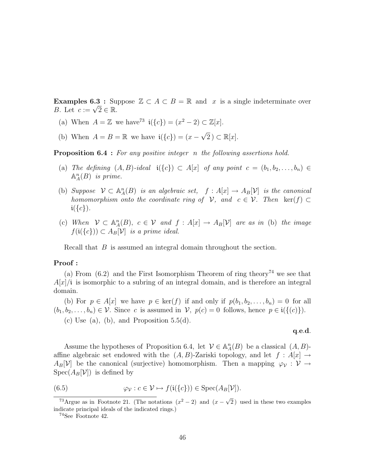**Examples 6.3** : Suppose  $\mathbb{Z} \subset A \subset B = \mathbb{R}$  and x is a single indeterminate over **Examples 6.3 :** Su<br>B. Let  $c := \sqrt{2} \in \mathbb{R}$ .

- (a) When  $A = \mathbb{Z}$  we have<sup>73</sup>  $\mathfrak{i}(\lbrace c \rbrace) = (x^2 2) \subset \mathbb{Z}[x]$ .
- (b) When  $A = B = \mathbb{R}$  we have  $\mathfrak{i}(\{c\}) = (x -$ √  $(2) \subset \mathbb{R}[x].$

**Proposition 6.4** : For any positive integer n the following assertions hold.

- (a) The defining  $(A, B)$ -ideal  $i({c}) \subset A[x]$  of any point  $c = (b_1, b_2, \ldots, b_n) \in$  $\mathbb{A}_{A}^{n}(B)$  is prime.
- (b) Suppose  $\mathcal{V} \subset \mathbb{A}_{A}^{n}(B)$  is an algebraic set,  $f : A[x] \to A_{B}[\mathcal{V}]$  is the canonical homomorphism onto the coordinate ring of  $\mathcal{V}$ , and  $c \in \mathcal{V}$ . Then ker(f) ⊂  $i({c}).$
- (c) When  $V \subset \mathbb{A}_{A}^{n}(B)$ ,  $c \in V$  and  $f : A[x] \to A_{B}[V]$  are as in (b) the image  $f(i({c}) \cap A_B[\mathcal{V}]$  is a prime ideal.

Recall that B is assumed an integral domain throughout the section.

#### Proof :

(a) From  $(6.2)$  and the First Isomorphism Theorem of ring theory<sup>74</sup> we see that  $A[x]/i$  is isomorphic to a subring of an integral domain, and is therefore an integral domain.

(b) For  $p \in A[x]$  we have  $p \in \text{ker}(f)$  if and only if  $p(b_1, b_2, \ldots, b_n) = 0$  for all  $(b_1, b_2, \ldots, b_n) \in \mathcal{V}$ . Since c is assumed in  $\mathcal{V}$ ,  $p(c) = 0$  follows, hence  $p \in i({c})$ . (c) Use (a), (b), and Proposition  $5.5(d)$ .

q.e.d.

Assume the hypotheses of Proposition 6.4, let  $\mathcal{V} \in \mathbb{A}_{A}^{n}(B)$  be a classical  $(A, B)$ affine algebraic set endowed with the  $(A, B)$ -Zariski topology, and let  $f : A[x] \rightarrow$  $A_B[\mathcal{V}]$  be the canonical (surjective) homomorphism. Then a mapping  $\varphi_{\mathcal{V}}: \mathcal{V} \to$  $Spec(A_B[\mathcal{V}])$  is defined by

(6.5) 
$$
\varphi_{\mathcal{V}} : c \in \mathcal{V} \mapsto f(\mathfrak{i}(\{c\})) \in \text{Spec}(A_B[\mathcal{V}]).
$$

<sup>&</sup>lt;sup>73</sup>Argue as in Footnote 21. (The notations  $(x^2 - 2)$  and  $(x - \sqrt{2})$ 2 ) used in these two examples indicate principal ideals of the indicated rings.)

<sup>74</sup>See Footnote 42.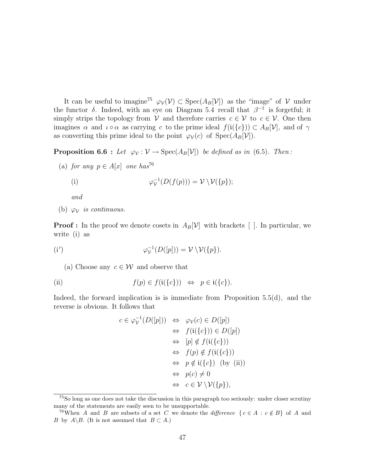It can be useful to imagine<sup>75</sup>  $\varphi_{\mathcal{V}}(\mathcal{V}) \subset \text{Spec}(A_B[\mathcal{V}])$  as the "image" of  $\mathcal{V}$  under the functor  $\delta$ . Indeed, with an eye on Diagram 5.4 recall that  $\beta^{-1}$  is forgetful; it simply strips the topology from V and therefore carries  $c \in V$  to  $c \in V$ . One then imagines  $\alpha$  and  $\iota \circ \alpha$  as carrying c to the prime ideal  $f(i({c}) \subset A_B[\mathcal{V}]$ , and of  $\gamma$ as converting this prime ideal to the point  $\varphi_{\mathcal{V}}(c)$  of  $\text{Spec}(A_B[\mathcal{V}])$ .

**Proposition 6.6 :** Let  $\varphi_{\mathcal{V}} : \mathcal{V} \to \text{Spec}(A_B[\mathcal{V}])$  be defined as in (6.5). Then:

(a) for any  $p \in A[x]$  one has<sup>76</sup>

(i) 
$$
\varphi_{\mathcal{V}}^{-1}(D(f(p))) = \mathcal{V} \backslash \mathcal{V}(\{p\});
$$

and

(b)  $\varphi_{\mathcal{V}}$  is continuous.

**Proof :** In the proof we denote cosets in  $A_B[\mathcal{V}]$  with brackets []. In particular, we write (i) as

$$
\varphi_{\mathcal{V}}^{-1}(D([p])) = \mathcal{V} \setminus \mathcal{V}(\{p\}).
$$

(a) Choose any  $c \in \mathcal{W}$  and observe that

(ii) 
$$
f(p) \in f(\mathfrak{i}(\{c\})) \Leftrightarrow p \in \mathfrak{i}(\{c\}).
$$

Indeed, the forward implication is is immediate from Proposition 5.5(d), and the reverse is obvious. It follows that

$$
c \in \varphi_{\mathcal{V}}^{-1}(D([p])) \Leftrightarrow \varphi_{\mathcal{V}}(c) \in D([p])
$$
  
\n
$$
\Leftrightarrow f(\mathfrak{i}(\{c\})) \in D([p])
$$
  
\n
$$
\Leftrightarrow [p] \notin f(\mathfrak{i}(\{c\}))
$$
  
\n
$$
\Leftrightarrow f(p) \notin f(\mathfrak{i}(\{c\}))
$$
  
\n
$$
\Leftrightarrow p \notin \mathfrak{i}(\{c\}) \text{ (by (ii))}
$$
  
\n
$$
\Leftrightarrow p(c) \neq 0
$$
  
\n
$$
\Leftrightarrow c \in \mathcal{V} \setminus \mathcal{V}(\{p\}),
$$

<sup>75</sup>So long as one does not take the discussion in this paragraph too seriously: under closer scrutiny many of the statements are easily seen to be unsupportable.

<sup>&</sup>lt;sup>76</sup>When A and B are subsets of a set C we denote the difference  $\{c \in A : c \notin B\}$  of A and B by  $A \setminus B$ . (It is not assumed that  $B \subset A$ .)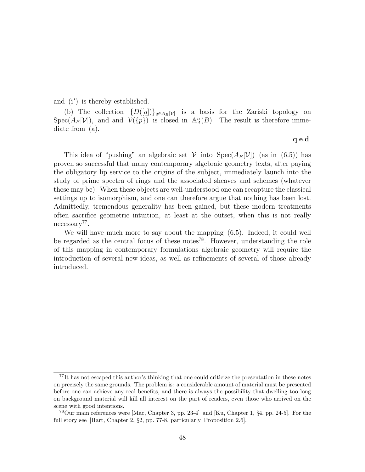and  $(i')$  is thereby established.

(b) The collection  $\{D([q])\}_{q\in A_B[\mathcal{V}]}$  is a basis for the Zariski topology on Spec( $A_B[\mathcal{V}]$ ), and and  $\mathcal{V}(\{p\})$  is closed in  $\mathbb{A}_A^n(B)$ . The result is therefore immediate from (a).

q.e.d.

This idea of "pushing" an algebraic set  $V$  into  $Spec(A_B[V])$  (as in (6.5)) has proven so successful that many contemporary algebraic geometry texts, after paying the obligatory lip service to the origins of the subject, immediately launch into the study of prime spectra of rings and the associated sheaves and schemes (whatever these may be). When these objects are well-understood one can recapture the classical settings up to isomorphism, and one can therefore argue that nothing has been lost. Admittedly, tremendous generality has been gained, but these modern treatments often sacrifice geometric intuition, at least at the outset, when this is not really necessary<sup>77</sup>.

We will have much more to say about the mapping (6.5). Indeed, it could well be regarded as the central focus of these notes<sup>78</sup>. However, understanding the role of this mapping in contemporary formulations algebraic geometry will require the introduction of several new ideas, as well as refinements of several of those already introduced.

<sup>77</sup>It has not escaped this author's thinking that one could criticize the presentation in these notes on precisely the same grounds. The problem is: a considerable amount of material must be presented before one can achieve any real benefits, and there is always the possibility that dwelling too long on background material will kill all interest on the part of readers, even those who arrived on the scene with good intentions.

<sup>&</sup>lt;sup>78</sup>Our main references were [Mac, Chapter 3, pp. 23-4] and [Ku, Chapter 1,  $\S 4$ , pp. 24-5]. For the full story see [Hart, Chapter 2, §2, pp. 77-8, particularly Proposition 2.6].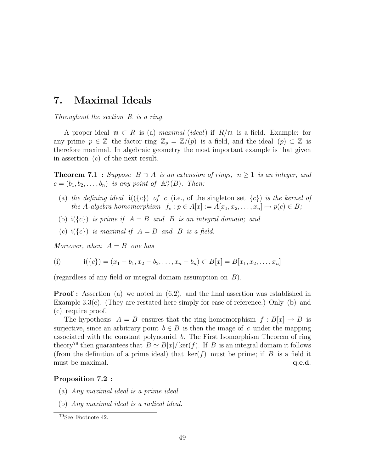# 7. Maximal Ideals

Throughout the section R is a ring.

A proper ideal  $\mathfrak{m} \subset R$  is (a) maximal (ideal) if  $R/\mathfrak{m}$  is a field. Example: for any prime  $p \in \mathbb{Z}$  the factor ring  $\mathbb{Z}_p = \mathbb{Z}/(p)$  is a field, and the ideal  $(p) \subset \mathbb{Z}$  is therefore maximal. In algebraic geometry the most important example is that given in assertion (c) of the next result.

**Theorem 7.1 :** Suppose  $B \supset A$  is an extension of rings,  $n \geq 1$  is an integer, and  $c = (b_1, b_2, \ldots, b_n)$  is any point of  $\mathbb{A}^n_A(B)$ . Then:

- (a) the defining ideal  $i({\lbrace c \rbrace})$  of c (i.e., of the singleton set  ${\lbrace c \rbrace}$ ) is the kernel of the A-algebra homomorphism  $f_c : p \in A[x] := A[x_1, x_2, \ldots, x_n] \mapsto p(c) \in B;$
- (b)  $\mathfrak{i}(\lbrace c \rbrace)$  is prime if  $A = B$  and  $B$  is an integral domain; and
- (c)  $i({c})$  is maximal if  $A = B$  and B is a field.

Moreover, when  $A = B$  one has

(i) 
$$
\mathbf{i}(\{c\}) = (x_1 - b_1, x_2 - b_2, \dots, x_n - b_n) \subset B[x] = B[x_1, x_2, \dots, x_n]
$$

(regardless of any field or integral domain assumption on B).

**Proof :** Assertion (a) we noted in (6.2), and the final assertion was established in Example 3.3(e). (They are restated here simply for ease of reference.) Only (b) and (c) require proof.

The hypothesis  $A = B$  ensures that the ring homomorphism  $f : B[x] \to B$  is surjective, since an arbitrary point  $b \in B$  is then the image of c under the mapping associated with the constant polynomial b. The First Isomorphism Theorem of ring theory<sup>79</sup> then guarantees that  $B \simeq B[x]/\text{ker}(f)$ . If B is an integral domain it follows (from the definition of a prime ideal) that  $\ker(f)$  must be prime; if B is a field it must be maximal.  $q.e.d.$ 

#### Proposition 7.2 :

- (a) Any maximal ideal is a prime ideal.
- (b) Any maximal ideal is a radical ideal.

<sup>79</sup>See Footnote 42.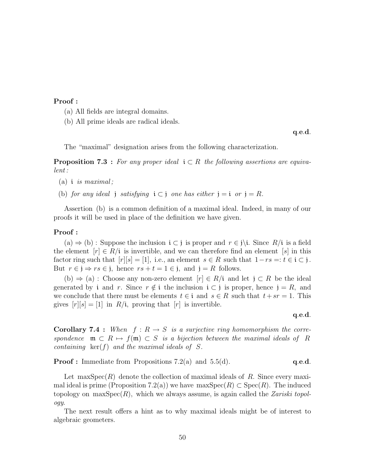## Proof :

- (a) All fields are integral domains.
- (b) All prime ideals are radical ideals.

q.e.d.

The "maximal" designation arises from the following characterization.

**Proposition 7.3** : For any proper ideal  $i \in R$  the following assertions are equivalent :

- (a) i is maximal;
- (b) for any ideal j satisfying  $i \subset j$  one has either  $j = i$  or  $j = R$ .

Assertion (b) is a common definition of a maximal ideal. Indeed, in many of our proofs it will be used in place of the definition we have given.

#### Proof :

(a)  $\Rightarrow$  (b) : Suppose the inclusion  $i \subset j$  is proper and  $r \in j \setminus i$ . Since  $R/i$  is a field the element  $[r] \in R/\mathfrak{i}$  is invertible, and we can therefore find an element [s] in this factor ring such that  $[r][s] = [1]$ , i.e., an element  $s \in R$  such that  $1 - rs =: t \in i \subset j$ . But  $r \in \mathfrak{j} \Rightarrow rs \in \mathfrak{j}$ , hence  $rs + t = 1 \in \mathfrak{j}$ , and  $\mathfrak{j} = R$  follows.

(b)  $\Rightarrow$  (a) : Choose any non-zero element  $[r] \in R/i$  and let  $j \subset R$  be the ideal generated by i and r. Since  $r \notin i$  the inclusion  $i \in j$  is proper, hence  $j = R$ , and we conclude that there must be elements  $t \in \mathfrak{i}$  and  $s \in R$  such that  $t + s = 1$ . This gives  $[r][s] = [1]$  in  $R/i$ , proving that  $[r]$  is invertible.

q.e.d.

**Corollary 7.4 :** When  $f: R \to S$  is a surjective ring homomorphism the correspondence  $\mathfrak{m} \subset R \mapsto f(\mathfrak{m}) \subset S$  is a bijection between the maximal ideals of R containing  $\ker(f)$  and the maximal ideals of S.

**Proof :** Immediate from Propositions 7.2(a) and 5.5(d). q.e.d.

Let maxSpec $(R)$  denote the collection of maximal ideals of R. Since every maximal ideal is prime (Proposition 7.2(a)) we have  $\max Spec(R) \subset Spec(R)$ . The induced topology on max $Spec(R)$ , which we always assume, is again called the *Zariski topol*ogy.

The next result offers a hint as to why maximal ideals might be of interest to algebraic geometers.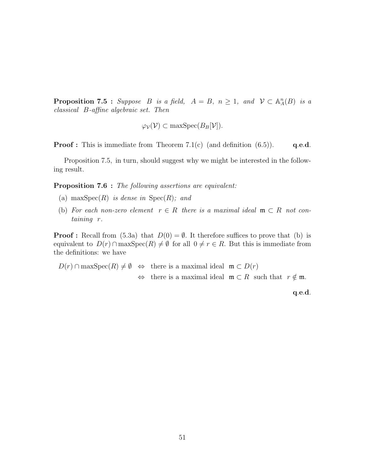**Proposition 7.5** : Suppose B is a field,  $A = B$ ,  $n \ge 1$ , and  $V \subset \mathbb{A}^n_A(B)$  is a classical B-affine algebraic set. Then

$$
\varphi_{\mathcal{V}}(\mathcal{V}) \subset \max \operatorname{Spec}(B_B[\mathcal{V}]).
$$

**Proof :** This is immediate from Theorem 7.1(c) (and definition  $(6.5)$ ). q.e.d.

Proposition 7.5, in turn, should suggest why we might be interested in the following result.

**Proposition 7.6 :** The following assertions are equivalent:

- (a) max $Spec(R)$  is dense in  $Spec(R)$ ; and
- (b) For each non-zero element  $r \in R$  there is a maximal ideal  $\mathfrak{m} \subset R$  not containing r.

**Proof :** Recall from (5.3a) that  $D(0) = \emptyset$ . It therefore suffices to prove that (b) is equivalent to  $D(r) \cap \max \operatorname{Spec}(R) \neq \emptyset$  for all  $0 \neq r \in R$ . But this is immediate from the definitions: we have

 $D(r) \cap \max \operatorname{Spec}(R) \neq \emptyset \Leftrightarrow$  there is a maximal ideal  $\mathfrak{m} \subset D(r)$  $\Leftrightarrow$  there is a maximal ideal  $\mathfrak{m} \subset R$  such that  $r \notin \mathfrak{m}$ .

q.e.d.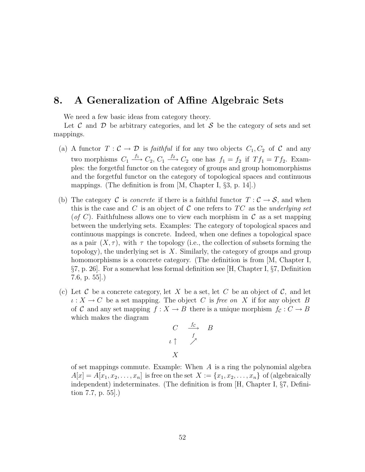## 8. A Generalization of Affine Algebraic Sets

We need a few basic ideas from category theory.

Let C and D be arbitrary categories, and let S be the category of sets and set mappings.

- (a) A functor  $T: \mathcal{C} \to \mathcal{D}$  is *faithful* if for any two objects  $C_1, C_2$  of  $\mathcal{C}$  and any two morphisms  $C_1 \xrightarrow{f_1} C_2$ ,  $C_1 \xrightarrow{f_2} C_2$  one has  $f_1 = f_2$  if  $Tf_1 = Tf_2$ . Examples: the forgetful functor on the category of groups and group homomorphisms and the forgetful functor on the category of topological spaces and continuous mappings. (The definition is from [M, Chapter I, §3, p. 14].)
- (b) The category C is *concrete* if there is a faithful functor  $T : \mathcal{C} \to \mathcal{S}$ , and when this is the case and C is an object of C one refers to  $TC$  as the underlying set (of C). Faithfulness allows one to view each morphism in C as a set mapping between the underlying sets. Examples: The category of topological spaces and continuous mappings is concrete. Indeed, when one defines a topological space as a pair  $(X, \tau)$ , with  $\tau$  the topology (i.e., the collection of subsets forming the topology), the underlying set is  $X$ . Similarly, the category of groups and group homomorphisms is a concrete category. (The definition is from [M, Chapter I, §7, p. 26]. For a somewhat less formal definition see [H, Chapter I, §7, Definition 7.6, p. 55].)
- (c) Let C be a concrete category, let X be a set, let C be an object of C, and let  $\iota: X \to C$  be a set mapping. The object C is free on X if for any object B of C and any set mapping  $f : X \to B$  there is a unique morphism  $f_c : C \to B$ which makes the diagram

$$
\begin{array}{ccc}\nC & \xrightarrow{fc} & B \\
\iota \uparrow & \nearrow & \\
X & & & \n\end{array}
$$

of set mappings commute. Example: When  $A$  is a ring the polynomial algebra  $A[x] = A[x_1, x_2, \ldots, x_n]$  is free on the set  $X := \{x_1, x_2, \ldots, x_n\}$  of (algebraically independent) indeterminates. (The definition is from [H, Chapter I, §7, Definition 7.7, p. 55].)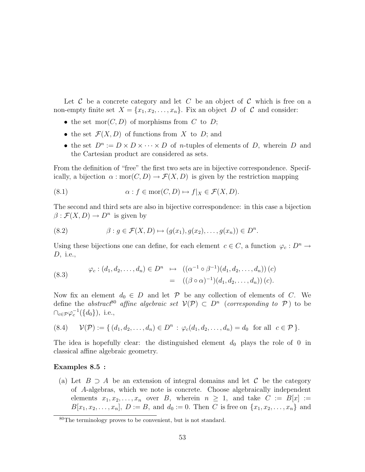Let  $\mathcal C$  be a concrete category and let  $C$  be an object of  $\mathcal C$  which is free on a non-empty finite set  $X = \{x_1, x_2, \ldots, x_n\}$ . Fix an object D of C and consider:

- the set  $mor(C, D)$  of morphisms from C to D;
- the set  $\mathcal{F}(X,D)$  of functions from X to D; and
- the set  $D^n := D \times D \times \cdots \times D$  of *n*-tuples of elements of D, wherein D and the Cartesian product are considered as sets.

From the definition of "free" the first two sets are in bijective correspondence. Specifically, a bijection  $\alpha : \text{mor}(C, D) \to \mathcal{F}(X, D)$  is given by the restriction mapping

(8.1) 
$$
\alpha: f \in \text{mor}(C, D) \mapsto f|_X \in \mathcal{F}(X, D).
$$

The second and third sets are also in bijective correspondence: in this case a bijection  $\beta$ :  $\mathcal{F}(X,D) \to D^n$  is given by

(8.2) 
$$
\beta: g \in \mathcal{F}(X, D) \mapsto (g(x_1), g(x_2), \dots, g(x_n)) \in D^n.
$$

Using these bijections one can define, for each element  $c \in C$ , a function  $\varphi_c : D^n \to$ D, i.e.,

(8.3) 
$$
\varphi_c : (d_1, d_2, \dots, d_n) \in D^n \longrightarrow ((\alpha^{-1} \circ \beta^{-1})(d_1, d_2, \dots, d_n)) (c) = ((\beta \circ \alpha)^{-1})(d_1, d_2, \dots, d_n)) (c).
$$

Now fix an element  $d_0 \in D$  and let  $\mathcal P$  be any collection of elements of C. We define the abstract<sup>80</sup> affine algebraic set  $V(\mathcal{P}) \subset D^n$  (corresponding to  $\mathcal{P}$ ) to be  $\cap_{c \in \mathcal{P}} \varphi_c^{-1}(\{d_0\}),$  i.e.,

$$
(8.4) \quad \mathcal{V}(\mathcal{P}) := \{ (d_1, d_2, \dots, d_n) \in D^n : \varphi_c(d_1, d_2, \dots, d_n) = d_0 \text{ for all } c \in \mathcal{P} \}.
$$

The idea is hopefully clear: the distinguished element  $d_0$  plays the role of 0 in classical affine algebraic geometry.

#### Examples 8.5 :

(a) Let  $B \supseteq A$  be an extension of integral domains and let C be the category of A-algebras, which we note is concrete. Choose algebraically independent elements  $x_1, x_2, \ldots, x_n$  over B, wherein  $n \geq 1$ , and take  $C := B[x] :=$  $B[x_1, x_2, \ldots, x_n], D := B$ , and  $d_0 := 0$ . Then C is free on  $\{x_1, x_2, \ldots, x_n\}$  and

<sup>80</sup>The terminology proves to be convenient, but is not standard.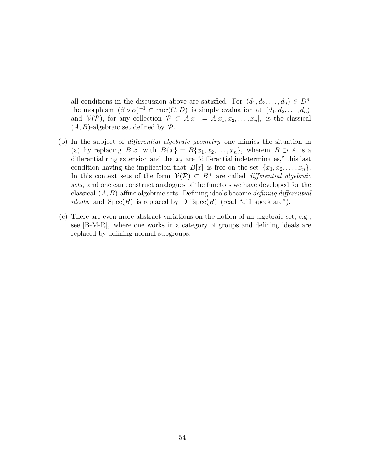all conditions in the discussion above are satisfied. For  $(d_1, d_2, \ldots, d_n) \in D^n$ the morphism  $(\beta \circ \alpha)^{-1} \in \text{mor}(C, D)$  is simply evaluation at  $(d_1, d_2, \ldots, d_n)$ and  $\mathcal{V}(\mathcal{P})$ , for any collection  $\mathcal{P} \subset A[x] := A[x_1, x_2, \ldots, x_n]$ , is the classical  $(A, B)$ -algebraic set defined by  $\mathcal{P}$ .

- (b) In the subject of differential algebraic geometry one mimics the situation in (a) by replacing  $B[x]$  with  $B\{x\} = B\{x_1, x_2, \ldots, x_n\}$ , wherein  $B \supset A$  is a differential ring extension and the  $x_j$  are "differential indeterminates," this last condition having the implication that  $B[x]$  is free on the set  $\{x_1, x_2, \ldots, x_n\}$ . In this context sets of the form  $\mathcal{V}(\mathcal{P}) \subset B^n$  are called *differential algebraic* sets, and one can construct analogues of the functors we have developed for the classical  $(A, B)$ -affine algebraic sets. Defining ideals become *defining differential ideals*, and  $Spec(R)$  is replaced by Diffspec $(R)$  (read "diff speck are").
- (c) There are even more abstract variations on the notion of an algebraic set, e.g., see [B-M-R], where one works in a category of groups and defining ideals are replaced by defining normal subgroups.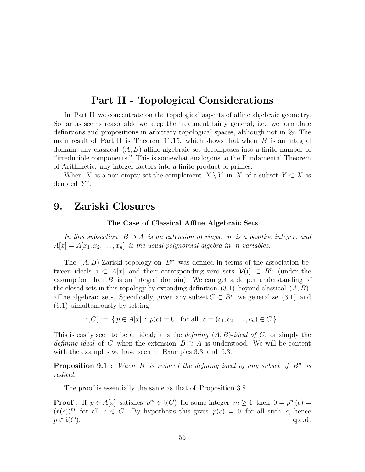# Part II - Topological Considerations

In Part II we concentrate on the topological aspects of affine algebraic geometry. So far as seems reasonable we keep the treatment fairly general, i.e., we formulate definitions and propositions in arbitrary topological spaces, although not in §9. The main result of Part II is Theorem 11.15, which shows that when  $B$  is an integral domain, any classical  $(A, B)$ -affine algebraic set decomposes into a finite number of "irreducible components." This is somewhat analogous to the Fundamental Theorem of Arithmetic: any integer factors into a finite product of primes.

When X is a non-empty set the complement  $X \setminus Y$  in X of a subset  $Y \subset X$  is denoted  $Y^c$ .

## 9. Zariski Closures

#### The Case of Classical Affine Algebraic Sets

In this subsection  $B \supset A$  is an extension of rings, n is a positive integer, and  $A[x] = A[x_1, x_2, \ldots, x_n]$  is the usual polynomial algebra in *n*-variables.

The  $(A, B)$ -Zariski topology on  $B<sup>n</sup>$  was defined in terms of the association between ideals  $i \text{ }\subset A[x]$  and their corresponding zero sets  $\mathcal{V}(i) \subset B^n$  (under the assumption that  $B$  is an integral domain). We can get a deeper understanding of the closed sets in this topology by extending definition  $(3.1)$  beyond classical  $(A, B)$ affine algebraic sets. Specifically, given any subset  $C \subset B^n$  we generalize (3.1) and (6.1) simultaneously by setting

$$
\mathfrak{i}(C) := \{ p \in A[x] : p(c) = 0 \text{ for all } c = (c_1, c_2, \dots, c_n) \in C \}.
$$

This is easily seen to be an ideal; it is the *defining*  $(A, B)$ -ideal of C, or simply the defining ideal of C when the extension  $B \supset A$  is understood. We will be content with the examples we have seen in Examples 3.3 and 6.3.

**Proposition 9.1**: When B is reduced the defining ideal of any subset of  $B<sup>n</sup>$  is radical.

The proof is essentially the same as that of Proposition 3.8.

**Proof**: If  $p \in A[x]$  satisfies  $p^m \in \mathfrak{i}(C)$  for some integer  $m \ge 1$  then  $0 = p^m(c)$  $(r(c))^m$  for all  $c \in C$ . By hypothesis this gives  $p(c) = 0$  for all such c, hence  $p \in \mathfrak{i}(C)$ . q.e.d.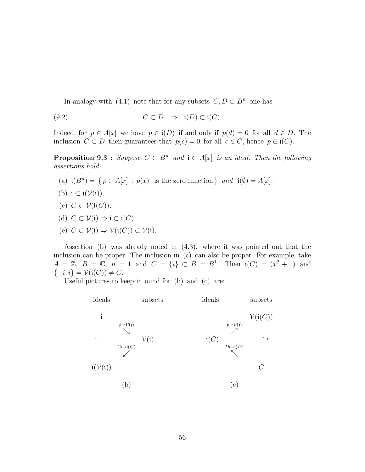In analogy with (4.1) note that for any subsets  $C, D \subset B<sup>n</sup>$  one has

$$
(9.2) \tC \subset D \Rightarrow i(D) \subset i(C).
$$

Indeed, for  $p \in A[x]$  we have  $p \in \mathfrak{i}(D)$  if and only if  $p(d) = 0$  for all  $d \in D$ . The inclusion  $C \subset D$  then guarantees that  $p(c) = 0$  for all  $c \in C$ , hence  $p \in \mathfrak{i}(C)$ .

**Proposition 9.3** : Suppose  $C \subset B^n$  and  $\mathfrak{i} \subset A[x]$  is an ideal. Then the following assertions hold.

- (a)  $\mathfrak{i}(B^n) = \{ p \in A[x] : p(x) \text{ is the zero function } \}$  and  $\mathfrak{i}(\emptyset) = A[x].$
- (b)  $i \subset i(\mathcal{V}(i))$ .
- (c)  $C \subset \mathcal{V}(\mathfrak{i}(C))$ .
- (d)  $C \subset \mathcal{V}(i) \Rightarrow i \subset i(C)$ .
- (e)  $C \subset \mathcal{V}(i) \Rightarrow \mathcal{V}(i(C)) \subset \mathcal{V}(i)$ .

Assertion (b) was already noted in (4.3), where it was pointed out that the inclusion can be proper. The inclusion in (c) can also be proper. For example, take  $A = \mathbb{Z}, B = \mathbb{C}, n = 1$  and  $C = \{i\} \subset B = B^1$ . Then  $\mathfrak{i}(C) = (x^2 + 1)$  and  $\{-i, i\} = \mathcal{V}(\mathfrak{i}(C)) \neq C.$ 

Useful pictures to keep in mind for (b) and (c) are:

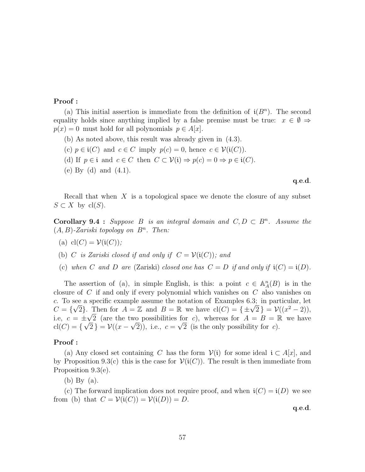## Proof :

(a) This initial assertion is immediate from the definition of  $\mathfrak{i}(B^n)$ . The second equality holds since anything implied by a false premise must be true:  $x \in \emptyset \Rightarrow$  $p(x) = 0$  must hold for all polynomials  $p \in A[x]$ .

- (b) As noted above, this result was already given in (4.3).
- (c)  $p \in \mathfrak{i}(C)$  and  $c \in C$  imply  $p(c) = 0$ , hence  $c \in \mathcal{V}(\mathfrak{i}(C))$ .
- (d) If  $p \in \mathfrak{i}$  and  $c \in C$  then  $C \subset \mathcal{V}(\mathfrak{i}) \Rightarrow p(c) = 0 \Rightarrow p \in \mathfrak{i}(C)$ .
- (e) By (d) and (4.1).

q.e.d.

Recall that when  $X$  is a topological space we denote the closure of any subset  $S \subset X$  by cl(S).

**Corollary 9.4** : Suppose B is an integral domain and  $C, D \subset B^n$ . Assume the  $(A, B)$ -Zariski topology on  $B<sup>n</sup>$ . Then:

(a) 
$$
cl(C) = V(i(C))
$$
;

- (b) C is Zariski closed if and only if  $C = V(i(C))$ ; and
- (c) when C and D are (Zariski) closed one has  $C = D$  if and only if  $\mathfrak{i}(C) = \mathfrak{i}(D)$ .

The assertion of (a), in simple English, is this: a point  $c \in \mathbb{A}^n_A(B)$  is in the closure of C if and only if every polynomial which vanishes on C also vanishes on c. To see a specific example assume the notation of Examples 6.3; in particular, let c. To see a specific example assume the notation of Examples 6.3; in particular, let  $C = \{\sqrt{2}\}\$ . Then for  $A = \mathbb{Z}$  and  $B = \mathbb{R}$  we have  $\text{cl}(C) = \{\pm \sqrt{2}\} = \mathcal{V}((x^2 - 2))$ , i.e,  $c = \pm \sqrt{2}$  (are the two possibilities for c), whereas for  $A = B = \mathbb{R}$  we have  $cl(C) = \{ \sqrt{2} \} = \mathcal{V}((x - \sqrt{2}))$ , i.e.,  $c = \sqrt{2}$  (is the only possibility for c).

#### Proof :

(a) Any closed set containing C has the form  $V(i)$  for some ideal  $i \subset A[x]$ , and by Proposition 9.3(c) this is the case for  $\mathcal{V}(\mathfrak{i}(C))$ . The result is then immediate from Proposition 9.3(e).

(b) By (a).

(c) The forward implication does not require proof, and when  $\mathfrak{i}(C) = \mathfrak{i}(D)$  we see from (b) that  $C = \mathcal{V}(\mathfrak{i}(C)) = \mathcal{V}(\mathfrak{i}(D)) = D$ .

q.e.d.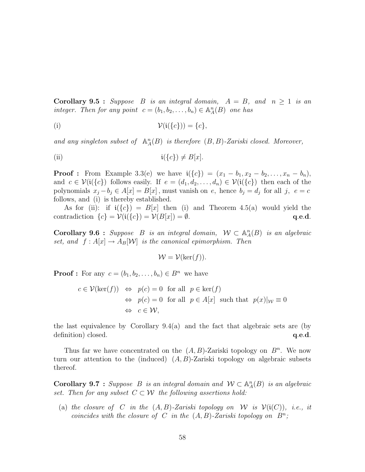**Corollary 9.5 :** Suppose B is an integral domain,  $A = B$ , and  $n \ge 1$  is an integer. Then for any point  $c = (b_1, b_2, \ldots, b_n) \in \mathbb{A}^n_A(B)$  one has

$$
\mathcal{V}(\mathfrak{i}(\{c\})) = \{c\},
$$

and any singleton subset of  $\mathbb{A}_A^n(B)$  is therefore  $(B, B)$ -Zariski closed. Moreover,

(ii) 
$$
\mathfrak{i}(\lbrace c \rbrace) \neq B[x].
$$

**Proof :** From Example 3.3(e) we have  $i({c}) = (x_1 - b_1, x_2 - b_2, ..., x_n - b_n)$ , and  $c \in \mathcal{V}(\mathfrak{i}(\{c\})$  follows easily. If  $e = (d_1, d_2, \ldots, d_n) \in \mathcal{V}(\mathfrak{i}(\{c\})$  then each of the polynomials  $x_j - b_j \in A[x] = B[x]$ , must vanish on e, hence  $b_j = d_j$  for all j,  $e = c$ follows, and (i) is thereby established.

As for (ii): if  $i({c}) = B[x]$  then (i) and Theorem 4.5(a) would yield the contradiction  $\{c\} = \mathcal{V}(\mathfrak{i}(\{c\}) = \mathcal{V}(B[x]) = \emptyset.$  q.e.d.

Corollary 9.6 : Suppose B is an integral domain,  $W \subset \mathbb{A}^n_A(B)$  is an algebraic set, and  $f : A[x] \to A_B[\mathcal{W}]$  is the canonical epimorphism. Then

$$
\mathcal{W} = \mathcal{V}(\ker(f)).
$$

**Proof :** For any  $c = (b_1, b_2, \ldots, b_n) \in B^n$  we have

$$
c \in \mathcal{V}(\ker(f)) \iff p(c) = 0 \text{ for all } p \in \ker(f)
$$
  
\n
$$
\iff p(c) = 0 \text{ for all } p \in A[x] \text{ such that } p(x)|_{\mathcal{W}} \equiv 0
$$
  
\n
$$
\iff c \in \mathcal{W},
$$

the last equivalence by Corollary 9.4(a) and the fact that algebraic sets are (by definition) closed.  $q.e.d.$ 

Thus far we have concentrated on the  $(A, B)$ -Zariski topology on  $B<sup>n</sup>$ . We now turn our attention to the (induced)  $(A, B)$ -Zariski topology on algebraic subsets thereof.

**Corollary 9.7** : Suppose B is an integral domain and  $W \subset \mathbb{A}_{A}^{n}(B)$  is an algebraic set. Then for any subset  $C \subset \mathcal{W}$  the following assertions hold:

(a) the closure of C in the  $(A, B)$ -Zariski topology on W is  $\mathcal{V}(\mathfrak{i}(C))$ , i.e., it coincides with the closure of C in the  $(A, B)$ -Zariski topology on  $B^n$ ;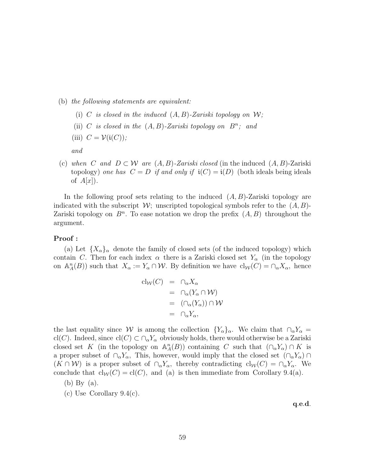- (b) the following statements are equivalent:
	- (i) C is closed in the induced  $(A, B)$ -Zariski topology on W;
	- (ii) C is closed in the  $(A, B)$ -Zariski topology on  $B^n$ ; and
	- (iii)  $C = \mathcal{V}(\mathfrak{i}(C));$

and

(c) when C and  $D \subset W$  are  $(A, B)$ -Zariski closed (in the induced  $(A, B)$ -Zariski topology) one has  $C = D$  if and only if  $\mathfrak{i}(C) = \mathfrak{i}(D)$  (both ideals being ideals of  $A[x]$ ).

In the following proof sets relating to the induced  $(A, B)$ -Zariski topology are indicated with the subscript  $\mathcal{W}$ ; unscripted topological symbols refer to the  $(A, B)$ -Zariski topology on  $B<sup>n</sup>$ . To ease notation we drop the prefix  $(A, B)$  throughout the argument.

#### Proof :

(a) Let  ${X_\alpha}_\alpha$  denote the family of closed sets (of the induced topology) which contain C. Then for each index  $\alpha$  there is a Zariski closed set  $Y_{\alpha}$  (in the topology on  $\mathbb{A}_{A}^{n}(B)$  such that  $X_{\alpha} := Y_{\alpha} \cap \mathcal{W}$ . By definition we have  $\text{cl}_{\mathcal{W}}(C) = \cap_{\alpha} X_{\alpha}$ , hence

$$
cl_{\mathcal{W}}(C) = \cap_{\alpha} X_{\alpha}
$$
  
=  $\cap_{\alpha} (Y_{\alpha} \cap \mathcal{W})$   
=  $(\cap_{\alpha} (Y_{\alpha})) \cap \mathcal{W}$   
=  $\cap_{\alpha} Y_{\alpha},$ 

the last equality since W is among the collection  ${Y_\alpha}_{\alpha}$ . We claim that  $\bigcap_{\alpha} Y_\alpha =$ cl(C). Indeed, since  $cl(C) \subset \bigcap_{\alpha} Y_{\alpha}$  obviously holds, there would otherwise be a Zariski closed set K (in the topology on  $\mathbb{A}_{A}^{n}(B)$ ) containing C such that  $(\cap_{\alpha} Y_{\alpha}) \cap K$  is a proper subset of  $\cap_{\alpha} Y_{\alpha}$ , This, however, would imply that the closed set  $(\cap_{\alpha} Y_{\alpha})$  $(K \cap W)$  is a proper subset of  $\cap_{\alpha} Y_{\alpha}$ , thereby contradicting  $\text{cl}_{W}(C) = \cap_{\alpha} Y_{\alpha}$ . We conclude that  $cl_W(C) = cl(C)$ , and (a) is then immediate from Corollary 9.4(a).

- (b) By (a).
- (c) Use Corollary 9.4(c).

q.e.d.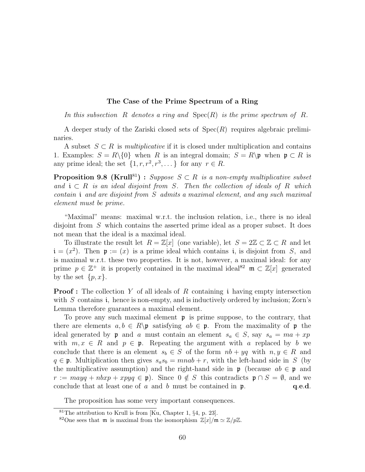#### The Case of the Prime Spectrum of a Ring

In this subsection R denotes a ring and  $Spec(R)$  is the prime spectrum of R.

A deeper study of the Zariski closed sets of  $Spec(R)$  requires algebraic preliminaries.

A subset  $S \subset R$  is *multiplicative* if it is closed under multiplication and contains 1. Examples:  $S = R \setminus \{0\}$  when R is an integral domain;  $S = R \setminus \mathfrak{p}$  when  $\mathfrak{p} \subset R$  is any prime ideal; the set  $\{1, r, r^2, r^3, \dots\}$  for any  $r \in R$ .

**Proposition 9.8 (Krull**<sup>81</sup>) : Suppose  $S \subset R$  is a non-empty multiplicative subset and  $i \in R$  is an ideal disjoint from S. Then the collection of ideals of R which contain i and are disjoint from S admits a maximal element, and any such maximal element must be prime.

"Maximal" means: maximal w.r.t. the inclusion relation, i.e., there is no ideal disjoint from S which contains the asserted prime ideal as a proper subset. It does not mean that the ideal is a maximal ideal.

To illustrate the result let  $R = \mathbb{Z}[x]$  (one variable), let  $S = 2\mathbb{Z} \subset \mathbb{Z} \subset R$  and let  $\mathfrak{i} = (x^2)$ . Then  $\mathfrak{p} := (x)$  is a prime ideal which contains i, is disjoint from S, and is maximal w.r.t. these two properties. It is not, however, a maximal ideal: for any prime  $p \in \mathbb{Z}^+$  it is properly contained in the maximal ideal<sup>82</sup>  $\mathfrak{m} \subset \mathbb{Z}[x]$  generated by the set  $\{p, x\}.$ 

**Proof**: The collection Y of all ideals of R containing i having empty intersection with  $S$  contains i, hence is non-empty, and is inductively ordered by inclusion; Zorn's Lemma therefore guarantees a maximal element.

To prove any such maximal element  $\mathfrak p$  is prime suppose, to the contrary, that there are elements  $a, b \in R \$  satisfying  $ab \in \mathfrak{p}$ . From the maximality of  $\mathfrak{p}$  the ideal generated by **p** and a must contain an element  $s_a \in S$ , say  $s_a = ma + xp$ with  $m, x \in R$  and  $p \in \mathfrak{p}$ . Repeating the argument with a replaced by b we conclude that there is an element  $s_b \in S$  of the form  $nb + yq$  with  $n, y \in R$  and  $q \in \mathfrak{p}$ . Multiplication then gives  $s_a s_b = mnab + r$ , with the left-hand side in S (by the multiplicative assumption) and the right-hand side in  $\mathfrak{p}$  (because  $ab \in \mathfrak{p}$  and  $r := mayq + nbxp + xpyq \in \mathfrak{p}$ . Since  $0 \notin S$  this contradicts  $\mathfrak{p} \cap S = \emptyset$ , and we conclude that at least one of a and b must be contained in  $\mathfrak{p}$ . **q.e.d.** 

The proposition has some very important consequences.

 $81$ The attribution to Krull is from [Ku, Chapter 1, §4, p. 23].

<sup>&</sup>lt;sup>82</sup>One sees that **m** is maximal from the isomorphism  $\mathbb{Z}[x]/m \simeq \mathbb{Z}/p\mathbb{Z}$ .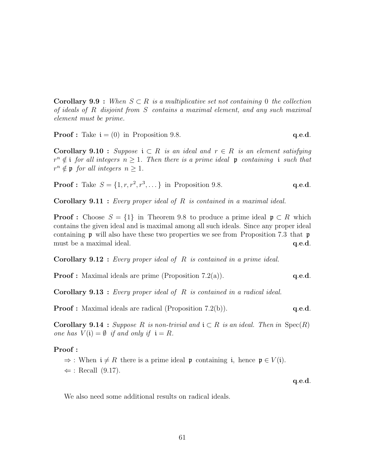**Corollary 9.9** : When  $S \subset R$  is a multiplicative set not containing 0 the collection of ideals of R disjoint from S contains a maximal element, and any such maximal element must be prime.

**Proof :** Take 
$$
i = (0)
$$
 in Proposition 9.8. **q.e.d.**

**Corollary 9.10** : Suppose  $i \subset R$  is an ideal and  $r \in R$  is an element satisfying  $r^{n} \notin i$  for all integers  $n \geq 1$ . Then there is a prime ideal  $\mathfrak{p}$  containing i such that  $r^n \notin \mathfrak{p}$  for all integers  $n \geq 1$ .

**Proof :** Take 
$$
S = \{1, r, r^2, r^3, ...\}
$$
 in Proposition 9.8. **q.e.d.**

**Corollary 9.11 :** Every proper ideal of  $R$  is contained in a maximal ideal.

**Proof**: Choose  $S = \{1\}$  in Theorem 9.8 to produce a prime ideal  $\mathfrak{p} \subset R$  which contains the given ideal and is maximal among all such ideals. Since any proper ideal containing  $\mathfrak p$  will also have these two properties we see from Proposition 7.3 that  $\mathfrak p$ must be a maximal ideal.  $q.e.d.$ 

**Corollary 9.12** : Every proper ideal of  $R$  is contained in a prime ideal.

**Proof :** Maximal ideals are prime (Proposition 7.2(a)).  $q.e.d.$ 

**Corollary 9.13** : Every proper ideal of  $R$  is contained in a radical ideal.

**Proof :** Maximal ideals are radical (Proposition 7.2(b)). **q.e.d.** 

**Corollary 9.14** : Suppose R is non-trivial and  $i \subset R$  is an ideal. Then in  $Spec(R)$ one has  $V(i) = \emptyset$  if and only if  $i = R$ .

#### Proof :

 $\Rightarrow$ : When  $i \neq R$  there is a prime ideal p containing i, hence  $p \in V(i)$ .

 $\Leftarrow$ : Recall (9.17).

q.e.d.

We also need some additional results on radical ideals.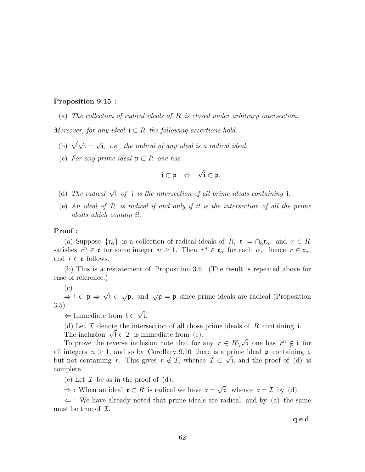#### Proposition 9.15 :

(a) The collection of radical ideals of R is closed under arbitrary intersection.

Moreover, for any ideal  $\mathfrak{i} \subset R$  the following assertions hold.

- (b)  $\sqrt{\sqrt{i}} =$ √ i, i.e., the radical of any ideal is a radical ideal.
- (c) For any prime ideal  $\mathfrak{p} \subset R$  one has

$$
\mathfrak{i}\subset\mathfrak{p}\;\;\Leftrightarrow\;\;\sqrt{\mathfrak{i}}\subset\mathfrak{p}.
$$

- (d) The radical  $\sqrt{i}$  of i is the intersection of all prime ideals containing i.
- (e) An ideal of R is radical if and only if it is the intersection of all the prime ideals which contain it.

#### Proof :

(a) Suppose  $\{\mathfrak{r}_{\alpha}\}\$ is a collection of radical ideals of R,  $\mathfrak{r} := \cap_{\alpha} \mathfrak{r}_{\alpha}$ , and  $r \in R$ satisfies  $r^n \in \mathfrak{r}$  for some integer  $n \geq 1$ . Then  $r^n \in \mathfrak{r}_\alpha$  for each  $\alpha$ , hence  $r \in \mathfrak{r}_\alpha$ , and  $r \in \mathfrak{r}$  follows.

(b) This is a restatement of Proposition 3.6. (The result is repeated above for ease of reference.)

(c)

 $\Rightarrow$  i  $\subset$  p  $\Rightarrow$ √ i ⊂  $\sqrt{\mathfrak{p}}$ , and  $\sqrt{\mathfrak{p}} = \mathfrak{p}$  since prime ideals are radical (Proposition 3.5). √

⇐ Immediate from i ⊂ i.

(d) Let  $\mathcal I$  denote the intersection of all those prime ideals of  $R$  containing i. (d) Let  $\perp$  denote the intersection of all those<br>The inclusion  $\sqrt{i} \subset \mathcal{I}$  is immediate from (c).

To prove the reverse inclusion note that for any  $r \in R \setminus$ √  $\overline{\mathfrak{i}}$  one has  $r^n \notin \mathfrak{i}$  for all integers  $n \geq 1$ , and so by Corollary 9.10 there is a prime ideal p containing i all integers  $n \geq 1$ , and so by Corollary 9.10 there is a prime ideal p containing t<br>but not containing r. This gives  $r \notin \mathcal{I}$ , whence  $\mathcal{I} \subset \sqrt{\mathfrak{i}}$ , and the proof of (d) is complete.

(e) Let  $\mathcal I$  be as in the proof of (d).

 $\Rightarrow$ : When an ideal  $\mathfrak{r} \subset R$  is radical we have  $\mathfrak{r} =$ √  $\bar{\mathfrak{r}}$ , whence  $\mathfrak{r} = \mathcal{I}$  by (d).

 $\Leftarrow$ : We have already noted that prime ideals are radical, and by (a) the same must be true of  $\mathcal{I}$ .

q.e.d.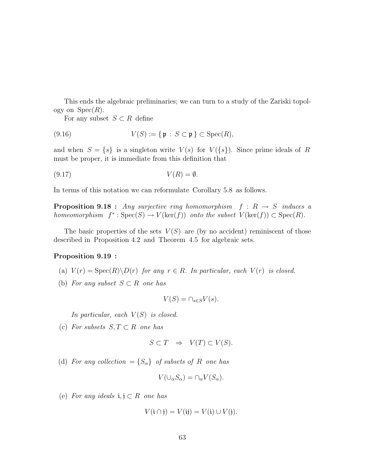This ends the algebraic preliminaries; we can turn to a study of the Zariski topology on  $Spec(R)$ .

For any subset  $S \subset R$  define

(9.16) 
$$
V(S) := \{ \mathfrak{p} : S \subset \mathfrak{p} \} \subset \operatorname{Spec}(R),
$$

and when  $S = \{s\}$  is a singleton write  $V(s)$  for  $V(\{s\})$ . Since prime ideals of R must be proper, it is immediate from this definition that

$$
(9.17) \t\t V(R) = \emptyset.
$$

In terms of this notation we can reformulate Corollary 5.8 as follows.

**Proposition 9.18 :** Any surjective ring homomorphism  $f: R \rightarrow S$  induces a homeomorphism  $f^*$ :  $Spec(S) \to V(ker(f))$  onto the subset  $V(ker(f)) \subset Spec(R)$ .

The basic properties of the sets  $V(S)$  are (by no accident) reminiscent of those described in Proposition 4.2 and Theorem 4.5 for algebraic sets.

#### Proposition 9.19 :

- (a)  $V(r) = \text{Spec}(R) \backslash D(r)$  for any  $r \in R$ . In particular, each  $V(r)$  is closed.
- (b) For any subset  $S \subset R$  one has

$$
V(S) = \cap_{s \in S} V(s).
$$

In particular, each  $V(S)$  is closed.

(c) For subsets  $S, T \subset R$  one has

$$
S \subset T \quad \Rightarrow \quad V(T) \subset V(S).
$$

(d) For any collection =  $\{S_{\alpha}\}\$  of subsets of R one has

$$
V(\cup_{\alpha} S_{\alpha}) = \cap_{\alpha} V(S_{\alpha}).
$$

(e) For any ideals  $i, j \subset R$  one has

$$
V(\mathfrak{i} \cap \mathfrak{j}) = V(\mathfrak{i}\mathfrak{j}) = V(\mathfrak{i}) \cup V(\mathfrak{j}).
$$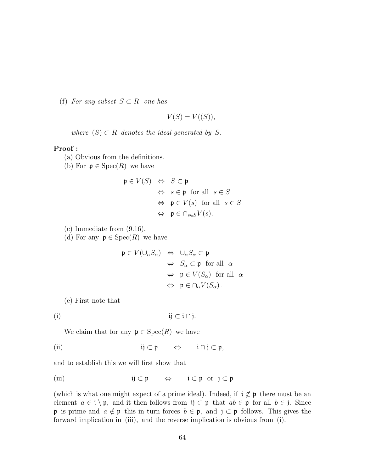(f) For any subset  $S \subset R$  one has

$$
V(S) = V((S)),
$$

where  $(S) \subset R$  denotes the ideal generated by S.

#### Proof :

- (a) Obvious from the definitions.
- (b) For  $\mathfrak{p} \in \text{Spec}(R)$  we have

$$
\mathfrak{p} \in V(S) \Leftrightarrow S \subset \mathfrak{p}
$$
  
\n
$$
\Leftrightarrow s \in \mathfrak{p} \text{ for all } s \in S
$$
  
\n
$$
\Leftrightarrow \mathfrak{p} \in V(s) \text{ for all } s \in S
$$
  
\n
$$
\Leftrightarrow \mathfrak{p} \in \cap_{s \in S} V(s).
$$

- (c) Immediate from (9.16).
- (d) For any  $\mathfrak{p} \in \text{Spec}(R)$  we have

$$
\mathfrak{p} \in V(\cup_{\alpha} S_{\alpha}) \Leftrightarrow \cup_{\alpha} S_{\alpha} \subset \mathfrak{p}
$$
  
\n
$$
\Leftrightarrow S_{\alpha} \subset \mathfrak{p} \text{ for all } \alpha
$$
  
\n
$$
\Leftrightarrow \mathfrak{p} \in V(S_{\alpha}) \text{ for all } \alpha
$$
  
\n
$$
\Leftrightarrow \mathfrak{p} \in \cap_{\alpha} V(S_{\alpha}).
$$

(e) First note that

(i) ij  $\subset i \cap j$ .

We claim that for any  $\mathfrak{p} \in \text{Spec}(R)$  we have

(ii) ij ⊂ p ⇔ i ∩ j ⊂ p,

and to establish this we will first show that

(iii)  $ij \subset p \iff i \subset p \text{ or } j \subset p$ 

(which is what one might expect of a prime ideal). Indeed, if  $\phi \uparrow \mathfrak{p}$  there must be an element  $a \in \mathfrak{i} \setminus \mathfrak{p}$ , and it then follows from  $\mathfrak{ij} \subset \mathfrak{p}$  that  $ab \in \mathfrak{p}$  for all  $b \in \mathfrak{j}$ . Since p is prime and  $a \notin \mathfrak{p}$  this in turn forces  $b \in \mathfrak{p}$ , and  $j \subset \mathfrak{p}$  follows. This gives the forward implication in (iii), and the reverse implication is obvious from (i).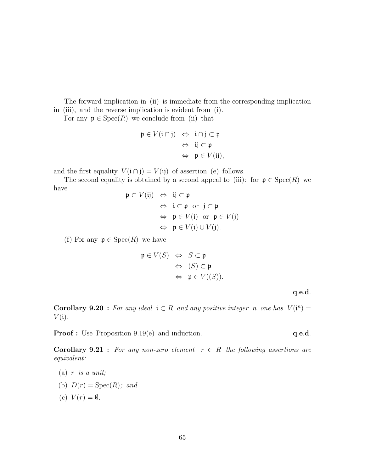The forward implication in (ii) is immediate from the corresponding implication in (iii), and the reverse implication is evident from (i).

For any  $\mathfrak{p} \in \text{Spec}(R)$  we conclude from (ii) that

$$
\begin{array}{rcl} \mathfrak{p} \in V(\mathfrak{i} \cap \mathfrak{j}) & \Leftrightarrow & \mathfrak{i} \cap \mathfrak{j} \subset \mathfrak{p} \\ & \Leftrightarrow & \mathfrak{i} \mathfrak{j} \subset \mathfrak{p} \\ & \Leftrightarrow & \mathfrak{p} \in V(\mathfrak{ij}), \end{array}
$$

and the first equality  $V(i \cap j) = V(i)$  of assertion (e) follows.

The second equality is obtained by a second appeal to (iii): for  $\mathfrak{p} \in \text{Spec}(R)$  we have

$$
\mathfrak{p} \subset V(\mathfrak{ij}) \Leftrightarrow \mathfrak{ij} \subset \mathfrak{p}
$$
  
\n
$$
\Leftrightarrow \mathfrak{i} \subset \mathfrak{p} \text{ or } \mathfrak{j} \subset \mathfrak{p}
$$
  
\n
$$
\Leftrightarrow \mathfrak{p} \in V(\mathfrak{i}) \text{ or } \mathfrak{p} \in V(\mathfrak{j})
$$
  
\n
$$
\Leftrightarrow \mathfrak{p} \in V(\mathfrak{i}) \cup V(\mathfrak{j}).
$$

(f) For any  $\mathfrak{p} \in \text{Spec}(R)$  we have

$$
\mathfrak{p} \in V(S) \Leftrightarrow S \subset \mathfrak{p}
$$
  
\n
$$
\Leftrightarrow (S) \subset \mathfrak{p}
$$
  
\n
$$
\Leftrightarrow \mathfrak{p} \in V((S)).
$$

q.e.d.

**Corollary 9.20**: For any ideal  $i \in R$  and any positive integer n one has  $V(i^n) =$  $V(i)$ .

**Proof :** Use Proposition 9.19(e) and induction. **q.e.d.** 

**Corollary 9.21 :** For any non-zero element  $r \in R$  the following assertions are equivalent:

- (b)  $D(r) = \text{Spec}(R)$ ; and
- (c)  $V(r) = \emptyset$ .

<sup>(</sup>a)  $r$  is a unit;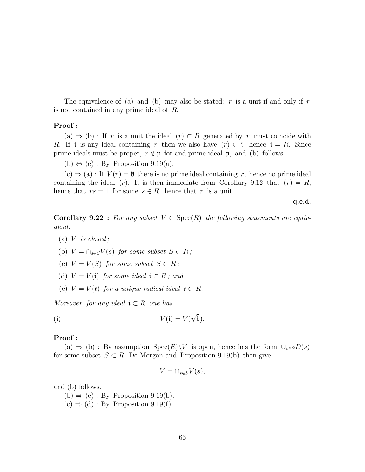The equivalence of (a) and (b) may also be stated:  $r$  is a unit if and only if  $r$ is not contained in any prime ideal of R.

#### Proof :

(a)  $\Rightarrow$  (b) : If r is a unit the ideal  $(r) \subset R$  generated by r must coincide with R. If i is any ideal containing r then we also have  $(r) \subset i$ , hence  $i = R$ . Since prime ideals must be proper,  $r \notin \mathfrak{p}$  for and prime ideal  $\mathfrak{p}$ , and (b) follows.

(b)  $\Leftrightarrow$  (c) : By Proposition 9.19(a).

 $(c) \Rightarrow (a)$ : If  $V(r) = \emptyset$  there is no prime ideal containing r, hence no prime ideal containing the ideal (r). It is then immediate from Corollary 9.12 that  $(r) = R$ , hence that  $rs = 1$  for some  $s \in R$ , hence that r is a unit.

q.e.d.

**Corollary 9.22** : For any subset  $V \subset \text{Spec}(R)$  the following statements are equivalent:

- (a)  $V$  is closed;
- (b)  $V = \bigcap_{s \in S} V(s)$  for some subset  $S \subset R$ ;
- (c)  $V = V(S)$  for some subset  $S \subset R$ ;
- (d)  $V = V(i)$  for some ideal  $i \subset R$ ; and
- (e)  $V = V(\mathfrak{r})$  for a unique radical ideal  $\mathfrak{r} \subset R$ .

Moreover, for any ideal  $\mathfrak{i} \subset R$  one has

(i) 
$$
V(i) = V(\sqrt{i}).
$$

#### Proof :

(a)  $\Rightarrow$  (b) : By assumption Spec(R)\V is open, hence has the form  $\cup_{s\in S}D(s)$ for some subset  $S \subset R$ . De Morgan and Proposition 9.19(b) then give

$$
V = \cap_{s \in S} V(s),
$$

and (b) follows.

 $(b) \Rightarrow (c) : By Proposition 9.19(b).$  $(c) \Rightarrow (d) : By Proposition 9.19(f).$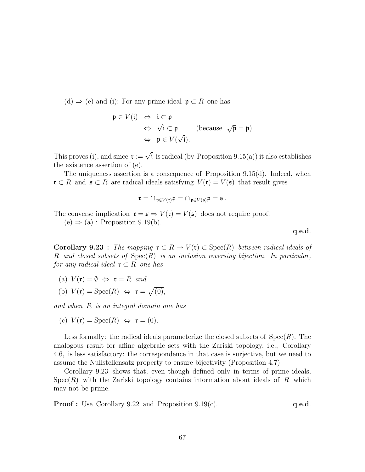$(d) \Rightarrow (e)$  and (i): For any prime ideal  $\mathfrak{p} \subset R$  one has

$$
\mathfrak{p} \in V(\mathfrak{i}) \iff \mathfrak{i} \subset \mathfrak{p}
$$
  
\n
$$
\Leftrightarrow \sqrt{\mathfrak{i}} \subset \mathfrak{p} \qquad \text{(because } \sqrt{\mathfrak{p}} = \mathfrak{p})
$$
  
\n
$$
\Leftrightarrow \mathfrak{p} \in V(\sqrt{\mathfrak{i}}).
$$

This proves (i), and since  $\mathfrak{r} := \sqrt{\mathfrak{i}}$  is radical (by Proposition 9.15(a)) it also establishes the existence assertion of (e).

The uniqueness assertion is a consequence of Proposition 9.15(d). Indeed, when  $\mathfrak{r} \subset R$  and  $\mathfrak{s} \subset R$  are radical ideals satisfying  $V(\mathfrak{r}) = V(\mathfrak{s})$  that result gives

$$
\mathfrak{r}=\cap_{\mathfrak{p}\in V(\mathfrak{r})}\mathfrak{p}=\cap_{\mathfrak{p}\in V(\mathfrak{s})}\mathfrak{p}=\mathfrak{s}.
$$

The converse implication  $\mathfrak{r} = \mathfrak{s} \Rightarrow V(\mathfrak{r}) = V(\mathfrak{s})$  does not require proof.

 $(e) \Rightarrow (a)$ : Proposition 9.19(b).

q.e.d.

**Corollary 9.23** : The mapping  $\mathfrak{r} \subset R \to V(\mathfrak{r}) \subset \text{Spec}(R)$  between radical ideals of R and closed subsets of  $Spec(R)$  is an inclusion reversing bijection. In particular, for any radical ideal  $\mathfrak{r} \subset R$  one has

- (a)  $V(\mathfrak{r}) = \emptyset \Leftrightarrow \mathfrak{r} = R$  and
- (b)  $V(\mathfrak{r}) = \operatorname{Spec}(R) \Leftrightarrow \mathfrak{r} =$ p  $(0),$

and when R is an integral domain one has

(c) 
$$
V(\mathfrak{r}) = \operatorname{Spec}(R) \iff \mathfrak{r} = (0).
$$

Less formally: the radical ideals parameterize the closed subsets of  $Spec(R)$ . The analogous result for affine algebraic sets with the Zariski topology, i.e., Corollary 4.6, is less satisfactory: the correspondence in that case is surjective, but we need to assume the Nullstellensatz property to ensure bijectivity (Proposition 4.7).

Corollary 9.23 shows that, even though defined only in terms of prime ideals,  $Spec(R)$  with the Zariski topology contains information about ideals of R which may not be prime.

**Proof :** Use Corollary 9.22 and Proposition 9.19(c).  $q.e.d.$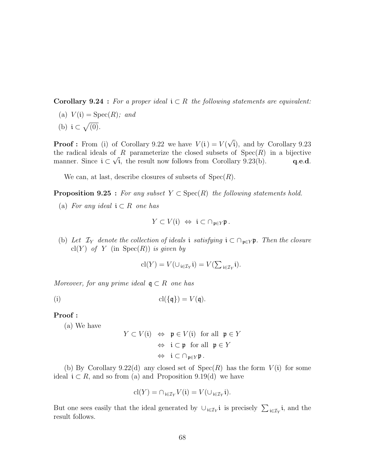**Corollary 9.24** : For a proper ideal  $i \in R$  the following statements are equivalent:

(a)  $V(i) = \text{Spec}(R)$ ; and  $\mathbb{R}^n$ 

(b) 
$$
i \subset \sqrt{(0)}
$$
.

**Proof**: From (i) of Corollary 9.22 we have  $V(i) = V(i)$ √ i), and by Corollary 9.23 the radical ideals of R parameterize the closed subsets of  $Spec(R)$  in a bijective manner. Since  $i \subset \sqrt{i}$ , the result now follows from Corollary 9.23(b). q.e.d.

We can, at last, describe closures of subsets of  $Spec(R)$ .

**Proposition 9.25** : For any subset  $Y \subset \text{Spec}(R)$  the following statements hold.

(a) For any ideal  $\mathfrak{i} \subset R$  one has

$$
Y \subset V(\mathfrak{i}) \iff \mathfrak{i} \subset \cap_{\mathfrak{p} \in Y} \mathfrak{p} \ .
$$

(b) Let  $\mathcal{I}_Y$  denote the collection of ideals i satisfying  $\mathfrak{i} \subset \bigcap_{\mathfrak{p} \in Y} \mathfrak{p}$ . Then the closure cl(Y) of Y (in  $Spec(R)$ ) is given by

$$
\mathrm{cl}(Y) = V(\cup_{\mathbf{i} \in \mathcal{I}_Y} \mathbf{i}) = V(\sum_{\mathbf{i} \in \mathcal{I}_Y} \mathbf{i}).
$$

Moreover, for any prime ideal  $\mathfrak{q} \subset R$  one has

$$
\operatorname{cl}(\{\mathfrak{q}\}) = V(\mathfrak{q}).
$$

## Proof :

(a) We have

$$
Y \subset V(\mathfrak{i}) \iff \mathfrak{p} \in V(\mathfrak{i}) \text{ for all } \mathfrak{p} \in Y
$$

$$
\iff \mathfrak{i} \subset \mathfrak{p} \text{ for all } \mathfrak{p} \in Y
$$

$$
\iff \mathfrak{i} \subset \cap_{\mathfrak{p} \in Y} \mathfrak{p}.
$$

(b) By Corollary 9.22(d) any closed set of  $Spec(R)$  has the form  $V(i)$  for some ideal  $i \subset R$ , and so from (a) and Proposition 9.19(d) we have

$$
\mathrm{cl}(Y)=\cap_{\mathfrak{i}\in\mathcal{I}_Y}V(\mathfrak{i})=V(\cup_{\mathfrak{i}\in\mathcal{I}_Y}\mathfrak{i}).
$$

But one sees easily that the ideal generated by  $\cup_{i\in\mathcal{I}_Y} i$  is precisely  $\sum_{i\in\mathcal{I}_Y} i$ , and the result follows.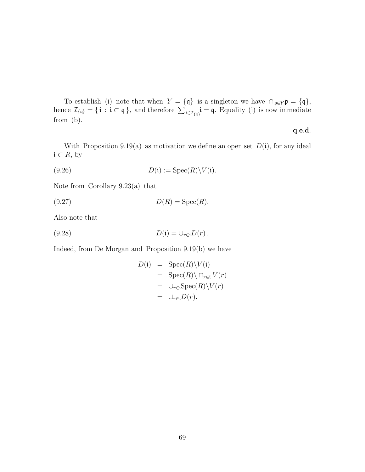To establish (i) note that when  $Y = \{\mathfrak{q}\}\$  is a singleton we have  $\bigcap_{\mathfrak{p} \in Y} \mathfrak{p} = \{\mathfrak{q}\}\$ , hence  $\mathcal{I}_{\{\mathfrak{q}\}} = \{\mathfrak{i} : \mathfrak{i} \subset \mathfrak{q}\}\$ , and therefore  $\sum_{\mathfrak{i} \in \mathcal{I}_{\{\mathfrak{q}\}}} \mathfrak{i} = \mathfrak{q}$ . Equality from (b).

#### q.e.d.

With Proposition 9.19(a) as motivation we define an open set  $D(i)$ , for any ideal  $\mathfrak{i} \subset R$ , by

(9.26) 
$$
D(i) := \operatorname{Spec}(R) \setminus V(i).
$$

Note from Corollary 9.23(a) that

(9.27)  $D(R) = \text{Spec}(R)$ .

Also note that

$$
(9.28) \t\t D(i) = \bigcup_{r \in i} D(r).
$$

Indeed, from De Morgan and Proposition 9.19(b) we have

$$
D(i) = \text{Spec}(R)\setminus V(i)
$$
  
= Spec(R)\setminus \cap\_{r \in i} V(r)  
= \cup\_{r \in i} \text{Spec}(R)\setminus V(r)  
= \cup\_{r \in i} D(r).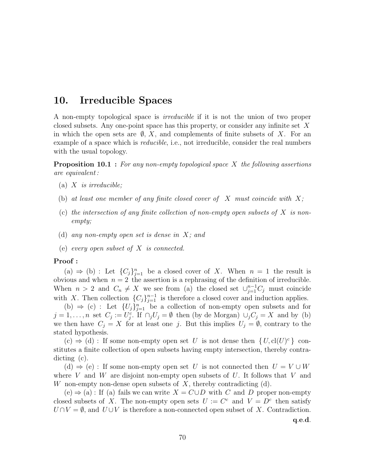# 10. Irreducible Spaces

A non-empty topological space is irreducible if it is not the union of two proper closed subsets. Any one-point space has this property, or consider any infinite set X in which the open sets are  $\emptyset$ , X, and complements of finite subsets of X. For an example of a space which is *reducible*, i.e., not irreducible, consider the real numbers with the usual topology.

**Proposition 10.1** : For any non-empty topological space  $X$  the following assertions are equivalent :

- (a)  $X$  is irreducible;
- (b) at least one member of any finite closed cover of  $X$  must coincide with  $X$ ;
- (c) the intersection of any finite collection of non-empty open subsets of  $X$  is nonempty;
- (d) any non-empty open set is dense in X; and
- (e) every open subset of X is connected.

#### Proof :

(a)  $\Rightarrow$  (b) : Let  ${C_j}_{j=1}^n$  be a closed cover of X. When  $n = 1$  the result is obvious and when  $n = 2$  the assertion is a rephrasing of the definition of irreducible. When  $n > 2$  and  $C_n \neq X$  we see from (a) the closed set  $\cup_{j=1}^{n-1} C_j$  must coincide with X. Then collection  ${C_j}_{j=1}^{n-1}$  is therefore a closed cover and induction applies.

(b)  $\Rightarrow$  (c) : Let  $\{U_j\}_{j=1}^n$  be a collection of non-empty open subsets and for  $j = 1, \ldots, n$  set  $C_j := U_j^c$ . If  $\bigcap_j U_j = \emptyset$  then (by de Morgan)  $\bigcup_j C_j = X$  and by (b) we then have  $C_j = X$  for at least one j. But this implies  $U_j = \emptyset$ , contrary to the stated hypothesis.

 $(c) \Rightarrow (d)$ : If some non-empty open set U is not dense then  $\{U, cl(U)^c\}$  constitutes a finite collection of open subsets having empty intersection, thereby contradicting (c).

(d)  $\Rightarrow$  (e) : If some non-empty open set U is not connected then  $U = V \cup W$ where V and W are disjoint non-empty open subsets of U. It follows that V and W non-empty non-dense open subsets of  $X$ , thereby contradicting  $(d)$ .

 $(e) \Rightarrow (a)$ : If (a) fails we can write  $X = C \cup D$  with C and D proper non-empty closed subsets of X. The non-empty open sets  $U := C^c$  and  $V = D^c$  then satisfy  $U \cap V = \emptyset$ , and  $U \cup V$  is therefore a non-connected open subset of X. Contradiction.

q.e.d.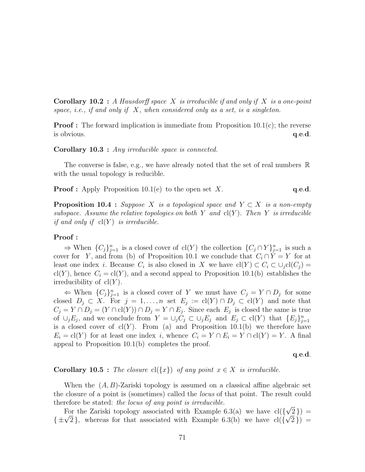**Corollary 10.2** : A Hausdorff space X is irreducible if and only if X is a one-point space, i.e., if and only if  $X$ , when considered only as a set, is a singleton.

**Proof**: The forward implication is immediate from Proposition  $10.1(c)$ ; the reverse is obvious. **q.e.d. q**.e.d.

Corollary 10.3 : Any irreducible space is connected.

The converse is false, e.g., we have already noted that the set of real numbers  $\mathbb R$ with the usual topology is reducible.

**Proof :** Apply Proposition 10.1(e) to the open set X.  $q.e.d.$ 

**Proposition 10.4 :** Suppose X is a topological space and  $Y \subset X$  is a non-empty subspace. Assume the relative topologies on both Y and  $cl(Y)$ . Then Y is irreducible if and only if  $cl(Y)$  is irreducible.

#### Proof :

⇒ When  ${C_j}_{j=1}^n$  is a closed cover of  $\text{cl}(Y)$  the collection  ${C_j \cap Y}_{j=1}^n$  is such a cover for Y, and from (b) of Proposition 10.1 we conclude that  $C_i \cap Y = Y$  for at least one index *i*. Because  $C_i$  is also closed in X we have  $\text{cl}(Y) \subset C_i \subset \cup_j \text{cl}(C_j) =$ cl(Y), hence  $C_i = cl(Y)$ , and a second appeal to Proposition 10.1(b) establishes the irreducibility of  $cl(Y)$ .

 $\Leftarrow$  When  $\{C_j\}_{j=1}^n$  is a closed cover of Y we must have  $C_j = Y \cap D_j$  for some closed  $D_j \subset X$ . For  $j = 1, ..., n$  set  $E_j := \text{cl}(Y) \cap D_j \subset \text{cl}(Y)$  and note that  $C_j = Y \cap D_j = (Y \cap \text{cl}(Y)) \cap D_j = Y \cap E_j$ . Since each  $E_j$  is closed the same is true of  $\cup_j E_j$ , and we conclude from  $Y = \cup_j C_j \subset \cup_j E_j$  and  $E_j \subset \text{cl}(Y)$  that  $\{E_j\}_{j=1}^n$ is a closed cover of  $cl(Y)$ . From (a) and Proposition 10.1(b) we therefore have  $E_i = \text{cl}(Y)$  for at least one index i, whence  $C_i = Y \cap E_i = Y \cap \text{cl}(Y) = Y$ . A final appeal to Proposition 10.1(b) completes the proof.

q.e.d.

## **Corollary 10.5** : The closure  $cl({x})$  of any point  $x \in X$  is irreducible.

When the  $(A, B)$ -Zariski topology is assumed on a classical affine algebraic set the closure of a point is (sometimes) called the locus of that point. The result could therefore be stated: the locus of any point is irreducible. √

For the Zariski topology associated with Example 6.3(a) we have  $cl({}$  $(\sqrt{2})$  = For the Zariski topology associated with Example 6.3(a) we have  $cl({\sqrt{2} }) = {\pm \sqrt{2}}$ , whereas for that associated with Example 6.3(b) we have  $cl({\sqrt{2}}) =$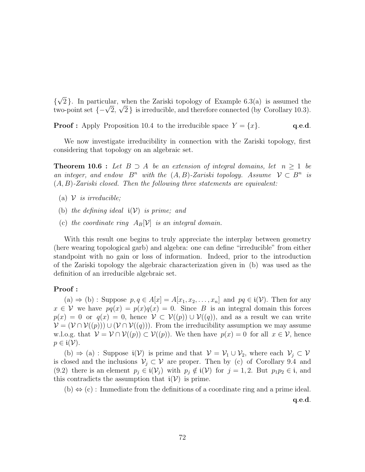{ √ 2. In particular, when the Zariski topology of Example 6.3(a) is assumed the  $\{v^2\}$ . In particular, when the Zariski topology of Example 6.3(a) is assumed the two-point set  $\{-\sqrt{2}, \sqrt{2}\}$  is irreducible, and therefore connected (by Corollary 10.3).

**Proof :** Apply Proposition 10.4 to the irreducible space  $Y = \{x\}$ . q.e.d.

We now investigate irreducibility in connection with the Zariski topology, first considering that topology on an algebraic set.

**Theorem 10.6 :** Let  $B \supseteq A$  be an extension of integral domains, let  $n \geq 1$  be an integer, and endow  $B^n$  with the  $(A, B)$ -Zariski topology. Assume  $\mathcal{V} \subset B^n$  is  $(A, B)$ -Zariski closed. Then the following three statements are equivalent:

- (a)  $\mathcal V$  is irreducible;
- (b) the defining ideal  $\mathfrak{i}(\mathcal{V})$  is prime; and
- (c) the coordinate ring  $A_B[\mathcal{V}]$  is an integral domain.

With this result one begins to truly appreciate the interplay between geometry (here wearing topological garb) and algebra: one can define "irreducible" from either standpoint with no gain or loss of information. Indeed, prior to the introduction of the Zariski topology the algebraic characterization given in (b) was used as the definition of an irreducible algebraic set.

#### Proof :

(a)  $\Rightarrow$  (b) : Suppose  $p, q \in A[x] = A[x_1, x_2, \ldots, x_n]$  and  $pq \in \mathfrak{i}(\mathcal{V})$ . Then for any  $x \in V$  we have  $pq(x) = p(x)q(x) = 0$ . Since B is an integral domain this forces  $p(x) = 0$  or  $q(x) = 0$ , hence  $\mathcal{V} \subset \mathcal{V}((p)) \cup \mathcal{V}((q))$ , and as a result we can write  $\mathcal{V} = (\mathcal{V} \cap \mathcal{V}((p))) \cup (\mathcal{V} \cap \mathcal{V}((q)))$ . From the irreducibility assumption we may assume w.l.o.g. that  $\mathcal{V} = \mathcal{V} \cap \mathcal{V}((p)) \subset \mathcal{V}((p))$ . We then have  $p(x) = 0$  for all  $x \in \mathcal{V}$ , hence  $p \in \mathfrak{i}(\mathcal{V})$ .

(b)  $\Rightarrow$  (a) : Suppose  $i(\mathcal{V})$  is prime and that  $\mathcal{V} = \mathcal{V}_1 \cup \mathcal{V}_2$ , where each  $\mathcal{V}_j \subset \mathcal{V}$ is closed and the inclusions  $\mathcal{V}_j \subset \mathcal{V}$  are proper. Then by (c) of Corollary 9.4 and (9.2) there is an element  $p_i \in \mathfrak{i}(\mathcal{V}_i)$  with  $p_i \notin \mathfrak{i}(\mathcal{V})$  for  $j = 1, 2$ . But  $p_1p_2 \in \mathfrak{i}$ , and this contradicts the assumption that  $i(\mathcal{V})$  is prime.

 $(b) \Leftrightarrow (c)$ : Immediate from the definitions of a coordinate ring and a prime ideal.

q.e.d.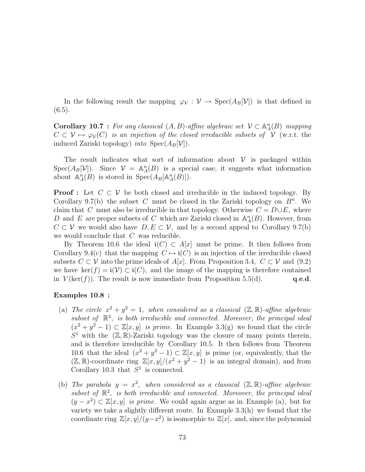In the following result the mapping  $\varphi_{\mathcal{V}} : \mathcal{V} \to \text{Spec}(A_B[\mathcal{V}])$  is that defined in  $(6.5).$ 

**Corollary 10.7** : For any classical  $(A, B)$ -affine algebraic set  $V \subset \mathbb{A}^n_A(B)$  mapping  $C \subset V \mapsto \varphi_{\mathcal{V}}(C)$  is an injection of the closed irreducible subsets of V (w.r.t. the induced Zariski topology) *into*  $Spec(A_B[\mathcal{V}]).$ 

The result indicates what sort of information about  $\mathcal V$  is packaged within Spec( $A_B[\mathcal{V}]$ ). Since  $\mathcal{V} = \mathbb{A}_A^n(B)$  is a special case, it suggests what information about  $\mathbb{A}_{A}^{n}(B)$  is stored in  $Spec(A_{B}[\mathbb{A}_{A}^{n}(B)]).$ 

**Proof**: Let  $C \subset V$  be both closed and irreducible in the induced topology. By Corollary 9.7(b) the subset C must be closed in the Zariski topology on  $B<sup>n</sup>$ . We claim that C must also be irreducible in that topology. Otherwise  $C = D \cup E$ , where D and E are proper subsets of C which are Zariski closed in  $\mathbb{A}_{A}^{n}(B)$ . However, from  $C \subset V$  we would also have  $D, E \subset V$ , and by a second appeal to Corollary 9.7(b) we would conclude that C was reducible.

By Theorem 10.6 the ideal  $\mathfrak{i}(C) \subset A[x]$  must be prime. It then follows from Corollary 9.4(c) that the mapping  $C \mapsto i(C)$  is an injection of the irreducible closed subsets  $C \subset V$  into the prime ideals of A[x]. From Proposition 3.4,  $C \subset V$  and (9.2) we have ker(f) =  $i(\mathcal{V}) \subset i(\mathcal{C})$ , and the image of the mapping is therefore contained in  $V(\ker(f))$ . The result is now immediate from Proposition 5.5(d).  $q.e.d.$ 

## Examples 10.8 :

- (a) The circle  $x^2 + y^2 = 1$ , when considered as a classical  $(\mathbb{Z}, \mathbb{R})$ -affine algebraic subset of  $\mathbb{R}^2$ , is both irreducible and connected. Moreover, the principal ideal  $(x^2 + y^2 - 1) \subset \mathbb{Z}[x, y]$  is prime. In Example 3.3(g) we found that the circle  $S<sup>1</sup>$  with the  $(\mathbb{Z}, \mathbb{R})$ -Zariski topology was the closure of many points therein, and is therefore irreducible by Corollary 10.5. It then follows from Theorem 10.6 that the ideal  $(x^2 + y^2 - 1) \subset \mathbb{Z}[x, y]$  is prime (or, equivalently, that the  $(\mathbb{Z}, \mathbb{R})$ -coordinate ring  $\mathbb{Z}[x, y]/(x^2 + y^2 - 1)$  is an integral domain), and from Corollary 10.3 that  $S^1$  is connected.
- (b) The parabola  $y = x^2$ , when considered as a classical  $(\mathbb{Z}, \mathbb{R})$ -affine algebraic subset of  $\mathbb{R}^2$ , is both irreducible and connected. Moreover, the principal ideal  $(y - x^2) \subset \mathbb{Z}[x, y]$  is prime. We could again argue as in Example (a), but for variety we take a slightly different route. In Example 3.3(h) we found that the coordinate ring  $\mathbb{Z}[x,y]/(y-x^2)$  is isomorphic to  $\mathbb{Z}[x]$ , and, since the polynomial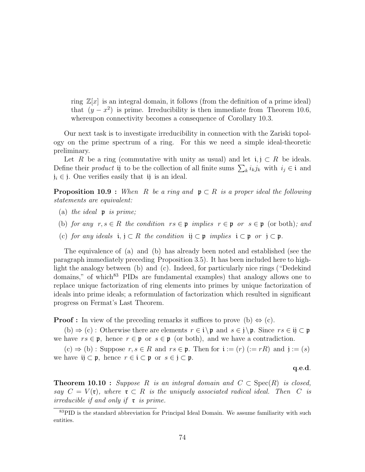ring  $\mathbb{Z}[x]$  is an integral domain, it follows (from the definition of a prime ideal) that  $(y - x^2)$  is prime. Irreducibility is then immediate from Theorem 10.6, whereupon connectivity becomes a consequence of Corollary 10.3.

Our next task is to investigate irreducibility in connection with the Zariski topology on the prime spectrum of a ring. For this we need a simple ideal-theoretic preliminary.

Let R be a ring (commutative with unity as usual) and let  $i, j \subset R$  be ideals. Let *R* be a ring (commutative with unity as usual) and let  $I$ ,  $\cup$  *R* be ideals.<br>Define their *product* ij to be the collection of all finite sums  $\sum_{k} i_{k} j_{k}$  with  $i_{j} \in \mathfrak{i}$  and  $j_i \in j$ . One verifies easily that ij is an ideal.

**Proposition 10.9** : When R be a ring and  $\mathfrak{p} \subset R$  is a proper ideal the following statements are equivalent:

- (a) the ideal  $\mathfrak p$  is prime;
- (b) for any  $r, s \in R$  the condition  $rs \in \mathfrak{p}$  implies  $r \in \mathfrak{p}$  or  $s \in \mathfrak{p}$  (or both); and
- (c) for any ideals  $i, j \subset R$  the condition  $ij \subset p$  implies  $i \subset p$  or  $j \subset p$ .

The equivalence of (a) and (b) has already been noted and established (see the paragraph immediately preceding Proposition 3.5). It has been included here to highlight the analogy between (b) and (c). Indeed, for particularly nice rings ("Dedekind domains," of which<sup>83</sup> PIDs are fundamental examples) that analogy allows one to replace unique factorization of ring elements into primes by unique factorization of ideals into prime ideals; a reformulation of factorization which resulted in significant progress on Fermat's Last Theorem.

**Proof :** In view of the preceding remarks it suffices to prove (b)  $\Leftrightarrow$  (c).

(b)  $\Rightarrow$  (c) : Otherwise there are elements  $r \in i \$ p and  $s \in j \$ p. Since  $rs \in ij \subset p$ we have  $rs \in \mathfrak{p}$ , hence  $r \in \mathfrak{p}$  or  $s \in \mathfrak{p}$  (or both), and we have a contradiction.

 $(c) \Rightarrow (b)$ : Suppose  $r, s \in R$  and  $rs \in \mathfrak{p}$ . Then for  $\mathfrak{i} := (r)$   $(:= rR)$  and  $\mathfrak{j} := (s)$ we have  $\mathfrak{ij} \subset \mathfrak{p}$ , hence  $r \in \mathfrak{i} \subset \mathfrak{p}$  or  $s \in \mathfrak{j} \subset \mathfrak{p}$ .

## q.e.d.

**Theorem 10.10 :** Suppose R is an integral domain and  $C \subset \text{Spec}(R)$  is closed, say  $C = V(\mathfrak{r})$ , where  $\mathfrak{r} \subset R$  is the uniquely associated radical ideal. Then C is irreducible if and only if  $\mathfrak r$  is prime.

<sup>&</sup>lt;sup>83</sup>PID is the standard abbreviation for Principal Ideal Domain. We assume familiarity with such entities.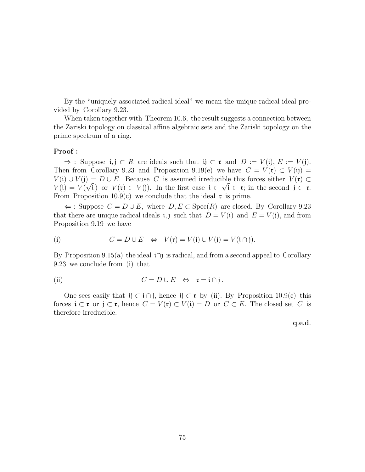By the "uniquely associated radical ideal" we mean the unique radical ideal provided by Corollary 9.23.

When taken together with Theorem 10.6, the result suggests a connection between the Zariski topology on classical affine algebraic sets and the Zariski topology on the prime spectrum of a ring.

## Proof :

 $\Rightarrow$ : Suppose i, j ⊂ R are ideals such that ij ⊂ r and D :=  $V(i)$ ,  $E := V(j)$ . Then from Corollary 9.23 and Proposition 9.19(e) we have  $C = V(\mathfrak{r}) \subset V(\mathfrak{ij}) =$  $V(i) \cup V(j) = D \cup E$ . Because C is assumed irreducible this forces either  $V(\mathfrak{r}) \subset$  $V(i) = V(\sqrt{i})$  or  $V(\mathfrak{r}) \subset V(i)$ . In the first case  $i \subset \sqrt{i} \subset \mathfrak{r}$ ; in the second  $j \subset \mathfrak{r}$ . From Proposition 10.9(c) we conclude that the ideal  $\mathfrak{r}$  is prime.

 $\Leftarrow$ : Suppose  $C = D \cup E$ , where  $D, E \subset \text{Spec}(R)$  are closed. By Corollary 9.23 that there are unique radical ideals i, j such that  $D = V(i)$  and  $E = V(j)$ , and from Proposition 9.19 we have

(i) 
$$
C = D \cup E \Leftrightarrow V(\mathfrak{r}) = V(\mathfrak{i}) \cup V(\mathfrak{j}) = V(\mathfrak{i} \cap \mathfrak{j}).
$$

By Proposition 9.15(a) the ideal i $\cap$ j is radical, and from a second appeal to Corollary 9.23 we conclude from (i) that

(ii) 
$$
C = D \cup E \Leftrightarrow \mathfrak{r} = \mathfrak{i} \cap \mathfrak{j}.
$$

One sees easily that ij  $\subset i \cap j$ , hence ij  $\subset \mathfrak{r}$  by (ii). By Proposition 10.9(c) this forces  $\mathfrak{i} \subset \mathfrak{r}$  or  $\mathfrak{j} \subset \mathfrak{r}$ , hence  $C = V(\mathfrak{r}) \subset V(\mathfrak{i}) = D$  or  $C \subset E$ . The closed set C is therefore irreducible.

q.e.d.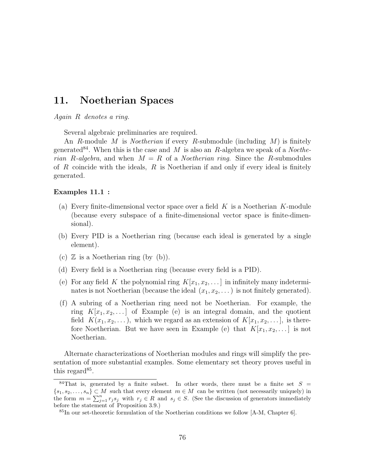# 11. Noetherian Spaces

Again R denotes a ring.

Several algebraic preliminaries are required.

An R-module M is *Noetherian* if every R-submodule (including M) is finitely generated<sup>84</sup>. When this is the case and M is also an R-algebra we speak of a *Noethe*rian R-algebra, and when  $M = R$  of a *Noetherian ring*. Since the R-submodules of  $R$  coincide with the ideals,  $R$  is Noetherian if and only if every ideal is finitely generated.

#### Examples 11.1 :

- (a) Every finite-dimensional vector space over a field  $K$  is a Noetherian  $K$ -module (because every subspace of a finite-dimensional vector space is finite-dimensional).
- (b) Every PID is a Noetherian ring (because each ideal is generated by a single element).
- (c)  $\mathbb Z$  is a Noetherian ring (by (b)).
- (d) Every field is a Noetherian ring (because every field is a PID).
- (e) For any field K the polynomial ring  $K[x_1, x_2, \ldots]$  in infinitely many indeterminates is not Noetherian (because the ideal  $(x_1, x_2, \ldots)$  is not finitely generated).
- (f) A subring of a Noetherian ring need not be Noetherian. For example, the ring  $K[x_1, x_2, \ldots]$  of Example (e) is an integral domain, and the quotient field  $K(x_1, x_2, \ldots)$ , which we regard as an extension of  $K[x_1, x_2, \ldots]$ , is therefore Noetherian. But we have seen in Example (e) that  $K[x_1, x_2, \dots]$  is not Noetherian.

Alternate characterizations of Noetherian modules and rings will simplify the presentation of more substantial examples. Some elementary set theory proves useful in this regard<sup>85</sup>.

<sup>&</sup>lt;sup>84</sup>That is, generated by a finite subset. In other words, there must be a finite set  $S =$  $\{s_1, s_2, \ldots, s_n\} \subset M$  such that every element  $m \in M$  can be written (not necessarily uniquely) in the form  $m = \sum_{j=1}^n r_j s_j$  with  $r_j \in R$  and  $s_j \in S$ . (See the discussion of generators immediately before the statement of Proposition 3.9.)

 ${}^{85}$ In our set-theoretic formulation of the Noetherian conditions we follow [A-M, Chapter 6].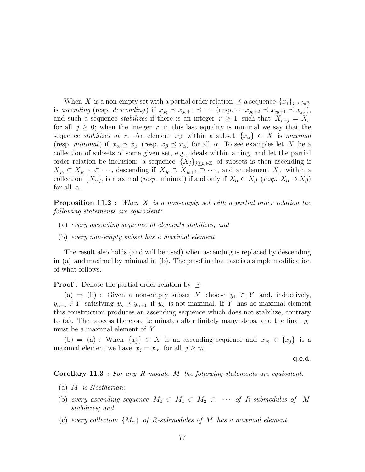When X is a non-empty set with a partial order relation  $\preceq$  a sequence  $\{x_j\}_{j_0\leq j\in\mathbb{Z}}$ is ascending (resp. descending) if  $x_{j_0} \preceq x_{j_0+1} \preceq \cdots$  (resp.  $\cdots x_{j_0+2} \preceq x_{j_0+1} \preceq x_{j_0}$ ), and such a sequence *stabilizes* if there is an integer  $r \geq 1$  such that  $X_{r+j} = X_r$ for all  $j \geq 0$ ; when the integer r in this last equality is minimal we say that the sequence stabilizes at r. An element  $x_\beta$  within a subset  $\{x_\alpha\} \subset X$  is maximal (resp. minimal) if  $x_\alpha \preceq x_\beta$  (resp.  $x_\beta \preceq x_\alpha$ ) for all  $\alpha$ . To see examples let X be a collection of subsets of some given set, e.g., ideals within a ring, and let the partial order relation be inclusion: a sequence  $\{X_j\}_{j\geq j_0\in\mathbb{Z}}$  of subsets is then ascending if  $X_{j_0} \subset X_{j_0+1} \subset \cdots$ , descending if  $X_{j_0} \supset X_{j_0+1} \supset \cdots$ , and an element  $X_{\beta}$  within a collection  $\{X_{\alpha}\}\$ , is maximal (resp. minimal) if and only if  $X_{\alpha} \subset X_{\beta}$  (resp.  $X_{\alpha} \supset X_{\beta}$ ) for all  $\alpha$ .

**Proposition 11.2** : When X is a non-empty set with a partial order relation the following statements are equivalent:

- (a) every ascending sequence of elements stabilizes; and
- (b) every non-empty subset has a maximal element.

The result also holds (and will be used) when ascending is replaced by descending in (a) and maximal by minimal in (b). The proof in that case is a simple modification of what follows.

**Proof :** Denote the partial order relation by  $\preceq$ .

(a)  $\Rightarrow$  (b) : Given a non-empty subset Y choose  $y_1 \in Y$  and, inductively,  $y_{n+1} \in Y$  satisfying  $y_n \preceq y_{n+1}$  if  $y_n$  is not maximal. If Y has no maximal element this construction produces an ascending sequence which does not stabilize, contrary to (a). The process therefore terminates after finitely many steps, and the final  $y_r$ must be a maximal element of Y.

(b)  $\Rightarrow$  (a) : When  $\{x_j\} \subset X$  is an ascending sequence and  $x_m \in \{x_j\}$  is a maximal element we have  $x_j = x_m$  for all  $j \geq m$ .

q.e.d.

Corollary 11.3 : For any R-module M the following statements are equivalent.

- (a) M is Noetherian;
- (b) every ascending sequence  $M_0 \subset M_1 \subset M_2 \subset \cdots$  of R-submodules of M stabilizes; and
- (c) every collection  $\{M_{\alpha}\}\$  of R-submodules of M has a maximal element.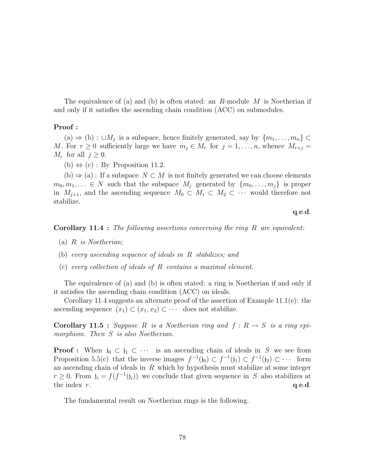The equivalence of (a) and (b) is often stated: an  $R$ -module  $M$  is Noetherian if and only if it satisfies the ascending chain condition (ACC) on submodules.

#### Proof :

 $(a)$  ⇒ (b) : ∪ $M_j$  is a subspace, hence finitely generated, say by  $\{m_1, \ldots, m_n\}$  ⊂ M. For  $r \geq 0$  sufficiently large we have  $m_j \in M_r$  for  $j = 1, \ldots, n$ , whence  $M_{r+j} =$  $M_r$  for all  $j \geq 0$ .

(b)  $\Leftrightarrow$  (c) : By Proposition 11.2.

 $(b) \Rightarrow (a)$ : If a subspace  $N \subset M$  is not finitely generated we can choose elements  $m_0, m_1, \ldots \in N$  such that the subspace  $M_i$  generated by  $\{m_0, \ldots, m_i\}$  is proper in  $M_{j+1}$ , and the ascending sequence  $M_0 \subset M_1 \subset M_2 \subset \cdots$  would therefore not stabilize.

#### q.e.d.

#### **Corollary 11.4 :** The following assertions concerning the ring R are equivalent:

- (a)  $R$  is Noetherian;
- (b) every ascending sequence of ideals in R stabilizes; and
- (c) every collection of ideals of R contains a maximal element.

The equivalence of (a) and (b) is often stated: a ring is Noetherian if and only if it satisfies the ascending chain condition (ACC) on ideals.

Corollary 11.4 suggests an alternate proof of the assertion of Example  $11.1(e)$ : the ascending sequence  $(x_1) \subset (x_1, x_2) \subset \cdots$  does not stabilize.

**Corollary 11.5** : Suppose R is a Noetherian ring and  $f: R \rightarrow S$  is a ring epimorphism. Then S is also Noetherian.

**Proof :** When  $j_0 \,\subset j_1 \,\subset \cdots$  is an ascending chain of ideals in S we see from Proposition 5.5(c) that the inverse images  $f^{-1}(j_0) \subset f^{-1}(j_1) \subset f^{-1}(j_2) \subset \cdots$  form an ascending chain of ideals in  $R$  which by hypothesis must stabilize at some integer  $r \geq 0$ . From  $\mathfrak{j}_i = f(f^{-1}(\mathfrak{j}_i))$  we conclude that given sequence in S also stabilizes at the index  $r$ .  $q.e.d.$ 

The fundamental result on Noetherian rings is the following.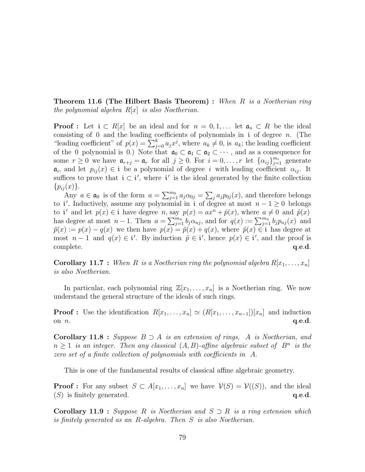**Theorem 11.6 (The Hilbert Basis Theorem)** : When  $R$  is a Noetherian ring the polynomial algebra  $R[x]$  is also Noetherian.

**Proof :** Let  $i \text{ }\subset R[x]$  be an ideal and for  $n = 0, 1, \ldots$  let  $\mathfrak{a}_n \subset R$  be the ideal consisting of 0 and the leading coefficients of polynomials in *i* of degree *n*. (The "leading coefficient" of  $p(x) = \sum_{j=0}^{k} a_j x^j$ , where  $a_k \neq 0$ , is  $a_k$ ; the leading coefficient of the 0 polynomial is 0.) Note that  $\mathfrak{a}_0 \subset \mathfrak{a}_1 \subset \mathfrak{a}_2 \subset \cdots$ , and as a consequence for some  $r \geq 0$  we have  $\mathfrak{a}_{r+j} = \mathfrak{a}_r$  for all  $j \geq 0$ . For  $i = 0, \ldots, r$  let  $\{\alpha_{ij}\}_{j=1}^{m_i}$  generate  $a_i$ , and let  $p_{ij}(x) \in \mathfrak{i}$  be a polynomial of degree i with leading coefficient  $\alpha_{ij}$ . It suffices to prove that  $i \in i'$ , where i' is the ideal generated by the finite collection  $\{p_{ij}(x)\}.$  $\overline{ }$ 

Any  $a \in \mathfrak{a}_0$  is of the form  $a = \sum_{i=1}^{m_0} a_i$  $_{j=1}^{m_0}a_j\alpha_{0j}=$  $_{j}a_{j}p_{0j}(x)$ , and therefore belongs to i'. Inductively, assume any polynomial in i of degree at most  $n - 1 \geq 0$  belongs to i' and let  $p(x) \in i$  have degree n, say  $p(x) = ax^n + \hat{p}(x)$ , where  $a \neq 0$  and  $\hat{p}(x)$ to t and let  $p(x) \in Y$  have degree n, say  $p(x) = ax + p(x)$ , where  $a \neq 0$  and  $p(x)$ <br>has degree at most  $n - 1$ . Then  $a = \sum_{j=1}^{m_n} b_j \alpha_{nj}$ , and for  $q(x) := \sum_{j=1}^{m_n} b_j p_{nj}(x)$  and  $\tilde{p}(x) := p(x) - q(x)$  we then have  $p(x) = \tilde{p}(x) + q(x)$ , where  $\tilde{p}(x) \in \mathfrak{i}$  has degree at most  $n-1$  and  $q(x) \in \mathfrak{i}'$ . By induction  $\tilde{p} \in \mathfrak{i}'$ , hence  $p(x) \in \mathfrak{i}'$ , and the proof is  $\qquad \qquad \text{complete.} \qquad \qquad \text{q.e.d.}$ 

**Corollary 11.7** : When R is a Noetherian ring the polynomial algebra  $R[x_1, \ldots, x_n]$ is also Noetherian.

In particular, each polynomial ring  $\mathbb{Z}[x_1, \ldots, x_n]$  is a Noetherian ring. We now understand the general structure of the ideals of such rings.

**Proof :** Use the identification  $R[x_1, \ldots, x_n] \simeq (R[x_1, \ldots, x_{n-1}])[x_n]$  and induction on  $n$ .  $q.e.d.$ 

Corollary 11.8 : Suppose  $B \supset A$  is an extension of rings, A is Noetherian, and  $n \geq 1$  is an integer. Then any classical  $(A, B)$ -affine algebraic subset of  $B<sup>n</sup>$  is the zero set of a finite collection of polynomials with coefficients in A.

This is one of the fundamental results of classical affine algebraic geometry.

**Proof :** For any subset  $S \subset A[x_1,\ldots,x_n]$  we have  $\mathcal{V}(S) = \mathcal{V}((S))$ , and the ideal  $(S)$  is finitely generated.  $q.e.d.$ 

**Corollary 11.9** : Suppose R is Noetherian and  $S \supset R$  is a ring extension which is finitely generated as an R-algebra. Then S is also Noetherian.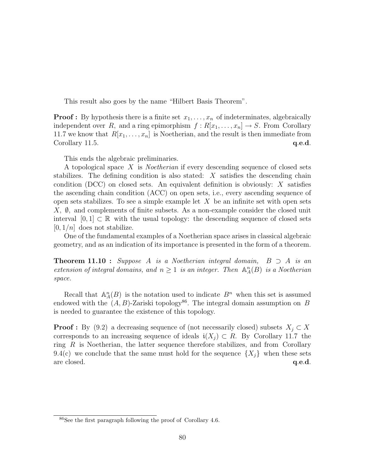This result also goes by the name "Hilbert Basis Theorem".

**Proof :** By hypothesis there is a finite set  $x_1, \ldots, x_n$  of indeterminates, algebraically independent over R, and a ring epimorphism  $f : R[x_1, \ldots, x_n] \to S$ . From Corollary 11.7 we know that  $R[x_1, \ldots, x_n]$  is Noetherian, and the result is then immediate from Corollary 11.5.  $q.e.d.$ 

This ends the algebraic preliminaries.

A topological space X is Noetherian if every descending sequence of closed sets stabilizes. The defining condition is also stated:  $X$  satisfies the descending chain condition (DCC) on closed sets. An equivalent definition is obviously:  $X$  satisfies the ascending chain condition (ACC) on open sets, i.e., every ascending sequence of open sets stabilizes. To see a simple example let  $X$  be an infinite set with open sets  $X, \emptyset$ , and complements of finite subsets. As a non-example consider the closed unit interval  $[0, 1] \subset \mathbb{R}$  with the usual topology: the descending sequence of closed sets  $[0, 1/n]$  does not stabilize.

One of the fundamental examples of a Noetherian space arises in classical algebraic geometry, and as an indication of its importance is presented in the form of a theorem.

**Theorem 11.10 :** Suppose A is a Noetherian integral domain,  $B \supset A$  is an extension of integral domains, and  $n \geq 1$  is an integer. Then  $\mathbb{A}^n_A(B)$  is a Noetherian space.

Recall that  $\mathbb{A}_{A}^{n}(B)$  is the notation used to indicate  $B^{n}$  when this set is assumed endowed with the  $(A, B)$ -Zariski topology<sup>86</sup>. The integral domain assumption on B is needed to guarantee the existence of this topology.

**Proof :** By (9.2) a decreasing sequence of (not necessarily closed) subsets  $X_i \subset X$ corresponds to an increasing sequence of ideals  $i(X_i) \subset R$ . By Corollary 11.7 the ring  $R$  is Noetherian, the latter sequence therefore stabilizes, and from Corollary 9.4(c) we conclude that the same must hold for the sequence  $\{X_i\}$  when these sets are closed.  $q.e.d.$ 

<sup>86</sup>See the first paragraph following the proof of Corollary 4.6.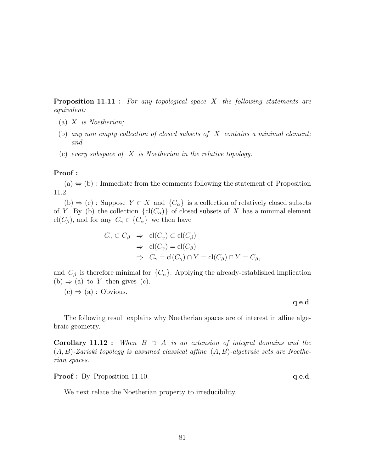**Proposition 11.11 :** For any topological space X the following statements are equivalent:

- (a)  $X$  is Noetherian;
- (b) any non empty collection of closed subsets of  $X$  contains a minimal element; and
- (c) every subspace of X is Noetherian in the relative topology.

## Proof :

 $(a) \Leftrightarrow (b)$ : Immediate from the comments following the statement of Proposition 11.2.

(b)  $\Rightarrow$  (c) : Suppose  $Y \subset X$  and  $\{C_{\alpha}\}\$ is a collection of relatively closed subsets of Y. By (b) the collection  $\{cl(C_\alpha)\}\$  of closed subsets of X has a minimal element cl( $C_{\beta}$ ), and for any  $C_{\gamma} \in \{C_{\alpha}\}\$ we then have

$$
C_{\gamma} \subset C_{\beta} \Rightarrow \text{cl}(C_{\gamma}) \subset \text{cl}(C_{\beta})
$$
  
\n
$$
\Rightarrow \text{cl}(C_{\gamma}) = \text{cl}(C_{\beta})
$$
  
\n
$$
\Rightarrow C_{\gamma} = \text{cl}(C_{\gamma}) \cap Y = \text{cl}(C_{\beta}) \cap Y = C_{\beta},
$$

and  $C_\beta$  is therefore minimal for  $\{C_\alpha\}$ . Applying the already-established implication (b)  $\Rightarrow$  (a) to Y then gives (c).

 $(c) \Rightarrow (a) :$  Obvious.

#### q.e.d.

The following result explains why Noetherian spaces are of interest in affine algebraic geometry.

**Corollary 11.12 :** When  $B \supset A$  is an extension of integral domains and the  $(A, B)$ -Zariski topology is assumed classical affine  $(A, B)$ -algebraic sets are Noetherian spaces.

**Proof :** By Proposition 11.10. **q.e.d.** 

We next relate the Noetherian property to irreducibility.

$$
81\\
$$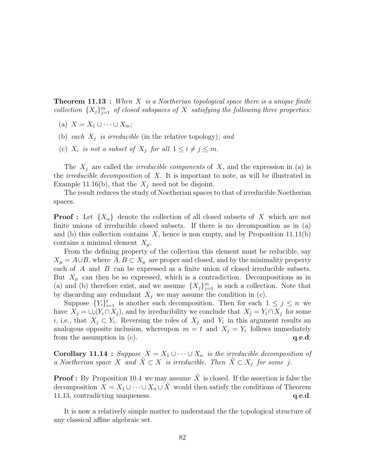**Theorem 11.13** : When X is a Noetherian topological space there is a unique finite collection  $\{X_j\}_{j=1}^m$  of closed subspaces of X satisfying the following three properties:

- (a)  $X = X_1 \cup \cdots \cup X_m;$
- (b) each  $X_j$  is irreducible (in the relative topology); and
- (c)  $X_i$  is not a subset of  $X_j$  for all  $1 \leq i \neq j \leq m$ .

The  $X_i$  are called the *irreducible components* of X, and the expression in (a) is the *irreducible decomposition* of X. It is important to note, as will be illustrated in Example 11.16(b), that the  $X_i$  need not be disjoint.

The result reduces the study of Noetherian spaces to that of irreducible Noetherian spaces.

**Proof**: Let  $\{X_{\alpha}\}\$  denote the collection of all closed subsets of X which are not finite unions of irreducible closed subsets. If there is no decomposition as in (a) and (b) this collection contains  $X$ , hence is non empty, and by Proposition 11.11(b) contains a minimal element  $X_{\mu}$ .

From the defining property of the collection this element must be reducible, say  $X_{\mu} = A \cup B$ , where  $A, B \subset X_{\mu}$  are proper and closed, and by the minimality property each of A and B can be expressed as a finite union of closed irreducible subsets. But  $X_\mu$  can then be so expressed, which is a contradiction. Decompositions as in (a) and (b) therefore exist, and we assume  $\{X_j\}_{j=1}^m$  is such a collection. Note that by discarding any redundant  $X_i$  we may assume the condition in (c).

Suppose  $\{Y_i\}_{i=1}^t$  is another such decomposition. Then for each  $1 \leq j \leq n$  we have  $X_j = \bigcup_i (Y_i \cap X_j)$ , and by irreducibility we conclude that  $X_j = Y_i \cap X_j$  for some *i*, i.e., that  $X_j \subset Y_i$ . Reversing the roles of  $X_j$  and  $Y_i$  in this argument results an analogous opposite inclusion, whereupon  $m = t$  and  $X_j = Y_i$  follows immediately from the assumption in  $(c)$ .  $q.e.d.$ 

**Corollary 11.14 :** Suppose  $X = X_1 \cup \cdots \cup X_n$  is the irreducible decomposition of a Noetherian space X and  $X \subset X$  is irreducible. Then  $X \subset X_j$  for some j.

**Proof :** By Proposition 10.4 we may assume  $\tilde{X}$  is closed. If the assertion is false the decomposition  $X = X_1 \cup \cdots \cup X_n \cup \tilde{X}$  would then satisfy the conditions of Theorem 11.13, contradicting uniqueness.  $q.e.d.$ 

It is now a relatively simple matter to understand the the topological structure of any classical affine algebraic set.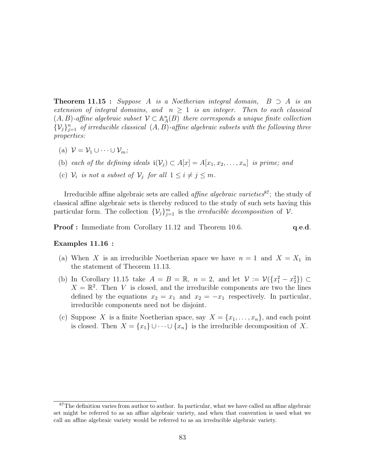**Theorem 11.15 :** Suppose A is a Noetherian integral domain,  $B \supset A$  is an extension of integral domains, and  $n \geq 1$  is an integer. Then to each classical  $(A, B)$ -affine algebraic subset  $\mathcal{V} \subset \mathbb{A}_{A}^{n}(B)$  there corresponds a unique finite collection  $\{\mathcal{V}_j\}_{j=1}^n$  of irreducible classical  $(A, B)$ -affine algebraic subsets with the following three properties:

- (a)  $\mathcal{V} = \mathcal{V}_1 \cup \cdots \cup \mathcal{V}_m$ ;
- (b) each of the defining ideals  $\mathfrak{i}(\mathcal{V}_j) \subset A[x] = A[x_1, x_2, \ldots, x_n]$  is prime; and
- (c)  $\mathcal{V}_i$  is not a subset of  $\mathcal{V}_j$  for all  $1 \leq i \neq j \leq m$ .

Irreducible affine algebraic sets are called *affine algebraic varieties*<sup>87</sup>; the study of classical affine algebraic sets is thereby reduced to the study of such sets having this particular form. The collection  $\{V_j\}_{j=1}^m$  is the *irreducible decomposition* of  $V$ .

**Proof :** Immediate from Corollary 11.12 and Theorem 10.6. **q.e.d.** 

#### Examples 11.16 :

- (a) When X is an irreducible Noetherian space we have  $n = 1$  and  $X = X_1$  in the statement of Theorem 11.13.
- (b) In Corollary 11.15 take  $A = B = \mathbb{R}$ ,  $n = 2$ , and let  $\mathcal{V} := \mathcal{V}(\lbrace x_1^2 x_2^2 \rbrace) \subset$  $X = \mathbb{R}^2$ . Then V is closed, and the irreducible components are two the lines defined by the equations  $x_2 = x_1$  and  $x_2 = -x_1$  respectively. In particular, irreducible components need not be disjoint.
- (c) Suppose X is a finite Noetherian space, say  $X = \{x_1, \ldots, x_n\}$ , and each point is closed. Then  $X = \{x_1\} \cup \cdots \cup \{x_n\}$  is the irreducible decomposition of X.

<sup>&</sup>lt;sup>87</sup>The definition varies from author to author. In particular, what we have called an affine algebraic set might be referred to as an affine algebraic variety, and when that convention is used what we call an affine algebraic variety would be referred to as an irreducible algebraic variety.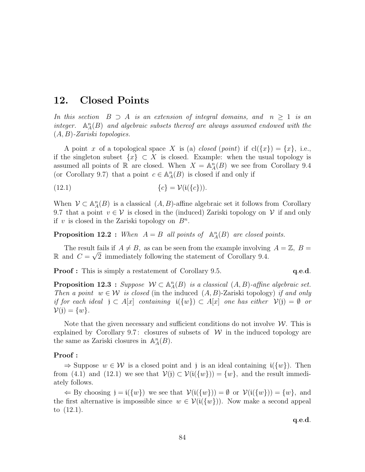# 12. Closed Points

In this section  $B \supset A$  is an extension of integral domains, and  $n \geq 1$  is an integer.  $\mathbb{A}_{A}^{n}(B)$  and algebraic subsets thereof are always assumed endowed with the  $(A, B)$ -Zariski topologies.

A point x of a topological space X is (a) closed (point) if  $cl({x}) = {x}$ , i.e., if the singleton subset  $\{x\} \subset X$  is closed. Example: when the usual topology is assumed all points of R are closed. When  $X = \mathbb{A}_{A}^{n}(B)$  we see from Corollary 9.4 (or Corollary 9.7) that a point  $c \in \mathbb{A}_{A}^{n}(B)$  is closed if and only if

$$
(12.1) \qquad \qquad \{c\} = \mathcal{V}(\mathfrak{i}(\{c\})).
$$

When  $V \subset \mathbb{A}_{A}^{n}(B)$  is a classical  $(A, B)$ -affine algebraic set it follows from Corollary 9.7 that a point  $v \in V$  is closed in the (induced) Zariski topology on V if and only if v is closed in the Zariski topology on  $B<sup>n</sup>$ .

**Proposition 12.2**: When  $A = B$  all points of  $\mathbb{A}_A^n(B)$  are closed points.

The result fails if  $A \neq B$ , as can be seen from the example involving  $A = \mathbb{Z}$ ,  $B = \mathbb{Z}$ R and  $C = \sqrt{2}$  immediately following the statement of Corollary 9.4.

**Proof :** This is simply a restatement of Corollary 9.5. **q.e.d.** 

**Proposition 12.3** : Suppose  $W \subset \mathbb{A}^n_A(B)$  is a classical  $(A, B)$ -affine algebraic set. Then a point  $w \in \mathcal{W}$  is closed (in the induced  $(A, B)$ -Zariski topology) if and only if for each ideal  $j \text{ }\subset A[x]$  containing  $i({w}) \subset A[x]$  one has either  $V(j) = \emptyset$  or  $V(j) = \{w\}.$ 

Note that the given necessary and sufficient conditions do not involve  $\mathcal W$ . This is explained by Corollary 9.7: closures of subsets of  $W$  in the induced topology are the same as Zariski closures in  $\mathbb{A}_{A}^{n}(B)$ .

#### Proof :

 $\Rightarrow$  Suppose  $w \in \mathcal{W}$  is a closed point and j is an ideal containing  $i({w})$ . Then from (4.1) and (12.1) we see that  $V(j) \subset V(i({w}) = \{w\}$ , and the result immediately follows.

 $\Leftarrow$  By choosing  $j = i({w})$  we see that  $V(i({w})) = \emptyset$  or  $V(i({w})) = {w}$ , and the first alternative is impossible since  $w \in \mathcal{V}(\mathfrak{i}(\{w\}))$ . Now make a second appeal to (12.1).

q.e.d.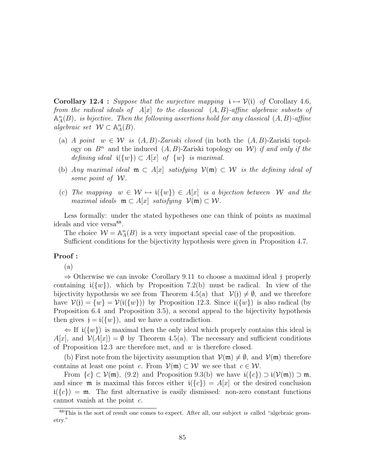**Corollary 12.4** : Suppose that the surjective mapping  $i \mapsto \mathcal{V}(i)$  of Corollary 4.6, from the radical ideals of  $A[x]$  to the classical  $(A, B)$ -affine algebraic subsets of  $\mathbb{A}_A^n(B)$ , is bijective. Then the following assertions hold for any classical  $(A, B)$ -affine algebraic set  $W \subset \mathbb{A}^n_A(B)$ .

- (a) A point  $w \in \mathcal{W}$  is  $(A, B)$ -Zariski closed (in both the  $(A, B)$ -Zariski topology on  $B^n$  and the induced  $(A, B)$ -Zariski topology on W) if and only if the defining ideal  $\mathfrak{i}(\{w\}) \subset A[x]$  of  $\{w\}$  is maximal.
- (b) Any maximal ideal  $\mathfrak{m} \subset A[x]$  satisfying  $\mathcal{V}(\mathfrak{m}) \subset \mathcal{W}$  is the defining ideal of some point of W.
- (c) The mapping  $w \in \mathcal{W} \mapsto i({w}) \in A[x]$  is a bijection between W and the maximal ideals  $\mathfrak{m} \subset A[x]$  satisfying  $\mathcal{V}(\mathfrak{m}) \subset \mathcal{W}$ .

Less formally: under the stated hypotheses one can think of points as maximal ideals and vice versa<sup>88</sup>.

The choice  $W = \mathbb{A}_{A}^{n}(B)$  is a very important special case of the proposition. Sufficient conditions for the bijectivity hypothesis were given in Proposition 4.7.

## Proof :

(a)

⇒ Otherwise we can invoke Corollary 9.11 to choose a maximal ideal j properly containing  $\mathfrak{i}(\{w\})$ , which by Proposition 7.2(b) must be radical. In view of the bijectivity hypothesis we see from Theorem 4.5(a) that  $\mathcal{V}(j) \neq \emptyset$ , and we therefore have  $V(j) = \{w\} = V(i(\{w\}))$  by Proposition 12.3. Since  $i(\{w\})$  is also radical (by Proposition 6.4 and Proposition 3.5), a second appeal to the bijectivity hypothesis then gives  $\mathbf{j} = \mathbf{i}(\{w\})$ , and we have a contradiction.

 $\Leftarrow$  If  $\mathfrak{i}(\{w\})$  is maximal then the only ideal which properly contains this ideal is  $A[x]$ , and  $\mathcal{V}(A[x]) = \emptyset$  by Theorem 4.5(a). The necessary and sufficient conditions of Proposition 12.3 are therefore met, and  $w$  is therefore closed.

(b) First note from the bijectivity assumption that  $\mathcal{V}(\mathfrak{m}) \neq \emptyset$ , and  $\mathcal{V}(\mathfrak{m})$  therefore contains at least one point c. From  $V(\mathfrak{m}) \subset \mathcal{W}$  we see that  $c \in \mathcal{W}$ .

From  ${c} \subset \mathcal{V}(\mathfrak{m})$ , (9.2) and Proposition 9.3(b) we have  $\mathfrak{i}({c}) \supset \mathfrak{i}(\mathcal{V}(\mathfrak{m})) \supset \mathfrak{m}$ , and since  $\mathfrak m$  is maximal this forces either  $\mathfrak i({c}) = A[x]$  or the desired conclusion  $i({c}) = \mathfrak{m}$ . The first alternative is easily dismissed: non-zero constant functions cannot vanish at the point  $c$ .

<sup>&</sup>lt;sup>88</sup>This is the sort of result one comes to expect. After all, our subject is called "algebraic geometry."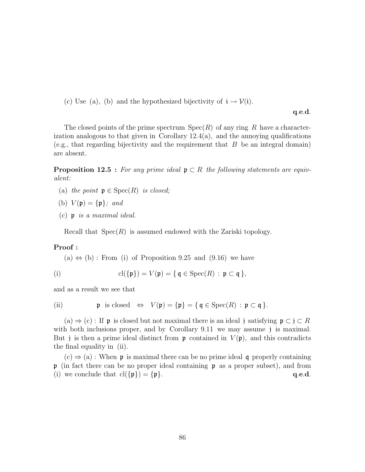(c) Use (a), (b) and the hypothesized bijectivity of  $i \rightarrow \mathcal{V}(i)$ .

q.e.d.

The closed points of the prime spectrum  $Spec(R)$  of any ring R have a characterization analogous to that given in Corollary  $12.4(a)$ , and the annoying qualifications (e.g., that regarding bijectivity and the requirement that  $B$  be an integral domain) are absent.

**Proposition 12.5** : For any prime ideal  $\mathfrak{p} \subset R$  the following statements are equivalent:

- (a) the point  $\mathfrak{p} \in \mathrm{Spec}(R)$  is closed;
- (b)  $V(\mathfrak{p}) = {\mathfrak{p}}; and$
- (c) p is a maximal ideal.

Recall that  $Spec(R)$  is assumed endowed with the Zariski topology.

#### Proof :

 $(a) \Leftrightarrow (b)$ : From (i) of Proposition 9.25 and (9.16) we have

(i) 
$$
\operatorname{cl}(\{\mathfrak{p}\}) = V(\mathfrak{p}) = \{ \mathfrak{q} \in \operatorname{Spec}(R) : \mathfrak{p} \subset \mathfrak{q} \},
$$

and as a result we see that

(ii) 
$$
\mathfrak{p}
$$
 is closed  $\Leftrightarrow V(\mathfrak{p}) = {\mathfrak{p}} = {\mathfrak{q}} \in \operatorname{Spec}(R) : \mathfrak{p} \subset \mathfrak{q}$ .

 $(a) \Rightarrow (c)$ : If p is closed but not maximal there is an ideal j satisfying  $p \subset j \subset R$ with both inclusions proper, and by Corollary 9.11 we may assume j is maximal. But j is then a prime ideal distinct from  $\mathfrak p$  contained in  $V(\mathfrak p)$ , and this contradicts the final equality in (ii).

 $(c) \Rightarrow (a)$ : When p is maximal there can be no prime ideal q properly containing  $\mathfrak p$  (in fact there can be no proper ideal containing  $\mathfrak p$  as a proper subset), and from (i) we conclude that  $\text{cl}(\{\mathfrak{p}\}) = \{\mathfrak{p}\}.$  q.e.d.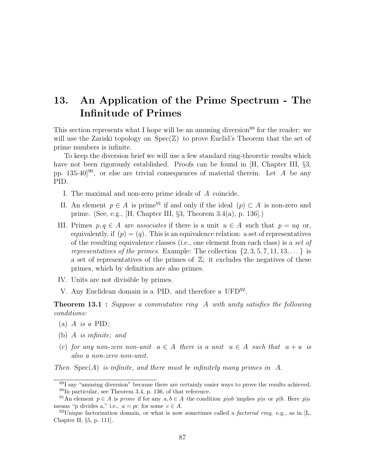# 13. An Application of the Prime Spectrum - The Infinitude of Primes

This section represents what I hope will be an amusing diversion<sup>89</sup> for the reader: we will use the Zariski topology on  $Spec(\mathbb{Z})$  to prove Euclid's Theorem that the set of prime numbers is infinite.

To keep the diversion brief we will use a few standard ring-theoretic results which have not been rigorously established. Proofs can be found in [H, Chapter III,  $\S3$ , pp. 135-40]<sup>90</sup>, or else are trivial consequences of material therein. Let  $A$  be any PID.

- I. The maximal and non-zero prime ideals of A coincide.
- II. An element  $p \in A$  is prime<sup>91</sup> if and only if the ideal  $(p) \subset A$  is non-zero and prime. (See, e.g., [H, Chapter III, §3, Theorem 3.4(a), p. 136].)
- III. Primes  $p, q \in A$  are associates if there is a unit  $u \in A$  such that  $p = uq$  or, equivalently, if  $(p) = (q)$ . This is an equivalence relation: a set of representatives of the resulting equivalence classes (i.e., one element from each class) is a set of representatives of the primes. Example: The collection  $\{2, 3, 5, 7, 11, 13, \ldots\}$  is a set of representatives of the primes of  $\mathbb{Z}$ ; it excludes the negatives of these primes, which by definition are also primes.
- IV. Units are not divisible by primes.
- V. Any Euclidean domain is a PID, and therefore a  $\text{UFD}^{92}$ .

**Theorem 13.1** : Suppose a commutative ring A with unity satisfies the following conditions:

- (a) A is a PID;
- (b) A is infinite; and
- (c) for any non-zero non-unit  $a \in A$  there is a unit  $u \in A$  such that  $a + u$  is also a non-zero non-unit.

Then  $Spec(A)$  is infinite, and there must be infinitely many primes in A.

<sup>89</sup>I say "amusing diversion" because there are certainly easier ways to prove the results achieved. <sup>90</sup>In particular, see Theorem 3.4, p. 136, of that reference.

<sup>&</sup>lt;sup>91</sup>An element  $p \in A$  is prime if for any  $a, b \in A$  the condition p|ab implies p|a or p|b. Here p|a means "p divides a," i.e.,  $a = pc$  for some  $c \in A$ .

<sup>&</sup>lt;sup>92</sup>Unique factorization domain, or what is now sometimes called a *factorial ring*, e.g., as in [L, Chapter II, §5, p. 111].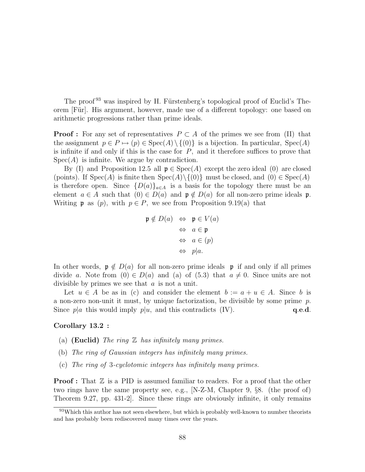The proof <sup>93</sup> was inspired by H. Fürstenberg's topological proof of Euclid's Theorem [Für]. His argument, however, made use of a different topology: one based on arithmetic progressions rather than prime ideals.

**Proof :** For any set of representatives  $P \subset A$  of the primes we see from (II) that the assignment  $p \in P \mapsto (p) \in \text{Spec}(A) \setminus \{(0)\}\$ is a bijection. In particular,  $\text{Spec}(A)$ is infinite if and only if this is the case for  $P$ , and it therefore suffices to prove that  $Spec(A)$  is infinite. We argue by contradiction.

By (I) and Proposition 12.5 all  $\mathfrak{p} \in \text{Spec}(A)$  except the zero ideal (0) are closed (points). If  $Spec(A)$  is finite then  $Spec(A)\setminus\{(0)\}$  must be closed, and  $(0) \in Spec(A)$ is therefore open. Since  ${D(a)}_{a\in A}$  is a basis for the topology there must be an element  $a \in A$  such that  $(0) \in D(a)$  and  $\mathfrak{p} \notin D(a)$  for all non-zero prime ideals  $\mathfrak{p}$ . Writing **p** as  $(p)$ , with  $p \in P$ , we see from Proposition 9.19(a) that

$$
\mathfrak{p} \notin D(a) \Leftrightarrow \mathfrak{p} \in V(a)
$$
  
\n
$$
\Leftrightarrow a \in \mathfrak{p}
$$
  
\n
$$
\Leftrightarrow a \in (p)
$$
  
\n
$$
\Leftrightarrow p|a.
$$

In other words,  $\mathfrak{p} \notin D(a)$  for all non-zero prime ideals p if and only if all primes divide a. Note from  $(0) \in D(a)$  and  $(a)$  of  $(5.3)$  that  $a \neq 0$ . Since units are not divisible by primes we see that a is not a unit.

Let  $u \in A$  be as in (c) and consider the element  $b := a + u \in A$ . Since b is a non-zero non-unit it must, by unique factorization, be divisible by some prime  $p$ . Since  $p|a$  this would imply  $p|u$ , and this contradicts (IV).  $q.e.d.$ 

#### Corollary 13.2 :

- (a) (**Euclid**) The ring  $\mathbb Z$  has infinitely many primes.
- (b) The ring of Gaussian integers has infinitely many primes.
- (c) The ring of 3-cyclotomic integers has infinitely many primes.

**Proof**: That  $\mathbb{Z}$  is a PID is assumed familiar to readers. For a proof that the other two rings have the same property see, e.g., [N-Z-M, Chapter 9, §8. (the proof of) Theorem 9.27, pp. 431-2]. Since these rings are obviously infinite, it only remains

<sup>&</sup>lt;sup>93</sup>Which this author has not seen elsewhere, but which is probably well-known to number theorists and has probably been rediscovered many times over the years.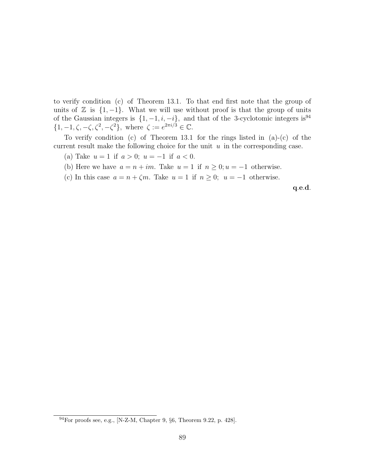to verify condition (c) of Theorem 13.1. To that end first note that the group of units of  $\mathbb Z$  is  $\{1, -1\}$ . What we will use without proof is that the group of units of the Gaussian integers is  $\{1, -1, i, -i\}$ , and that of the 3-cyclotomic integers is<sup>94</sup>  $\{1, -1, \zeta, -\zeta, \zeta^2, -\zeta^2\},\$  where  $\zeta := e^{2\pi i/3} \in \mathbb{C}.$ 

To verify condition (c) of Theorem 13.1 for the rings listed in  $(a)-(c)$  of the current result make the following choice for the unit  $u$  in the corresponding case.

(a) Take  $u = 1$  if  $a > 0$ ;  $u = -1$  if  $a < 0$ .

- (b) Here we have  $a = n + im$ . Take  $u = 1$  if  $n \geq 0; u = -1$  otherwise.
- (c) In this case  $a = n + \zeta m$ . Take  $u = 1$  if  $n \geq 0$ ;  $u = -1$  otherwise.

q.e.d.

 $^{94}$ For proofs see, e.g., [N-Z-M, Chapter 9,  $\S6$ , Theorem 9.22, p. 428].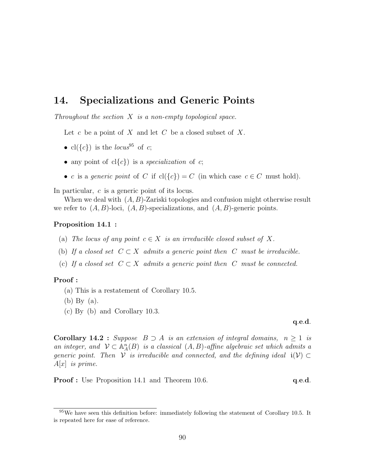# 14. Specializations and Generic Points

Throughout the section  $X$  is a non-empty topological space.

Let c be a point of X and let C be a closed subset of X.

- cl( $\{c\}$ ) is the locus<sup>95</sup> of c;
- any point of  $cl{c}$ ) is a *specialization* of c;
- c is a generic point of C if  $cl({c}) = C$  (in which case  $c \in C$  must hold).

In particular, c is a generic point of its locus.

When we deal with  $(A, B)$ -Zariski topologies and confusion might otherwise result we refer to  $(A, B)$ -loci,  $(A, B)$ -specializations, and  $(A, B)$ -generic points.

#### Proposition 14.1 :

- (a) The locus of any point  $c \in X$  is an irreducible closed subset of X.
- (b) If a closed set  $C \subset X$  admits a generic point then C must be irreducible.
- (c) If a closed set  $C \subset X$  admits a generic point then C must be connected.

#### Proof :

- (a) This is a restatement of Corollary 10.5.
- (b) By (a).
- (c) By (b) and Corollary 10.3.

q.e.d.

**Corollary 14.2** : Suppose  $B \supset A$  is an extension of integral domains,  $n \geq 1$  is an integer, and  $\mathcal{V} \subset \mathbb{A}_{A}^{n}(B)$  is a classical  $(A, B)$ -affine algebraic set which admits a generic point. Then V is irreducible and connected, and the defining ideal  $i(V) \subset$  $A[x]$  is prime.

**Proof :** Use Proposition 14.1 and Theorem 10.6. **q.e.d.** q.e.d.

 $95$ We have seen this definition before: immediately following the statement of Corollary 10.5. It is repeated here for ease of reference.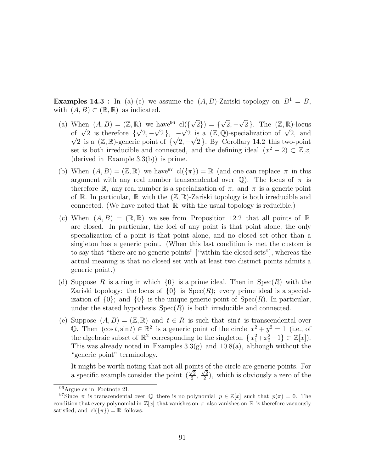**Examples 14.3** : In (a)-(c) we assume the  $(A, B)$ -Zariski topology on  $B^1 = B$ , with  $(A, B) \subset (\mathbb{R}, \mathbb{R})$  as indicated.

- (a) When  $(A, B) = (\mathbb{Z}, \mathbb{R})$  we have <sup>96</sup> cl({ √  $(2)$ ) = { √  $2, -$ √ 2. The  $(\mathbb{Z}, \mathbb{R})$ -locus when  $(A, B) = (\mathbb{Z}, \mathbb{Z})$ <br>of  $\sqrt{2}$  is therefore { √  $2, -$ √  $2$ , – When  $(A, B) = (\mathbb{Z}, \mathbb{K})$  we have  $cl({\sqrt{2}}, 2) = {\sqrt{2}, -\sqrt{2}}$ . The  $(\mathbb{Z}, \mathbb{K})$ -locus<br>of  $\sqrt{2}$  is therefore  ${\sqrt{2}, -\sqrt{2}}$ ,  $-\sqrt{2}$  is a  $(\mathbb{Z}, \mathbb{Q})$ -specialization of  $\sqrt{2}$ , and 2 is a  $(\mathbb{Z}, \mathbb{R})$ -generic point of  $\{\sqrt{2}, -\sqrt{2}\}\$ . By Corollary 14.2 this two-point set is both irreducible and connected, and the defining ideal  $(x^2 - 2) \subset \mathbb{Z}[x]$ (derived in Example 3.3(b)) is prime.
- (b) When  $(A, B) = (\mathbb{Z}, \mathbb{R})$  we have  $\mathbb{Z}^7$  cl $(\{\pi\}) = \mathbb{R}$  (and one can replace  $\pi$  in this argument with any real number transcendental over  $\mathbb{Q}$ . The locus of  $\pi$  is therefore R, any real number is a specialization of  $\pi$ , and  $\pi$  is a generic point of R. In particular, R with the  $(\mathbb{Z}, \mathbb{R})$ -Zariski topology is both irreducible and connected. (We have noted that  $\mathbb R$  with the usual topology is reducible.)
- (c) When  $(A, B) = (\mathbb{R}, \mathbb{R})$  we see from Proposition 12.2 that all points of  $\mathbb{R}$ are closed. In particular, the loci of any point is that point alone, the only specialization of a point is that point alone, and no closed set other than a singleton has a generic point. (When this last condition is met the custom is to say that "there are no generic points" ["within the closed sets"], whereas the actual meaning is that no closed set with at least two distinct points admits a generic point.)
- (d) Suppose R is a ring in which  $\{0\}$  is a prime ideal. Then in Spec $(R)$  with the Zariski topology: the locus of  $\{0\}$  is  $Spec(R)$ ; every prime ideal is a specialization of  $\{0\}$ ; and  $\{0\}$  is the unique generic point of  $Spec(R)$ . In particular, under the stated hypothesis  $Spec(R)$  is both irreducible and connected.
- (e) Suppose  $(A, B) = (\mathbb{Z}, \mathbb{R})$  and  $t \in R$  is such that sin t is transcendental over Q. Then  $(\cos t, \sin t) \in \mathbb{R}^2$  is a generic point of the circle  $x^2 + y^2 = 1$  (i.e., of the algebraic subset of  $\mathbb{R}^2$  corresponding to the singleton  $\{x_1^2 + x_2^2 - 1\} \subset \mathbb{Z}[x]$ . This was already noted in Examples  $3.3(g)$  and  $10.8(a)$ , although without the "generic point" terminology.

It might be worth noting that not all points of the circle are generic points. For a specific example consider the point  $\left(\frac{\sqrt{2}}{2}\right)$  $\frac{\sqrt{2}}{2}, \frac{\sqrt{2}}{2}$  $\frac{\sqrt{2}}{2}$ , which is obviously a zero of the

 $96$ Argue as in Footnote 21.

<sup>&</sup>lt;sup>97</sup>Since  $\pi$  is transcendental over  $\mathbb Q$  there is no polynomial  $p \in \mathbb Z[x]$  such that  $p(\pi) = 0$ . The condition that every polynomial in  $\mathbb{Z}[x]$  that vanishes on  $\pi$  also vanishes on  $\mathbb{R}$  is therefore vacuously satisfied, and  $\text{cl}(\{\pi\}) = \mathbb{R}$  follows.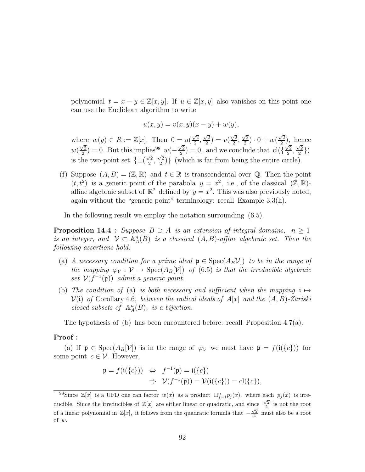polynomial  $t = x - y \in \mathbb{Z}[x, y]$ . If  $u \in \mathbb{Z}[x, y]$  also vanishes on this point one can use the Euclidean algorithm to write

$$
u(x, y) = v(x, y)(x - y) + w(y),
$$

where  $w(y) \in R := \mathbb{Z}[x]$ . Then  $0 = u$  $\sqrt{2}$  $\frac{2}{2}$ ,  $\sqrt{2}$  $\frac{\sqrt{2}}{2}$ ) = v(  $\sqrt{2}$  $\frac{2}{2}$ ,  $\sqrt{2}$  $\frac{2}{2}) \cdot 0 + w($  $\sqrt{2}$  $\frac{\sqrt{2}}{2}$ ), hence  $w($  $\sqrt{2}$  $\frac{\sqrt{2}}{2}$ ) = 0. But this implies<sup>98</sup> w( $-\frac{\sqrt{2}}{2}$ )  $\binom{2}{2}$  = 0, and we conclude that cl({  $\sqrt{2}$  $\frac{2}{2}$ ,  $\frac{1}{\sqrt{2}}$  $\left(\frac{2}{2}\right)$ is the two-point set  $\{\pm ($  $\frac{1}{\sqrt{2}}$  $\frac{\sqrt{2}}{2},$  $\sqrt{2}$  $\binom{2}{2}$  (which is far from being the entire circle).

(f) Suppose  $(A, B) = (\mathbb{Z}, \mathbb{R})$  and  $t \in \mathbb{R}$  is transcendental over  $\mathbb{Q}$ . Then the point  $(t, t^2)$  is a generic point of the parabola  $y = x^2$ , i.e., of the classical  $(\mathbb{Z}, \mathbb{R})$ affine algebraic subset of  $\mathbb{R}^2$  defined by  $y = x^2$ . This was also previously noted, again without the "generic point" terminology: recall Example 3.3(h).

In the following result we employ the notation surrounding (6.5).

**Proposition 14.4** : Suppose  $B \supset A$  is an extension of integral domains,  $n \geq 1$ is an integer, and  $\mathcal{V} \subset \mathbb{A}_{A}^{n}(B)$  is a classical  $(A, B)$ -affine algebraic set. Then the following assertions hold.

- (a) A necessary condition for a prime ideal  $\mathfrak{p} \in \text{Spec}(A_B\mathcal{V})$  to be in the range of the mapping  $\varphi_{\mathcal{V}} : \mathcal{V} \to \text{Spec}(A_B[\mathcal{V}])$  of (6.5) is that the irreducible algebraic set  $V(f^{-1}(\mathfrak{p}))$  admit a generic point.
- (b) The condition of (a) is both necessary and sufficient when the mapping  $\mathfrak{i} \mapsto$  $V(i)$  of Corollary 4.6, between the radical ideals of A[x] and the  $(A, B)$ -Zariski closed subsets of  $\mathbb{A}_{A}^{n}(B)$ , is a bijection.

The hypothesis of (b) has been encountered before: recall Proposition 4.7(a).

## Proof :

(a) If  $\mathfrak{p} \in \text{Spec}(A_B[\mathcal{V}])$  is in the range of  $\varphi_{\mathcal{V}}$  we must have  $\mathfrak{p} = f(\mathfrak{i}(\{c\}))$  for some point  $c \in \mathcal{V}$ . However,

$$
\begin{aligned} \mathfrak{p} &= f(\mathfrak{i}(\{c\})) \quad \Leftrightarrow \quad f^{-1}(\mathfrak{p}) = \mathfrak{i}(\{c\}) \\ &\Rightarrow \quad \mathcal{V}(f^{-1}(\mathfrak{p})) = \mathcal{V}(\mathfrak{i}(\{c\})) = \text{cl}(\{c\}), \end{aligned}
$$

<sup>&</sup>lt;sup>98</sup>Since  $\mathbb{Z}[x]$  is a UFD one can factor  $w(x)$  as a product  $\Pi_{j=1}^n p_j(x)$ , where each  $p_j(x)$  is irreducible. Since the irreducibles of  $\mathbb{Z}[x]$  are either linear or quadratic, and since  $\frac{\sqrt{2}}{2}$  is not the root of a linear polynomial in  $\mathbb{Z}[x]$ , it follows from the quadratic formula that  $-\frac{\sqrt{2}}{2}$  must also be a root of w.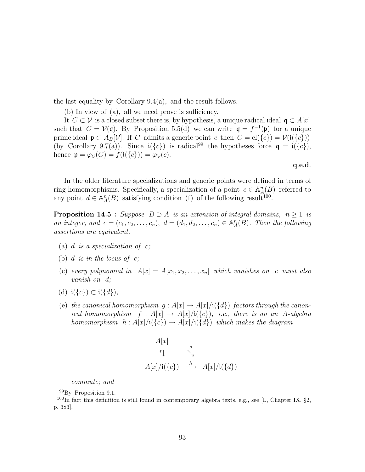the last equality by Corollary 9.4(a), and the result follows.

(b) In view of (a), all we need prove is sufficiency.

It  $C \subset V$  is a closed subset there is, by hypothesis, a unique radical ideal  $\mathfrak{q} \subset A[x]$ such that  $C = V(q)$ . By Proposition 5.5(d) we can write  $q = f^{-1}(p)$  for a unique prime ideal  $\mathfrak{p} \subset A_B[\mathcal{V}]$ . If C admits a generic point c then  $C = \text{cl}(\{c\}) = \mathcal{V}(\mathfrak{i}(\{c\}))$ (by Corollary 9.7(a)). Since  $i({c})$  is radical<sup>99</sup> the hypotheses force  $q = i({c})$ , hence  $\mathfrak{p} = \varphi_{\mathcal{V}}(C) = f(\mathfrak{i}(\{c\})) = \varphi_{\mathcal{V}}(c).$ 

#### q.e.d.

In the older literature specializations and generic points were defined in terms of ring homomorphisms. Specifically, a specialization of a point  $c \in \mathbb{A}_{A}^{n}(B)$  referred to any point  $d \in \mathbb{A}_{A}^{n}(B)$  satisfying condition (f) of the following result<sup>100</sup>.

**Proposition 14.5 :** Suppose  $B \supset A$  is an extension of integral domains,  $n \geq 1$  is an integer, and  $c = (c_1, c_2, \ldots, c_n)$ ,  $d = (d_1, d_2, \ldots, c_n) \in \mathbb{A}_A^n(B)$ . Then the following assertions are equivalent.

- (a)  $d$  is a specialization of  $c$ ;
- (b)  $d$  is in the locus of  $c$ ;
- (c) every polynomial in  $A[x] = A[x_1, x_2, \ldots, x_n]$  which vanishes on c must also vanish on d;
- (d)  $i({c}) \subset i({d})$ ;
- (e) the canonical homomorphism  $g : A[x] \to A[x]/i({d})$  factors through the canonical homomorphism  $f : A[x] \to A[x]/i({c})$ , i.e., there is an an A-algebra homomorphism  $h : A[x]/i({c}) \rightarrow A[x]/i({d})$  which makes the diagram

$$
A[x]
$$
\n
$$
f \downarrow \qquad \searrow
$$
\n
$$
A[x]/i({c}) \qquad \xrightarrow{h} \qquad A[x]/i({d})
$$

commute; and

<sup>99</sup>By Proposition 9.1.

<sup>&</sup>lt;sup>100</sup>In fact this definition is still found in contemporary algebra texts, e.g., see [L, Chapter IX,  $\S$ 2, p. 383].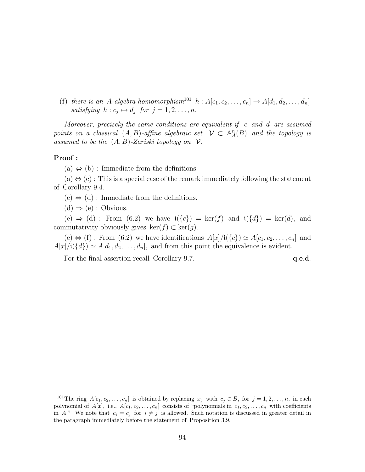(f) there is an A-algebra homomorphism<sup>101</sup>  $h : A[c_1, c_2, \ldots, c_n] \rightarrow A[d_1, d_2, \ldots, d_n]$ satisfying  $h : c_j \mapsto d_j$  for  $j = 1, 2, \ldots, n$ .

Moreover, precisely the same conditions are equivalent if  $c$  and  $d$  are assumed points on a classical  $(A, B)$ -affine algebraic set  $\mathcal{V} \subset \mathbb{A}^n_A(B)$  and the topology is assumed to be the  $(A, B)$ -Zariski topology on  $\mathcal V$ .

## Proof :

 $(a) \Leftrightarrow (b)$ : Immediate from the definitions.

 $(a) \Leftrightarrow (c)$ : This is a special case of the remark immediately following the statement of Corollary 9.4.

 $(c) \Leftrightarrow (d)$ : Immediate from the definitions.

 $(d) \Rightarrow (e) :$  Obvious.

(e)  $\Rightarrow$  (d) : From (6.2) we have  $i({c}) = \text{ker}(f)$  and  $i({d}) = \text{ker}(d)$ , and commutativity obviously gives  $\ker(f) \subset \ker(q)$ .

 $(e) \Leftrightarrow (f)$ : From  $(6.2)$  we have identifications  $A[x]/i({c}) \simeq A[c_1, c_2, \ldots, c_n]$  and  $A[x]/i({d}) \simeq A[d_1, d_2, \ldots, d_n],$  and from this point the equivalence is evident.

For the final assertion recall Corollary 9.7.  $q.e.d.$ 

<sup>&</sup>lt;sup>101</sup>The ring  $A[c_1, c_2, \ldots, c_n]$  is obtained by replacing  $x_j$  with  $c_j \in B$ , for  $j = 1, 2, \ldots, n$ , in each polynomial of  $A[x]$ , i.e.,  $A[c_1, c_2, \ldots, c_n]$  consists of "polynomials in  $c_1, c_2, \ldots, c_n$  with coefficients in A." We note that  $c_i = c_j$  for  $i \neq j$  is allowed. Such notation is discussed in greater detail in the paragraph immediately before the statement of Proposition 3.9.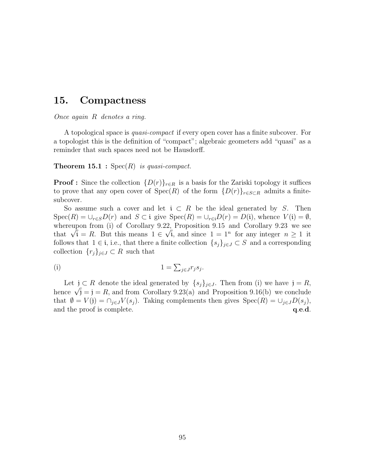# 15. Compactness

Once again R denotes a ring.

A topological space is quasi-compact if every open cover has a finite subcover. For a topologist this is the definition of "compact"; algebraic geometers add "quasi" as a reminder that such spaces need not be Hausdorff.

**Theorem 15.1 :** Spec $(R)$  is quasi-compact.

**Proof :** Since the collection  $\{D(r)\}_{r\in R}$  is a basis for the Zariski topology it suffices to prove that any open cover of  $Spec(R)$  of the form  ${D(r)}_{r\in S\subset R}$  admits a finitesubcover.

So assume such a cover and let  $i \subset R$  be the ideal generated by S. Then  $Spec(R) = \bigcup_{r \in S} D(r)$  and  $S \subset \mathfrak{i}$  give  $Spec(R) = \bigcup_{r \in \mathfrak{i}} D(r) = D(\mathfrak{i})$ , whence  $V(\mathfrak{i}) = \emptyset$ , whereupon from (i) of Corollary 9.22, Proposition 9.15 and Corollary 9.23 we see whereupon from (1) of Corollary 9.22, Proposition 9.15 and Corollary 9.23 we see<br>that  $\sqrt{i} = R$ . But this means  $1 \in \sqrt{i}$ , and since  $1 = 1^n$  for any integer  $n \ge 1$  it follows that  $1 \in i$ , i.e., that there a finite collection  $\{s_j\}_{j\in J} \subset S$  and a corresponding collection  $\{r_j\}_{j\in J}\subset R$  such that

(i) 
$$
1 = \sum_{j \in J} r_j s_j.
$$

Let  $j \subset R$  denote the ideal generated by  $\{s_j\}_{j \in J}$ . Then from (i) we have  $j = R$ , Let  $j \subset R$  denote the ideal generated by  $\{s_j\}_{j \in J}$ . Then from (i) we have  $j = R$ ,<br>hence  $\sqrt{j} = j = R$ , and from Corollary 9.23(a) and Proposition 9.16(b) we conclude that  $\emptyset = V(j) = \bigcap_{j \in J} V(s_j)$ . Taking complements then gives  $Spec(R) = \bigcup_{j \in J} D(s_j)$ , and the proof is complete.  $q.e.d.$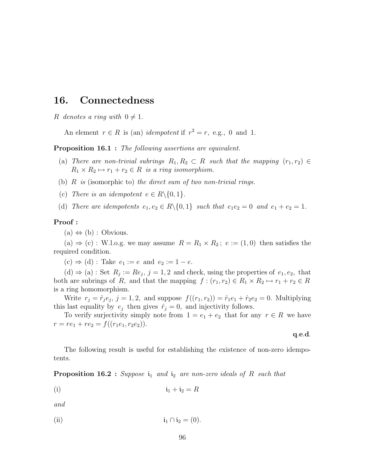# 16. Connectedness

R denotes a ring with  $0 \neq 1$ .

An element  $r \in R$  is (an) *idempotent* if  $r^2 = r$ , e.g., 0 and 1.

**Proposition 16.1** : The following assertions are equivalent.

- (a) There are non-trivial subrings  $R_1, R_2 \subset R$  such that the mapping  $(r_1, r_2) \in$  $R_1 \times R_2 \mapsto r_1 + r_2 \in R$  is a ring isomorphism.
- (b)  $R$  is (isomorphic to) the direct sum of two non-trivial rings.
- (c) There is an idempotent  $e \in R \setminus \{0, 1\}.$

(d) There are idempotents  $e_1, e_2 \in R \setminus \{0, 1\}$  such that  $e_1e_2 = 0$  and  $e_1 + e_2 = 1$ .

#### Proof :

 $(a) \Leftrightarrow (b) :$  Obvious.

(a)  $\Rightarrow$  (c) : W.l.o.g. we may assume  $R = R_1 \times R_2$ ;  $e := (1,0)$  then satisfies the required condition.

 $(c) \Rightarrow (d)$ : Take  $e_1 := e$  and  $e_2 := 1 - e$ .

 $(d) \Rightarrow (a) : Set R_j := Re_j, j = 1, 2$  and check, using the properties of  $e_1, e_2$ , that both are subrings of R, and that the mapping  $f : (r_1, r_2) \in R_1 \times R_2 \mapsto r_1 + r_2 \in R$ is a ring homomorphism.

Write  $r_j = \hat{r}_j e_j$ ,  $j = 1, 2$ , and suppose  $f((r_1, r_2)) = \hat{r}_1 e_1 + \hat{r}_2 e_2 = 0$ . Multiplying this last equality by  $e_j$  then gives  $\hat{r}_j = 0$ , and injectivity follows.

To verify surjectivity simply note from  $1 = e_1 + e_2$  that for any  $r \in R$  we have  $r = re_1 + re_2 = f((r_1e_1, r_2e_2)).$ 

q.e.d.

The following result is useful for establishing the existence of non-zero idempotents.

**Proposition 16.2** : Suppose  $i_1$  and  $i_2$  are non-zero ideals of R such that

(i)  $i_1 + i_2 = R$ 

and

(ii) 
$$
\mathbf{i}_1 \cap \mathbf{i}_2 = (0).
$$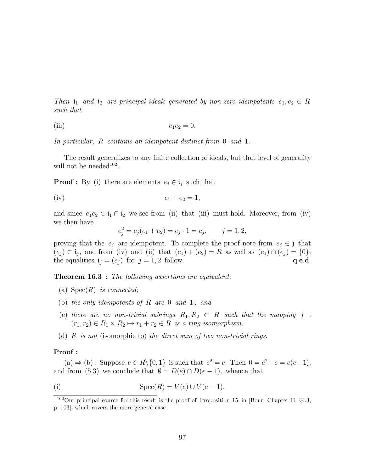Then  $i_1$  and  $i_2$  are principal ideals generated by non-zero idempotents  $e_1, e_2 \in R$ such that

(iii) 
$$
e_1e_2=0.
$$

In particular, R contains an idempotent distinct from 0 and 1.

The result generalizes to any finite collection of ideals, but that level of generality will not be needed<sup>102</sup>.

**Proof**: By (i) there are elements  $e_j \in \mathfrak{i}_j$  such that

$$
(iv) \t\t e_1 + e_2 = 1,
$$

and since  $e_1e_2 \in \mathfrak{i}_1 \cap \mathfrak{i}_2$  we see from (ii) that (iii) must hold. Moreover, from (iv) we then have

$$
e_j^2 = e_j(e_1 + e_2) = e_j \cdot 1 = e_j, \qquad j = 1, 2,
$$

proving that the  $e_j$  are idempotent. To complete the proof note from  $e_j \in \mathfrak{z}$  that  $(e_i) \subset \mathfrak{i}_j$ , and from (iv) and (ii) that  $(e_1) + (e_2) = R$  as well as  $(e_1) \cap (e_j) = \{0\};$ the equalities  $\mathbf{i}_j = (e_j)$  for  $j = 1, 2$  follow. q.e.d.

**Theorem 16.3** : The following assertions are equivalent:

- (a)  $Spec(R)$  is connected;
- (b) the only idempotents of  $R$  are 0 and 1; and
- (c) there are no non-trivial subrings  $R_1, R_2 \subset R$  such that the mapping f :  $(r_1, r_2) \in R_1 \times R_2 \mapsto r_1 + r_2 \in R$  is a ring isomorphism.
- (d)  $R$  is not (isomorphic to) the direct sum of two non-trivial rings.

#### Proof :

(a)  $\Rightarrow$  (b) : Suppose  $e \in R \setminus \{0, 1\}$  is such that  $e^2 = e$ . Then  $0 = e^2 - e = e(e-1)$ , and from (5.3) we conclude that  $\emptyset = D(e) \cap D(e-1)$ , whence that

(i) 
$$
\operatorname{Spec}(R) = V(e) \cup V(e-1).
$$

<sup>102</sup>Our principal source for this result is the proof of Proposition 15 in [Bour, Chapter II, §4.3, p. 103], which covers the more general case.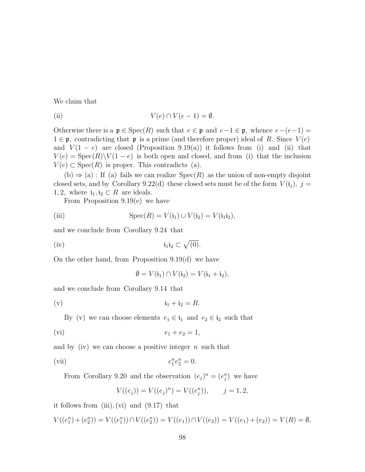We claim that

(ii) 
$$
V(e) \cap V(e-1) = \emptyset.
$$

Otherwise there is a  $\mathfrak{p} \in \text{Spec}(R)$  such that  $e \in \mathfrak{p}$  and  $e-1 \in \mathfrak{p}$ , whence  $e-(e-1)$  $1 \in \mathfrak{p}$ , contradicting that  $\mathfrak{p}$  is a prime (and therefore proper) ideal of R. Since  $V(e)$ and  $V(1-e)$  are closed (Proposition 9.19(a)) it follows from (i) and (ii) that  $V(e) = \text{Spec}(R)\backslash V(1-e)$  is both open and closed, and from (i) that the inclusion  $V(e) \subset \text{Spec}(R)$  is proper. This contradicts (a).

 $(b) \Rightarrow (a)$ : If  $(a)$  fails we can realize  $Spec(R)$  as the union of non-empty disjoint closed sets, and by Corollary 9.22(d) these closed sets must be of the form  $V(i_j)$ ,  $j =$ 1, 2, where  $i_1, i_2 \subset R$  are ideals.

From Proposition 9.19(e) we have

(iii) 
$$
\operatorname{Spec}(R) = V(\mathfrak{i}_1) \cup V(\mathfrak{i}_2) = V(\mathfrak{i}_1 \mathfrak{i}_2),
$$

and we conclude from Corollary 9.24 that

$$
(iv) \t\t\t\t\t i_1 i_2 \subset \sqrt{(0)}.
$$

On the other hand, from Proposition 9.19(d) we have

$$
\emptyset = V(\mathfrak{i}_1) \cap V(\mathfrak{i}_2) = V(\mathfrak{i}_1 + \mathfrak{i}_2),
$$

and we conclude from Corollary 9.14 that

$$
\mathfrak{i}_1 + \mathfrak{i}_2 = R.
$$

By (v) we can choose elements  $e_1 \in \mathfrak{i}_1$  and  $e_2 \in \mathfrak{i}_2$  such that

$$
(vi) \t\t e_1 + e_2 = 1,
$$

and by (iv) we can choose a positive integer  $n$  such that

(vii) 
$$
e_1^n e_2^n = 0.
$$

From Corollary 9.20 and the observation  $(e_j)^n = (e_j^n)$  we have

$$
V((e_j)) = V((e_j)^n) = V((e_j^n)), \qquad j = 1, 2,
$$

it follows from  $(iii)$ ,  $(vi)$  and  $(9.17)$  that

$$
V((e_1^n) + (e_2^n)) = V((e_1^n)) \cap V((e_2^n)) = V((e_1)) \cap V((e_2)) = V((e_1) + (e_2)) = V(R) = \emptyset,
$$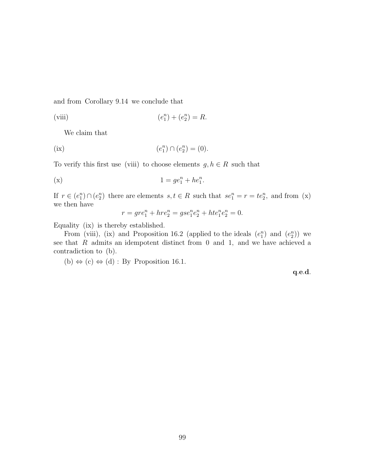and from Corollary 9.14 we conclude that

(viii) 
$$
(e_1^n) + (e_2^n) = R.
$$

We claim that

(ix) 
$$
(e_1^n) \cap (e_2^n) = (0).
$$

To verify this first use (viii) to choose elements  $g, h \in R$  such that

$$
(x) \t 1 = ge_1^n + he_1^n.
$$

If  $r \in (e_1^n) \cap (e_2^n)$  there are elements  $s, t \in R$  such that  $se_1^n = r = te_2^n$ , and from (x) we then have

$$
r = gre_1^n + hre_2^n = gse_1^n e_2^n + hte_1^n e_2^n = 0.
$$

Equality (ix) is thereby established.

From (viii), (ix) and Proposition 16.2 (applied to the ideals  $(e_1^n)$  and  $(e_2^n)$ ) we see that  $R$  admits an idempotent distinct from  $0$  and  $1$ , and we have achieved a contradiction to (b).

(b)  $\Leftrightarrow$  (c)  $\Leftrightarrow$  (d) : By Proposition 16.1.

q.e.d.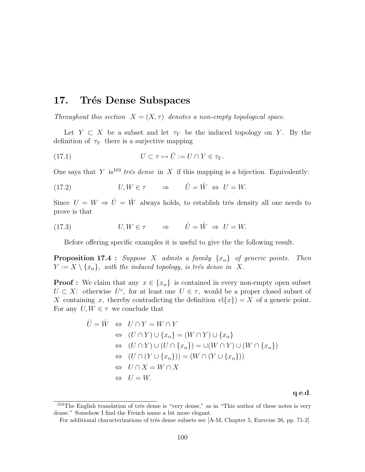# 17. Trés Dense Subspaces

Throughout this section  $X = (X, \tau)$  denotes a non-empty topological space.

Let  $Y \subset X$  be a subset and let  $\tau_Y$  be the induced topology on Y. By the definition of  $\tau_Y$  there is a surjective mapping

(17.1) 
$$
U \subset \tau \mapsto \hat{U} := U \cap Y \in \tau_Y.
$$

One says that Y is<sup>103</sup> trés dense in X if this mapping is a bijection. Equivalently:

(17.2) 
$$
U, W \in \tau \qquad \Rightarrow \qquad \hat{U} = \hat{W} \iff U = W.
$$

Since  $U = W \Rightarrow \hat{U} = \hat{W}$  always holds, to establish trés density all one needs to prove is that

(17.3) 
$$
U, W \in \tau \qquad \Rightarrow \qquad \hat{U} = \hat{W} \Rightarrow U = W.
$$

Before offering specific examples it is useful to give the the following result.

**Proposition 17.4 :** Suppose X admits a family  $\{x_\alpha\}$  of generic points. Then  $Y := X \setminus \{x_{\alpha}\},\$  with the induced topology, is trés dense in X.

**Proof :** We claim that any  $x \in \{x_{\alpha}\}\$ is contained in every non-empty open subset  $U \subset X$ : otherwise  $U^c$ , for at least one  $U \in \tau$ , would be a proper closed subset of X containing x, thereby contradicting the definition  $cl\{x\} = X$  of a generic point. For any  $U, W \in \tau$  we conclude that

$$
\hat{U} = \hat{W} \Leftrightarrow U \cap Y = W \cap Y
$$
  
\n
$$
\Leftrightarrow (U \cap Y) \cup \{x_{\alpha}\} = (W \cap Y) \cup \{x_{\alpha}\}
$$
  
\n
$$
\Leftrightarrow (U \cap Y) \cup (U \cap \{x_{\alpha}\}) = \cup (W \cap Y) \cup (W \cap \{x_{\alpha}\})
$$
  
\n
$$
\Leftrightarrow (U \cap (Y \cup \{x_{\alpha}\})) = (W \cap (Y \cup \{x_{\alpha}\}))
$$
  
\n
$$
\Leftrightarrow U \cap X = W \cap X
$$
  
\n
$$
\Leftrightarrow U = W.
$$

q.e.d.

 $103$ The English translation of trés dense is "very dense," as in "This author of these notes is very dense." Somehow I find the French name a bit more elegant.

For additional characterizations of trés dense subsets see  $[A-M, Chapter 5, Exercise 26, pp. 71-2].$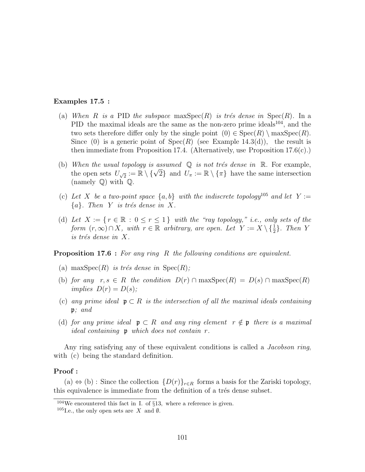## Examples 17.5 :

- (a) When R is a PID the subspace  $\max \operatorname{Spec}(R)$  is trés dense in  $\operatorname{Spec}(R)$ . In a PID the maximal ideals are the same as the non-zero prime ideals<sup>104</sup>, and the two sets therefore differ only by the single point  $(0) \in Spec(R) \setminus maxSpec(R)$ . Since (0) is a generic point of  $Spec(R)$  (see Example 14.3(d)), the result is then immediate from Proposition 17.4. (Alternatively, use Proposition  $17.6(c)$ .)
- (b) When the usual topology is assumed  $\mathbb Q$  is not trés dense in  $\mathbb R$ . For example, When the usual topology is assumed  $\mathbb{Q}$  is not tres dense in  $\mathbb{R}$ . For example,<br>the open sets  $U_{\sqrt{2}} := \mathbb{R} \setminus {\{\sqrt{2}\}}$  and  $U_{\pi} := \mathbb{R} \setminus {\{\pi\}}$  have the same intersection (namely  $\mathbb{Q}$ ) with  $\mathbb{Q}$ .
- (c) Let X be a two-point space  $\{a, b\}$  with the indiscrete topology<sup>105</sup> and let Y :=  ${a}$ . Then Y is trés dense in X.
- (d) Let  $X := \{ r \in \mathbb{R} : 0 \le r \le 1 \}$  with the "ray topology," i.e., only sets of the form  $(r, \infty) \cap X$ , with  $r \in \mathbb{R}$  arbitrary, are open. Let  $Y := X \setminus \{\frac{1}{2}\}$ . Then Y is trés dense in  $X$ .

**Proposition 17.6** : For any ring R the following conditions are equivalent.

- (a) max $Spec(R)$  is trés dense in  $Spec(R)$ ;
- (b) for any  $r, s \in R$  the condition  $D(r) \cap \max \operatorname{Spec}(R) = D(s) \cap \max \operatorname{Spec}(R)$ implies  $D(r) = D(s)$ ;
- (c) any prime ideal  $\mathfrak{p} \subset R$  is the intersection of all the maximal ideals containing  $\mathfrak{p}:$  and
- (d) for any prime ideal  $\mathfrak{p} \subset R$  and any ring element  $r \notin \mathfrak{p}$  there is a maximal ideal containing  $\mathfrak p$  which does not contain  $r$ .

Any ring satisfying any of these equivalent conditions is called a *Jacobson ring*, with (c) being the standard definition.

#### Proof :

(a)  $\Leftrightarrow$  (b) : Since the collection  $\{D(r)\}_{r\in R}$  forms a basis for the Zariski topology, this equivalence is immediate from the definition of a trés dense subset.

 $104$ We encountered this fact in I. of §13, where a reference is given.

<sup>&</sup>lt;sup>105</sup>I.e., the only open sets are X and  $\emptyset$ .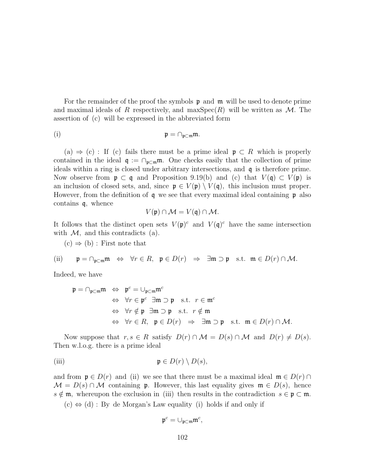For the remainder of the proof the symbols  $\mathfrak p$  and  $\mathfrak m$  will be used to denote prime and maximal ideals of R respectively, and maxSpec(R) will be written as  $\mathcal{M}$ . The assertion of (c) will be expressed in the abbreviated form

$$
\mathfrak{p}=\cap_{\mathfrak{p}\subset\mathfrak{m}}\mathfrak{m}.
$$

(a)  $\Rightarrow$  (c): If (c) fails there must be a prime ideal  $\mathfrak{p} \subset R$  which is properly contained in the ideal  $\mathfrak{q} := \bigcap_{\mathfrak{p} \subset \mathfrak{m}} \mathfrak{m}$ . One checks easily that the collection of prime ideals within a ring is closed under arbitrary intersections, and q is therefore prime. Now observe from  $\mathfrak{p} \subset \mathfrak{q}$  and Proposition 9.19(b) and (c) that  $V(\mathfrak{q}) \subset V(\mathfrak{p})$  is an inclusion of closed sets, and, since  $\mathfrak{p} \in V(\mathfrak{p}) \setminus V(\mathfrak{q})$ , this inclusion must proper. However, from the definition of  $\boldsymbol{q}$  we see that every maximal ideal containing  $\boldsymbol{p}$  also contains q, whence

$$
V(\mathfrak{p}) \cap \mathcal{M} = V(\mathfrak{q}) \cap \mathcal{M}.
$$

It follows that the distinct open sets  $V(\mathfrak{p})^c$  and  $V(\mathfrak{q})^c$  have the same intersection with  $\mathcal{M}$ , and this contradicts (a).

 $(c) \Rightarrow (b)$ : First note that

(ii) 
$$
\mathfrak{p} = \cap_{\mathfrak{p} \subset \mathfrak{m}} \mathfrak{m} \iff \forall r \in R, \mathfrak{p} \in D(r) \Rightarrow \exists \mathfrak{m} \supset \mathfrak{p} \text{ s.t. } \mathfrak{m} \in D(r) \cap M.
$$

Indeed, we have

$$
\mathfrak{p} = \cap_{\mathfrak{p} \subset \mathfrak{m}} \mathfrak{m} \iff \mathfrak{p}^c = \cup_{\mathfrak{p} \subset \mathfrak{m}} \mathfrak{m}^c
$$
  
\n
$$
\Leftrightarrow \forall r \in \mathfrak{p}^c \quad \exists \mathfrak{m} \supset \mathfrak{p} \quad \text{s.t.} \quad r \in \mathfrak{m}^c
$$
  
\n
$$
\Leftrightarrow \forall r \notin \mathfrak{p} \quad \exists \mathfrak{m} \supset \mathfrak{p} \quad \text{s.t.} \quad r \notin \mathfrak{m}
$$
  
\n
$$
\Leftrightarrow \forall r \in R, \quad \mathfrak{p} \in D(r) \Rightarrow \quad \exists \mathfrak{m} \supset \mathfrak{p} \quad \text{s.t.} \quad \mathfrak{m} \in D(r) \cap M.
$$

Now suppose that  $r, s \in R$  satisfy  $D(r) \cap M = D(s) \cap M$  and  $D(r) \neq D(s)$ . Then w.l.o.g. there is a prime ideal

(iii) 
$$
\mathfrak{p} \in D(r) \setminus D(s),
$$

and from  $\mathfrak{p} \in D(r)$  and (ii) we see that there must be a maximal ideal  $\mathfrak{m} \in D(r) \cap$  $\mathcal{M} = D(s) \cap \mathcal{M}$  containing p. However, this last equality gives  $\mathfrak{m} \in D(s)$ , hence  $s \notin \mathfrak{m}$ , whereupon the exclusion in (iii) then results in the contradiction  $s \in \mathfrak{p} \subset \mathfrak{m}$ .

 $(c) \Leftrightarrow (d) : By de Morgan's Law equality (i) holds if and only if$ 

$$
\mathfrak{p}^c = \cup_{\mathfrak{p} \subset \mathfrak{m}} \mathfrak{m}^c,
$$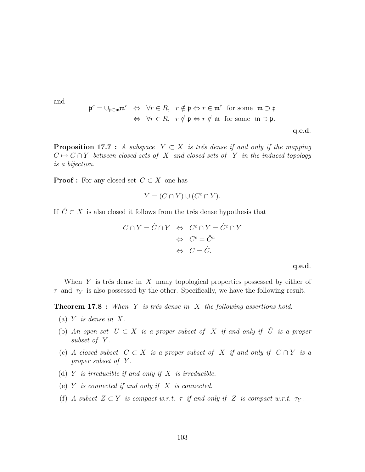and

$$
\mathfrak{p}^c = \bigcup_{\mathfrak{p} \subset \mathfrak{m}} \mathfrak{m}^c \iff \forall r \in R, \ r \notin \mathfrak{p} \Leftrightarrow r \in \mathfrak{m}^c \text{ for some } \mathfrak{m} \supset \mathfrak{p}
$$
  

$$
\Leftrightarrow \forall r \in R, \ r \notin \mathfrak{p} \Leftrightarrow r \notin \mathfrak{m} \text{ for some } \mathfrak{m} \supset \mathfrak{p}.
$$
  

$$
\mathfrak{q}.e.d.
$$

**Proposition 17.7** : A subspace  $Y \subset X$  is trés dense if and only if the mapping  $C \mapsto C \cap Y$  between closed sets of X and closed sets of Y in the induced topology is a bijection.

**Proof :** For any closed set  $C \subset X$  one has

$$
Y = (C \cap Y) \cup (C^c \cap Y).
$$

If  $\hat{C} \subset X$  is also closed it follows from the trés dense hypothesis that

$$
C \cap Y = \hat{C} \cap Y \iff C^c \cap Y = \hat{C}^c \cap Y
$$

$$
\iff C^c = \hat{C}^c
$$

$$
\iff C = \hat{C}.
$$

q.e.d.

When  $Y$  is trés dense in  $X$  many topological properties possessed by either of  $\tau$  and  $\tau_Y$  is also possessed by the other. Specifically, we have the following result.

**Theorem 17.8** : When Y is trés dense in X the following assertions hold.

- (a) Y is dense in X.
- (b) An open set  $U \subset X$  is a proper subset of X if and only if  $\hat{U}$  is a proper subset of Y.
- (c) A closed subset  $C \subset X$  is a proper subset of X if and only if  $C \cap Y$  is a proper subset of Y.
- (d)  $Y$  is irreducible if and only if  $X$  is irreducible.
- (e)  $Y$  is connected if and only if  $X$  is connected.
- (f) A subset  $Z \subset Y$  is compact w.r.t.  $\tau$  if and only if Z is compact w.r.t.  $\tau_Y$ .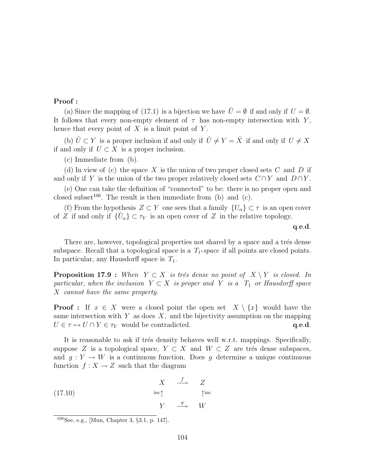## Proof :

(a) Since the mapping of (17.1) is a bijection we have  $\hat{U} = \emptyset$  if and only if  $U = \emptyset$ . It follows that every non-empty element of  $\tau$  has non-empty intersection with Y, hence that every point of  $X$  is a limit point of  $Y$ .

(b)  $\hat{U} \subset Y$  is a proper inclusion if and only if  $\hat{U} \neq Y = \hat{X}$  if and only if  $U \neq X$ if and only if  $U \subset X$  is a proper inclusion.

(c) Immediate from (b).

(d) In view of (c) the space X is the union of two proper closed sets  $C$  and  $D$  if and only if Y is the union of the two proper relatively closed sets  $C \cap Y$  and  $D \cap Y$ .

(e) One can take the definition of "connected" to be: there is no proper open and closed subset<sup>106</sup>. The result is then immediate from (b) and (c).

(f) From the hypothesis  $Z \subset Y$  one sees that a family  $\{U_{\alpha}\}\subset \tau$  is an open cover of Z if and only if  $\{\hat{U}_{\alpha}\}\subset \tau_Y$  is an open cover of Z in the relative topology.

q.e.d.

There are, however, topological properties not shared by a space and a trés dense subspace. Recall that a topological space is a  $T_1$ -space if all points are closed points. In particular, any Hausdorff space is  $T_1$ .

**Proposition 17.9** : When  $Y \subset X$  is trés dense no point of  $X \setminus Y$  is closed. In particular, when the inclusion  $Y \subset X$  is proper and Y is a  $T_1$  or Hausdorff space X cannot have the same property.

**Proof**: If  $x \in X$  were a closed point the open set  $X \setminus \{x\}$  would have the same intersection with Y as does  $X$ , and the bijectivity assumption on the mapping  $U \in \tau \mapsto U \cap Y \in \tau_Y$  would be contradicted.  $q.e.d.$ 

It is reasonable to ask if trés density behaves well w.r.t. mappings. Specifically, suppose Z is a topological space,  $Y \subset X$  and  $W \subset Z$  are trés dense subspaces, and  $q: Y \to W$  is a continuous function. Does q determine a unique continuous function  $f: X \to Z$  such that the diagram

(17.10) 
$$
\begin{array}{ccc}\n & X & \xrightarrow{f} & Z \\
\text{inc}\uparrow & & \uparrow \text{inc} \\
Y & \xrightarrow{g} & W\n\end{array}
$$

<sup>106</sup>See, e.g., [Mun, Chapter 3, §3.1, p. 147].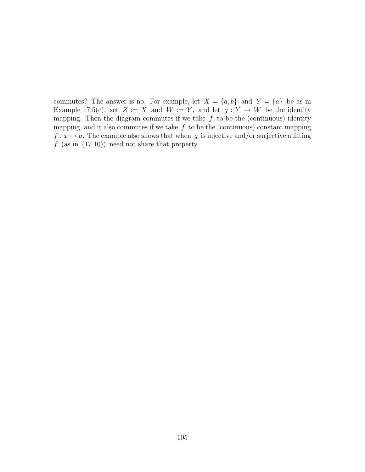commutes? The answer is no. For example, let  $X = \{a, b\}$  and  $Y = \{a\}$  be as in Example 17.5(c), set  $Z := X$  and  $W := Y$ , and let  $g: Y \to W$  be the identity mapping. Then the diagram commutes if we take  $f$  to be the (continuous) identity mapping, and it also commutes if we take  $f$  to be the (continuous) constant mapping  $f: x \mapsto a$ . The example also shows that when g is injective and/or surjective a lifting  $f$  (as in (17.10)) need not share that property.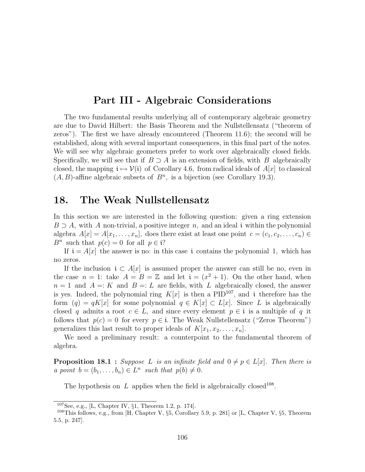# Part III - Algebraic Considerations

The two fundamental results underlying all of contemporary algebraic geometry are due to David Hilbert: the Basis Theorem and the Nullstellensatz ("theorem of zeros"). The first we have already encountered (Theorem 11.6); the second will be established, along with several important consequences, in this final part of the notes. We will see why algebraic geometers prefer to work over algebraically closed fields. Specifically, we will see that if  $B \supset A$  is an extension of fields, with B algebraically closed, the mapping  $i \mapsto V(i)$  of Corollary 4.6, from radical ideals of  $A[x]$  to classical  $(A, B)$ -affine algebraic subsets of  $B<sup>n</sup>$ , is a bijection (see Corollary 19.3).

## 18. The Weak Nullstellensatz

In this section we are interested in the following question: given a ring extension  $B \supset A$ , with A non-trivial, a positive integer n, and an ideal i within the polynomial algebra  $A[x] = A[x_1, \ldots, x_n]$ , does there exist at least one point  $c = (c_1, c_2, \ldots, c_n) \in$  $B^n$  such that  $p(c) = 0$  for all  $p \in \mathfrak{i}$ ?

If  $i = A[x]$  the answer is no: in this case i contains the polynomial 1, which has no zeros.

If the inclusion  $i \text{ }\subset A[x]$  is assumed proper the answer can still be no, even in the case  $n = 1$ : take  $A = B = \mathbb{Z}$  and let  $\mathfrak{i} = (x^2 + 1)$ . On the other hand, when  $n = 1$  and  $A =: K$  and  $B =: L$  are fields, with L algebraically closed, the answer is yes. Indeed, the polynomial ring  $K[x]$  is then a PID<sup>107</sup>, and i therefore has the form  $(q) = qK[x]$  for some polynomial  $q \in K[x] \subset L[x]$ . Since L is algebraically closed q admits a root  $c \in L$ , and since every element  $p \in \mathfrak{i}$  is a multiple of q it follows that  $p(c) = 0$  for every  $p \in \mathfrak{i}$ . The Weak Nullstellensatz ("Zeros Theorem") generalizes this last result to proper ideals of  $K[x_1, x_2, \ldots, x_n]$ .

We need a preliminary result: a counterpoint to the fundamental theorem of algebra.

**Proposition 18.1** : Suppose L is an infinite field and  $0 \neq p \in L[x]$ . Then there is a point  $b = (b_1, \ldots, b_n) \in L^n$  such that  $p(b) \neq 0$ .

The hypothesis on  $L$  applies when the field is algebraically closed<sup>108</sup>.

 $107$ See, e.g., [L, Chapter IV,  $\S1$ , Theorem 1.2, p. 174].

<sup>&</sup>lt;sup>108</sup>This follows, e.g., from [H, Chapter V, §5, Corollary 5.9, p. 281] or [L, Chapter V, §5, Theorem 5.5, p. 247].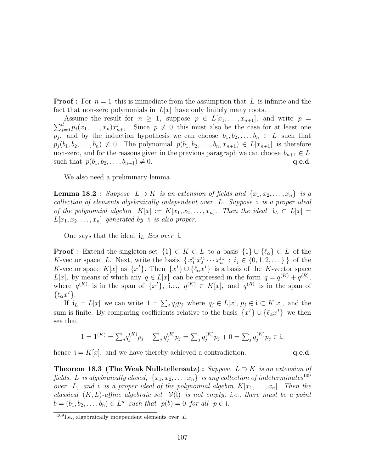**Proof**: For  $n = 1$  this is immediate from the assumption that L is infinite and the fact that non-zero polynomials in  $L[x]$  have only finitely many roots.

Assume the result for  $n \geq 1$ , suppose  $p \in L[x_1, \ldots, x_{n+1}]$ , and write  $p = \sum_{j=0}^d p_j(x_1, \ldots, x_n)x_{n+1}^j$ . Since  $p \neq 0$  this must also be the case for at least one Assume the result for  $n \geq 1$ , suppose  $p \in L[x_1, \ldots, x_{n+1}]$ , and write  $p =$  $p_j$ , and by the induction hypothesis we can choose  $b_1, b_2, \ldots, b_n \in L$  such that  $p_i (b_1, b_2, \ldots, b_n) \neq 0$ . The polynomial  $p(b_1, b_2, \ldots, b_n, x_{n+1}) \in L[x_{n+1}]$  is therefore non-zero, and for the reasons given in the previous paragraph we can choose  $b_{n+1} \in L$ such that  $p(b_1, b_2, \ldots, b_{n+1}) \neq 0$ . q.e.d.

We also need a preliminary lemma.

**Lemma 18.2** : Suppose  $L \supset K$  is an extension of fields and  $\{x_1, x_2, \ldots, x_n\}$  is a collection of elements algebraically independent over L. Suppose i is a proper ideal of the polynomial algebra  $K[x] := K[x_1, x_2, \ldots, x_n]$ . Then the ideal  $i_L \subset L[x] =$  $L[x_1, x_2, \ldots, x_n]$  generated by i is also proper.

One says that the ideal  $i_L$  lies over i.

**Proof :** Extend the singleton set  $\{1\} \subset K \subset L$  to a basis  $\{1\} \cup \{\ell_{\alpha}\} \subset L$  of the K-vector space L. Next, write the basis  $\{x_1^{i_1}x_2^{i_2}\cdots x_n^{i_n} : i_j \in \{0,1,2,\dots\}\}\,$  of the K-vector space  $K[x]$  as  $\{x^{I}\}\$ . Then  $\{x^{I}\}\cup\{\ell_{\alpha}x^{I}\}\$ is a basis of the K-vector space  $L[x]$ , by means of which any  $q \in L[x]$  can be expressed in the form  $q = q^{(K)} + q^{(R)}$ , where  $q^{(K)}$  is in the span of  $\{x^I\}$ , i.e.,  $q^{(K)} \in K[x]$ , and  $q^{(R)}$  is in the span of  $\{\ell_{\alpha}x^{I}\}.$ 

If  $i_L = L[x]$  we can write  $1 = \sum_j q_j p_j$  where  $q_j \in L[x]$ ,  $p_j \in i \subset K[x]$ , and the sum is finite. By comparing coefficients relative to the basis  $\{x^{I}\}\cup\{\ell_{\alpha}x^{I}\}\$ we then see that

$$
1 = 1^{(K)} = \sum_{j} q_j^{(K)} p_j + \sum_{j} q_j^{(R)} p_j = \sum_{j} q_j^{(K)} p_j + 0 = \sum_{j} q_j^{(K)} p_j \in \mathfrak{i},
$$

hence  $\mathbf{i} = K[x]$ , and we have thereby achieved a contradiction.  $\mathbf{q.e.d.}$ 

**Theorem 18.3 (The Weak Nullstellensatz)** : Suppose  $L \supset K$  is an extension of fields, L is algebraically closed,  $\{x_1, x_2, \ldots, x_n\}$  is any collection of indeterminates<sup>109</sup> over L, and i is a proper ideal of the polynomial algebra  $K[x_1, \ldots, x_n]$ . Then the classical  $(K, L)$ -affine algebraic set  $V(i)$  is not empty, i.e., there must be a point  $b = (b_1, b_2, \ldots, b_n) \in L^n$  such that  $p(b) = 0$  for all  $p \in i$ .

<sup>&</sup>lt;sup>109</sup>I.e., algebraically independent elements over  $L$ .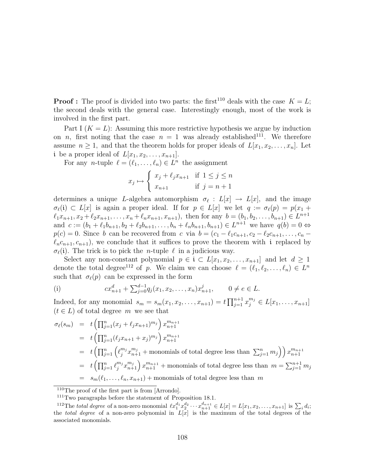**Proof :** The proof is divided into two parts: the first<sup>110</sup> deals with the case  $K = L$ ; the second deals with the general case. Interestingly enough, most of the work is involved in the first part.

Part I  $(K = L)$ : Assuming this more restrictive hypothesis we argue by induction on n, first noting that the case  $n = 1$  was already established<sup>111</sup>. We therefore assume  $n \geq 1$ , and that the theorem holds for proper ideals of  $L[x_1, x_2, \ldots, x_n]$ . Let i be a proper ideal of  $L[x_1, x_2, \ldots, x_{n+1}].$ 

For any *n*-tuple  $\ell = (\ell_1, \ldots, \ell_n) \in L^n$  the assignment

$$
x_j \mapsto \begin{cases} x_j + \ell_j x_{n+1} & \text{if } 1 \le j \le n \\ x_{n+1} & \text{if } j = n+1 \end{cases}
$$

determines a unique L-algebra automorphism  $\sigma_{\ell}: L[x] \to L[x]$ , and the image  $\sigma_{\ell}(i) \subset L[x]$  is again a proper ideal. If for  $p \in L[x]$  we let  $q := \sigma_{\ell}(p) = p(x_1 + p)$  $\ell_1x_{n+1}, x_2 + \ell_2x_{n+1}, \ldots, x_n + \ell_nx_{n+1}, x_{n+1}),$  then for any  $b = (b_1, b_2, \ldots, b_{n+1}) \in L^{n+1}$ and  $c := (b_1 + \ell_1 b_{n+1}, b_2 + \ell_2 b_{n+1}, \dots, b_n + \ell_n b_{n+1}, b_{n+1}) \in L^{n+1}$  we have  $q(b) = 0 \Leftrightarrow$  $p(c) = 0$ . Since b can be recovered from c via  $b = (c_1 - \ell_1 c_{n+1}, c_2 - \ell_2 c_{n+1}, \ldots, c_n - \ell_1 c_n)$  $\ell_n c_{n+1}, c_{n+1}$ , we conclude that it suffices to prove the theorem with i replaced by  $\sigma_{\ell}(i)$ . The trick is to pick the *n*-tuple  $\ell$  in a judicious way.

Select any non-constant polynomial  $p \in \mathfrak{i} \subset L[x_1, x_2, \ldots, x_{n+1}]$  and let  $d \geq 1$ denote the total degree<sup>112</sup> of p. We claim we can choose  $\ell = (\ell_1, \ell_2, \ldots, \ell_n) \in L^n$ such that  $\sigma_{\ell}(p)$  can be expressed in the form

(i) 
$$
cx_{n+1}^d + \sum_{j=0}^{d-1} q_j(x_1, x_2, \dots, x_n) x_{n+1}^j, \qquad 0 \neq e \in L.
$$

Indeed, for any monomial  $s_m = s_m(x_1, x_2, ..., x_{n+1}) = t \prod_{i=1}^{n+1}$  $_{j=1}^{n+1} x_j^{m_j} \in L[x_1, \ldots, x_{n+1}]$  $(t \in L)$  of total degree m we see that

$$
\sigma_{\ell}(s_m) = t \left( \prod_{j=1}^n (x_j + \ell_j x_{n+1})^{m_j} \right) x_{n+1}^{m_{n+1}}
$$
  
\n
$$
= t \left( \prod_{j=1}^n (\ell_j x_{n+1} + x_j)^{m_j} \right) x_{n+1}^{m_{n+1}}
$$
  
\n
$$
= t \left( \prod_{j=1}^n \left( \ell_j^{m_j} x_{n+1}^{m_j} + \text{monomials of total degree less than } \sum_{j=1}^n m_j \right) \right) x_{n+1}^{m_{n+1}}
$$
  
\n
$$
= t \left( \prod_{j=1}^n \ell_j^{m_j} x_{n+1}^{m_j} \right) x_{n+1}^{m_{n+1}} + \text{monomials of total degree less than } m = \sum_{j=1}^{n+1} m_j
$$
  
\n
$$
= s_m(\ell_1, \dots, \ell_n, x_{n+1}) + \text{monomials of total degree less than } m
$$

<sup>110</sup>The proof of the first part is from [Arrondo].

<sup>111</sup>Two paragraphs before the statement of Proposition 18.1.

<sup>&</sup>lt;sup>112</sup>The *total degree* of a non-zero monomial  $\ell x_1^{d_1} x_2^{d_2} \cdots x_{n+1}^{d_{n+1}} \in L[x] = L[x_1, x_2, \ldots, x_{n+1}]$  is  $\sum_i d_i$ ; the *total degree* of a non-zero polynomial in  $L[x]$  is the maximum of the total degrees of the associated monomials.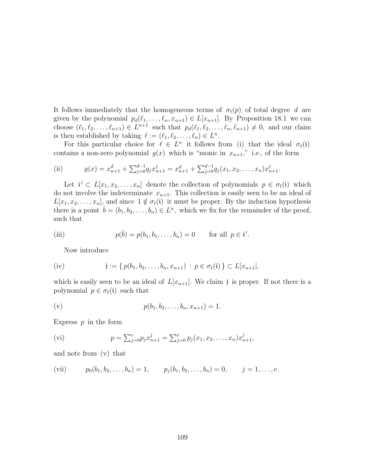It follows immediately that the homogeneous terms of  $\sigma_{\ell}(p)$  of total degree d are given by the polynomial  $p_d(\ell_1, \ldots, \ell_n, x_{n+1}) \in L[x_{n+1}]$ . By Proposition 18.1 we can choose  $(\ell_1, \ell_2, \ldots, \ell_{n+1}) \in L^{n+1}$  such that  $p_d(\ell_1, \ell_2, \ldots, \ell_n, \ell_{n+1}) \neq 0$ , and our claim is then established by taking  $\ell := (\ell_1, \ell_2, \ldots, \ell_n) \in L^n$ .

For this particular choice for  $\ell \in L^n$  it follows from (i) that the ideal  $\sigma_{\ell}(i)$ contains a non-zero polynomial  $g(x)$  which is "monic in  $x_{n+1}$ ," i.e., of the form

(ii) 
$$
g(x) = x_{n+1}^d + \sum_{j=0}^{d-1} q_j x_{n+1}^j = x_{n+1}^d + \sum_{j=0}^{d-1} q_j (x_1, x_2, \dots, x_n) x_{n+1}^j.
$$

Let  $\mathbf{i}' \subset L[x_1, x_2, \ldots, x_n]$  denote the collection of polynomials  $p \in \sigma_\ell(\mathbf{i})$  which do not involve the indeterminate  $x_{n+1}$ . This collection is easily seen to be an ideal of  $L[x_1, x_2, \ldots, x_n]$ , and since  $1 \notin \sigma_\ell(i)$  it must be proper. By the induction hypothesis there is a point  $\hat{b} = (b_1, b_2, \ldots, b_n) \in L^n$ , which we fix for the remainder of the proof, such that

(iii) 
$$
p(\hat{b}) = p(b_1, b_1, ..., b_n) = 0
$$
 for all  $p \in \mathfrak{i}'$ .

Now introduce

$$
(iv) \t j := \{ p(b_1, b_2, \dots, b_n, x_{n+1}) : p \in \sigma_\ell(i) \} \subset L[x_{n+1}],
$$

which is easily seen to be an ideal of  $L[x_{n+1}]$ . We claim j is proper. If not there is a polynomial  $p \in \sigma_{\ell}(\mathfrak{i})$  such that

(v) 
$$
p(b_1, b_2, \ldots, b_n, x_{n+1}) = 1.
$$

Express  $p$  in the form

(vi) 
$$
p = \sum_{j=0}^{e} p_j x_{n+1}^j = \sum_{j=0}^{e} p_j (x_1, x_2, \dots, x_n) x_{n+1}^j,
$$

and note from (v) that

(vii) 
$$
p_0(b_1, b_2,..., b_n) = 1
$$
,  $p_j(b_1, b_2,..., b_n) = 0$ ,  $j = 1,..., e$ .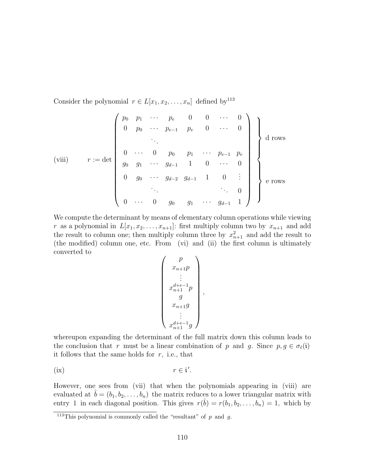Consider the polynomial  $r \in L[x_1, x_2, \ldots, x_n]$  defined by<sup>113</sup>

$$
(viii) \qquad r := det \begin{pmatrix} p_0 & p_1 & \cdots & p_e & 0 & 0 & \cdots & 0 \\ 0 & p_0 & \cdots & p_{e-1} & p_e & 0 & \cdots & 0 \\ & & \ddots & & & & & \\ 0 & \cdots & 0 & p_0 & p_1 & \cdots & p_{e-1} & p_e \\ g_0 & g_1 & \cdots & g_{d-1} & 1 & 0 & \cdots & 0 \\ 0 & g_0 & \cdots & g_{d-2} & g_{d-1} & 1 & 0 & \vdots \\ & & \ddots & & & & \ddots & 0 \\ 0 & \cdots & 0 & g_0 & g_1 & \cdots & g_{d-1} & 1 \end{pmatrix} \begin{pmatrix} 0 & \cdots & 0 & 0 & 0 & 0 & 0 & 0 \\ 0 & \cdots & 0 & 0 & 0 & 0 & 0 & 0 \\ 0 & \cdots & 0 & 0 & 0 & 0 & 0 & 0 \\ 0 & \cdots & 0 & 0 & 0 & 0 & 0 & 0 \\ 0 & \cdots & 0 & 0 & 0 & 0 & 0 & 0 \\ 0 & \cdots & 0 & 0 & 0 & 0 & 0 & 0 \end{pmatrix} \begin{pmatrix} 0 & \cdots & 0 & 0 & 0 & 0 & 0 & 0 \\ 0 & \cdots & 0 & 0 & 0 & 0 & 0 & 0 \\ 0 & 0 & 0 & 0 & 0 & 0 & 0 & 0 \\ 0 & 0 & 0 & 0 & 0 & 0 & 0 & 0 \\ 0 & 0 & 0 & 0 & 0 & 0 & 0 & 0 \\ 0 & 0 & 0 & 0 & 0 & 0 & 0 & 0 \\ 0 & 0 & 0 & 0 & 0 & 0 & 0 & 0 \\ 0 & 0 & 0 & 0 & 0 & 0 & 0 & 0 \\ 0 & 0 & 0 & 0 & 0 & 0 & 0 & 0 \\ 0 & 0 & 0 & 0 & 0 & 0 & 0 & 0 \\ 0 & 0 & 0 & 0 & 0 & 0 & 0 & 0 \\ 0 & 0 & 0 & 0 & 0 & 0 & 0 & 0 \\ 0 & 0 & 0 & 0 & 0 & 0 & 0 & 0 \\ 0 & 0 & 0 & 0 & 0 & 0 & 0 & 0 \\ 0 & 0 & 0 & 0 & 0 & 0
$$

We compute the determinant by means of elementary column operations while viewing r as a polynomial in  $L[x_1, x_2, \ldots, x_{n+1}]$ : first multiply column two by  $x_{n+1}$  and add the result to column one; then multiply column three by  $x_{n+1}^2$  and add the result to (the modified) column one, etc. From (vi) and (ii) the first column is ultimately converted to  $\overline{\phantom{a}}$  $\mathbf{r}$ 

$$
\begin{pmatrix} p \\ x_{n+1}p \\ \vdots \\ x_{n+1}^{d+e-1}p \\ g \\ x_{n+1}g \\ \vdots \\ x_{n+1}^{d+e-1}g \end{pmatrix}
$$

,

whereupon expanding the determinant of the full matrix down this column leads to the conclusion that r must be a linear combination of p and g. Since  $p, g \in \sigma_{\ell}(\mathfrak{i})$ it follows that the same holds for  $r$ , i.e., that

(ix) 
$$
r \in \mathfrak{i}'.
$$

However, one sees from (vii) that when the polynomials appearing in (viii) are evaluated at  $\hat{b} = (b_1, b_2, \ldots, b_n)$  the matrix reduces to a lower triangular matrix with entry 1 in each diagonal position. This gives  $r(\hat{b}) = r(b_1, b_2, \ldots, b_n) = 1$ , which by

<sup>&</sup>lt;sup>113</sup>This polynomial is commonly called the "resultant" of p and q.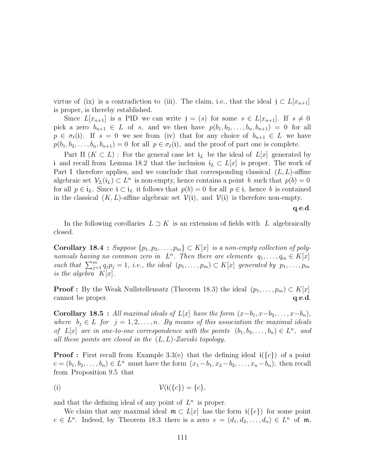virtue of (ix) is a contradiction to (iii). The claim, i.e., that the ideal  $j \text{ }\subset L[x_{n+1}]$ is proper, is thereby established.

Since  $L[x_{n+1}]$  is a PID we can write  $j = (s)$  for some  $s \in L[x_{n+1}]$ . If  $s \neq 0$ pick a zero  $b_{n+1} \in L$  of s, and we then have  $p(b_1, b_2, \ldots, b_n, b_{n+1}) = 0$  for all  $p \in \sigma_{\ell}(\mathfrak{i})$ . If  $s = 0$  we see from (iv) that for any choice of  $b_{n+1} \in L$  we have  $p(b_1, b_2, \ldots, b_n, b_{n+1}) = 0$  for all  $p \in \sigma_\ell(i)$ , and the proof of part one is complete.

Part II  $(K \subset L)$ : For the general case let  $i_L$  be the ideal of  $L[x]$  generated by i and recall from Lemma 18.2 that the inclusion  $i_L \text{ }\subset L[x]$  is proper. The work of Part I therefore applies, and we conclude that corresponding classical  $(L, L)$ -affine algebraic set  $V_L(i_L) \subset L^n$  is non-empty, hence contains a point b such that  $p(b) = 0$ for all  $p \in i_L$ . Since  $i \subset i_L$  it follows that  $p(b) = 0$  for all  $p \in i$ , hence b is contained in the classical  $(K, L)$ -affine algebraic set  $\mathcal{V}(i)$ , and  $\mathcal{V}(i)$  is therefore non-empty.

q.e.d.

In the following corollaries  $L \supset K$  is an extension of fields with L algebraically closed.

Corollary 18.4 : Suppose  $\{p_1, p_2, \ldots, p_m\} \subset K[x]$  is a non-empty collection of polynomials having no common zero in  $L^n$ . Then there are elements  $q_1, \ldots, q_m \in K[x]$ nomials having no common zero in  $L$ . Then there are elements  $q_1, \ldots, q_m \in K[x]$ <br>such that  $\sum_{j=1}^m q_j p_j = 1$ , i.e., the ideal  $(p_1, \ldots, p_m) \subset K[x]$  generated by  $p_1, \ldots, p_m$ is the algebra  $K[x]$ .

**Proof :** By the Weak Nullstellensatz (Theorem 18.3) the ideal  $(p_1, \ldots, p_m) \subset K[x]$ cannot be proper.  $q.e.d.$ 

**Corollary 18.5** : All maximal ideals of L[x] have the form  $(x-b_1, x-b_2, \ldots, x-b_n)$ , where  $b_i \in L$  for  $j = 1, 2, ..., n$ . By means of this association the maximal ideals of  $L[x]$  are in one-to-one correspondence with the points  $(b_1, b_2, \ldots, b_n) \in L^n$ , and all these points are closed in the  $(L, L)$ -Zariski topology.

**Proof :** First recall from Example 3.3(e) that the defining ideal  $i({c})$  of a point  $c = (b_1, b_2, \ldots, b_n) \in L^n$  must have the form  $(x_1 - b_1, x_2 - b_2, \ldots, x_n - b_n)$ ; then recall from Proposition 9.5 that

$$
\mathcal{V}(\mathfrak{i}(\{c\}) = \{c\},\
$$

and that the defining ideal of any point of  $L^n$  is proper.

We claim that any maximal ideal  $\mathfrak{m} \subset L[x]$  has the form  $\mathfrak{i}(\{e\})$  for some point  $e \in L^n$ . Indeed, by Theorem 18.3 there is a zero  $e = (d_1, d_2, \ldots, d_n) \in L^n$  of m,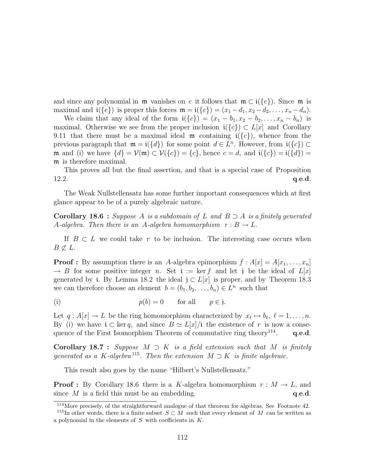and since any polynomial in  $\mathfrak{m}$  vanishes on e it follows that  $\mathfrak{m} \subset i({e})$ . Since  $\mathfrak{m}$  is maximal and  $\mathfrak{i}(\{e\})$  is proper this forces  $\mathfrak{m} = \mathfrak{i}(\{e\}) = (x_1 - d_1, x_2 - d_2, \dots, x_n - d_n).$ 

We claim that any ideal of the form  $\mathbf{i}(\{c\}) = (x_1 - b_1, x_2 - b_2, \ldots, x_n - b_n)$  is maximal. Otherwise we see from the proper inclusion  $\mathfrak{i}(\{c\}) \subset L[x]$  and Corollary 9.11 that there must be a maximal ideal  $\mathfrak{m}$  containing  $\mathfrak{i}(\{c\})$ , whence from the previous paragraph that  $\mathfrak{m} = \mathfrak{i}(\{d\})$  for some point  $d \in L^n$ . However, from  $\mathfrak{i}(\{c\}) \subset$ m and (i) we have  $\{d\} = \mathcal{V}(\mathfrak{m}) \subset \mathcal{V}(\{c\}) = \{c\}$ , hence  $c = d$ , and  $\mathfrak{i}(\{c\}) = \mathfrak{i}(\{d\}) =$ m is therefore maximal.

This proves all but the final assertion, and that is a special case of Proposition  $12.2.$  q.e.d.

The Weak Nullstellensatz has some further important consequences which at first glance appear to be of a purely algebraic nature.

**Corollary 18.6** : Suppose A is a subdomain of L and  $B \supset A$  is a finitely generated A-algebra. Then there is an A-algebra homomorphism  $r : B \to L$ .

If  $B \subset L$  we could take r to be inclusion. The interesting case occurs when  $B \not\subset L$ .

**Proof :** By assumption there is an A-algebra epimorphism  $f : A[x] = A[x_1, \ldots, x_n]$  $\rightarrow B$  for some positive integer n. Set i := ker f and let j be the ideal of  $L[x]$ generated by i. By Lemma 18.2 the ideal  $j \subset L[x]$  is proper, and by Theorem 18.3 we can therefore choose an element  $b = (b_1, b_2, \ldots, b_n) \in L^n$  such that

(i) 
$$
p(b) = 0
$$
 for all  $p \in \mathfrak{j}$ .

Let  $q : A[x] \to L$  be the ring homomorphism characterized by  $x_{\ell} \mapsto b_{\ell}, \ell = 1, \ldots, n$ . By (i) we have  $i \subset \text{ker } q$ , and since  $B \simeq L[x]/i$  the existence of r is now a consequence of the First Isomorphism Theorem of commutative ring theory<sup>114</sup>. q.e.d.

**Corollary 18.7** : Suppose  $M \supset K$  is a field extension such that M is finitely generated as a K-algebra<sup>115</sup>. Then the extension  $M \supset K$  is finite algebraic.

This result also goes by the name "Hilbert's Nullstellensatz."

**Proof :** By Corollary 18.6 there is a K-algebra homomorphism  $r : M \to L$ , and since  $M$  is a field this must be an embedding.  $q.e.d.$ 

<sup>114</sup>More precisely, of the straightforward analogue of that theorem for algebras. See Footnote 42.

<sup>&</sup>lt;sup>115</sup>In other words, there is a finite subset  $S \subset M$  such that every element of M can be written as a polynomial in the elements of  $S$  with coefficients in  $K$ .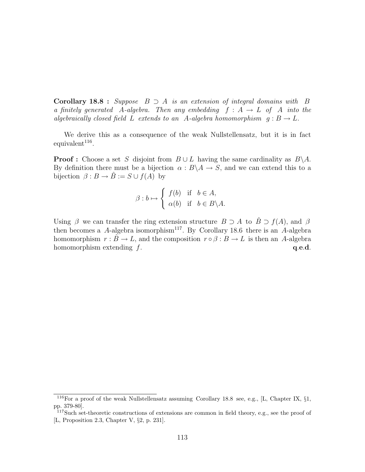**Corollary 18.8** : Suppose  $B \supset A$  is an extension of integral domains with  $B$ a finitely generated A-algebra. Then any embedding  $f : A \rightarrow L$  of A into the algebraically closed field L extends to an A-algebra homomorphism  $g : B \to L$ .

We derive this as a consequence of the weak Nullstellensatz, but it is in fact  $equivalent<sup>116</sup>$ .

**Proof :** Choose a set S disjoint from  $B \cup L$  having the same cardinality as  $B \setminus A$ . By definition there must be a bijection  $\alpha : B \backslash A \rightarrow S$ , and we can extend this to a bijection  $\beta : B \to \hat{B} := S \cup f(A)$  by

$$
\beta : b \mapsto \begin{cases} f(b) & \text{if } b \in A, \\ \alpha(b) & \text{if } b \in B \backslash A. \end{cases}
$$

Using  $\beta$  we can transfer the ring extension structure  $B \supset A$  to  $\hat{B} \supset f(A)$ , and  $\beta$ then becomes a A-algebra isomorphism<sup>117</sup>. By Corollary 18.6 there is an A-algebra homomorphism  $r : \hat{B} \to L$ , and the composition  $r \circ \beta : B \to L$  is then an A-algebra homomorphism extending  $f$ .  $q.e.d.$ 

<sup>&</sup>lt;sup>116</sup>For a proof of the weak Nullstellensatz assuming Corollary 18.8 see, e.g., [L, Chapter IX,  $\S1$ , pp. 379-80].

<sup>&</sup>lt;sup>117</sup>Such set-theoretic constructions of extensions are common in field theory, e.g., see the proof of [L, Proposition 2.3, Chapter V, §2, p. 231].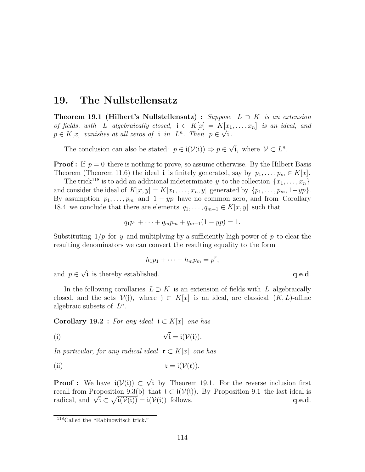### 19. The Nullstellensatz

**Theorem 19.1 (Hilbert's Nullstellensatz) :** Suppose  $L \supset K$  is an extension of fields, with L algebraically closed,  $\mathfrak{i} \subset K[x] = K[x_1, \ldots, x_n]$  is an ideal, and  $p \in K[x]$  vanishes at all zeros of i in  $L^n$ . Then  $p \in \sqrt{\mathfrak{i}}$ .

The conclusion can also be stated:  $p \in i(\mathcal{V}(i)) \Rightarrow p \in$ √  $\overline{\mathfrak{i}}$ , where  $\mathcal{V} \subset L^n$ .

**Proof :** If  $p = 0$  there is nothing to prove, so assume otherwise. By the Hilbert Basis Theorem (Theorem 11.6) the ideal i is finitely generated, say by  $p_1, \ldots, p_m \in K[x]$ .

The trick<sup>118</sup> is to add an additional indeterminate y to the collection  $\{x_1, \ldots, x_n\}$ and consider the ideal of  $K[x, y] = K[x_1, \ldots, x_n, y]$  generated by  $\{p_1, \ldots, p_m, 1 - yp\}$ . By assumption  $p_1, \ldots, p_m$  and  $1 - yp$  have no common zero, and from Corollary 18.4 we conclude that there are elements  $q_1, \ldots, q_{m+1} \in K[x, y]$  such that

$$
q_1p_1 + \cdots + q_mp_m + q_{m+1}(1 - yp) = 1.
$$

Substituting  $1/p$  for y and multiplying by a sufficiently high power of p to clear the resulting denominators we can convert the resulting equality to the form

$$
h_1p_1+\cdots+h_mp_m=p^r,
$$

and  $p \in$ √ i is thereby established.  $q.e.d.$ 

In the following corollaries  $L \supset K$  is an extension of fields with L algebraically closed, and the sets  $V(j)$ , where  $j \subset K[x]$  is an ideal, are classical  $(K, L)$ -affine algebraic subsets of  $L^n$ .

Corollary 19.2 : For any ideal  $i \text{ }\subset K[x]$  one has

(i) 
$$
\sqrt{i} = i(\mathcal{V}(i)).
$$

In particular, for any radical ideal  $\mathfrak{r} \subset K[x]$  one has

(ii) 
$$
\mathfrak{r} = \mathfrak{i}(\mathcal{V}(\mathfrak{r})).
$$

**Proof :** We have  $i(\mathcal{V}(i)) \subset$ √ i by Theorem 19.1. For the reverse inclusion first recall from Proposition 9.3(b) that  $i \subset i(\mathcal{V}(i))$ . By Proposition 9.1 the last ideal is recall from Proposition 9.3(b) that  $i \in i(\mathcal{V}(i))$ . By Proposition 9.1 the last ideal is radical, and  $\sqrt{i} \subset \sqrt{i(\mathcal{V}(i))} = i(\mathcal{V}(i))$  follows. q.e.d.

<sup>118</sup>Called the "Rabinowitsch trick."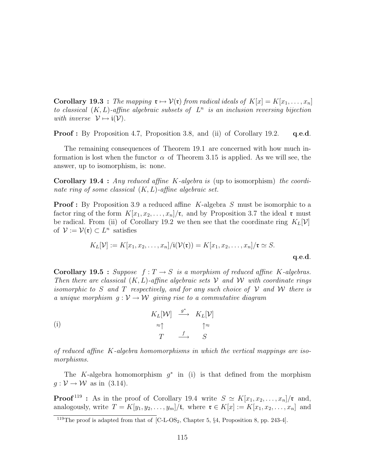**Corollary 19.3** : The mapping  $\mathfrak{r} \mapsto \mathcal{V}(\mathfrak{r})$  from radical ideals of  $K[x] = K[x_1, \ldots, x_n]$ to classical  $(K, L)$ -affine algebraic subsets of  $L^n$  is an inclusion reversing bijection with inverse  $\mathcal{V} \mapsto \mathfrak{i}(\mathcal{V})$ .

**Proof :** By Proposition 4.7, Proposition 3.8, and (ii) of Corollary 19.2. q.e.d.

The remaining consequences of Theorem 19.1 are concerned with how much information is lost when the functor  $\alpha$  of Theorem 3.15 is applied. As we will see, the answer, up to isomorphism, is: none.

Corollary 19.4 : Any reduced affine K-algebra is (up to isomorphism) the coordinate ring of some classical  $(K, L)$ -affine algebraic set.

**Proof**: By Proposition 3.9 a reduced affine K-algebra S must be isomorphic to a factor ring of the form  $K[x_1, x_2, \ldots, x_n]/\mathfrak{r}$ , and by Proposition 3.7 the ideal  $\mathfrak{r}$  must be radical. From (ii) of Corollary 19.2 we then see that the coordinate ring  $K_L[\mathcal{V}]$ of  $\mathcal{V} := \mathcal{V}(\mathfrak{r}) \subset L^n$  satisfies

$$
K_L[\mathcal{V}] := K[x_1, x_2, \dots, x_n]/\mathfrak{i}(\mathcal{V}(\mathfrak{r})) = K[x_1, x_2, \dots, x_n]/\mathfrak{r} \simeq S.
$$
q.e.d.

**Corollary 19.5** : Suppose  $f: T \to S$  is a morphism of reduced affine K-algebras. Then there are classical  $(K, L)$ -affine algebraic sets V and W with coordinate rings isomorphic to S and T respectively, and for any such choice of V and W there is a unique morphism  $g: V \to W$  giving rise to a commutative diagram

(i)  
\n
$$
K_L[\mathcal{W}] \xrightarrow{\sigma^*} K_L[\mathcal{V}]
$$
\n
$$
\approx \uparrow \qquad \qquad \uparrow \approx
$$
\n
$$
T \xrightarrow{f} S
$$

of reduced affine  $K$ -algebra homomorphisms in which the vertical mappings are isomorphisms.

The K-algebra homomorphism  $g^*$  in (i) is that defined from the morphism  $q: \mathcal{V} \to \mathcal{W}$  as in (3.14).

**Proof**<sup>119</sup>: As in the proof of Corollary 19.4 write  $S \simeq K[x_1, x_2, \ldots, x_n]/\mathfrak{r}$  and, analogously, write  $T = K[y_1, y_2, \ldots, y_m]/\mathfrak{t}$ , where  $\mathfrak{r} \in K[x] := K[x_1, x_2, \ldots, x_n]$  and

 $119$ The proof is adapted from that of [C-L-OS<sub>2</sub>, Chapter 5, §4, Proposition 8, pp. 243-4].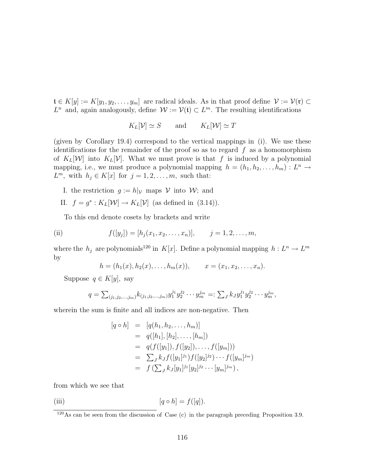$\mathfrak{t} \in K[y] := K[y_1, y_2, \ldots, y_m]$  are radical ideals. As in that proof define  $\mathcal{V} := \mathcal{V}(\mathfrak{r}) \subset$  $L^n$  and, again analogously, define  $\mathcal{W} := \mathcal{V}(\mathfrak{t}) \subset L^m$ . The resulting identifications

$$
K_L[\mathcal{V}] \simeq S \qquad \text{and} \qquad K_L[\mathcal{W}] \simeq T
$$

(given by Corollary 19.4) correspond to the vertical mappings in (i). We use these identifications for the remainder of the proof so as to regard  $f$  as a homomorphism of  $K_L[W]$  into  $K_L[V]$ . What we must prove is that f is induced by a polynomial mapping, i.e., we must produce a polynomial mapping  $h = (h_1, h_2, \ldots, h_m) : L^n \to$  $L^m$ , with  $h_j \in K[x]$  for  $j = 1, 2, \ldots, m$ , such that:

- I. the restriction  $g := h|_{\mathcal{V}}$  maps V into W; and
- II.  $f = g^* : K_L[\mathcal{W}] \to K_L[\mathcal{V}]$  (as defined in (3.14)).

To this end denote cosets by brackets and write

(ii) 
$$
f([y_j]) = [h_j(x_1, x_2, ..., x_n)], \quad j = 1, 2, ..., m,
$$

where the  $h_j$  are polynomials<sup>120</sup> in K[x]. Define a polynomial mapping  $h: L^n \to L^m$ by

$$
h = (h_1(x), h_2(x), \dots, h_m(x)), \qquad x = (x_1, x_2, \dots, x_n).
$$

Suppose  $q \in K[y]$ , say

$$
q = \sum_{(j_1,j_2,\dots,j_m)} k_{(j_1,j_2,\dots,j_m)} y_1^{j_1} y_2^{j_2} \cdots y_m^{j_m} =: \sum_{J} k_J y_1^{j_1} y_2^{j_2} \cdots y_m^{j_m},
$$

wherein the sum is finite and all indices are non-negative. Then

$$
[q \circ h] = [q(h_1, h_2, \dots, h_m)]
$$
  
=  $q([h_1], [h_2], \dots, [h_m])$   
=  $q(f([y_1]), f([y_2]), \dots, f([y_m]))$   
=  $\sum_J k_J f([y_1]^{j_1}) f([y_2]^{j_2}) \cdots f([y_m]^{j_m})$   
=  $f(\sum_J k_J[y_1]^{j_1}[y_2]^{j_2} \cdots [y_m]^{j_m}),$ 

from which we see that

(iii) 
$$
[q \circ h] = f([q]).
$$

<sup>120</sup>As can be seen from the discussion of Case (c) in the paragraph preceding Proposition 3.9.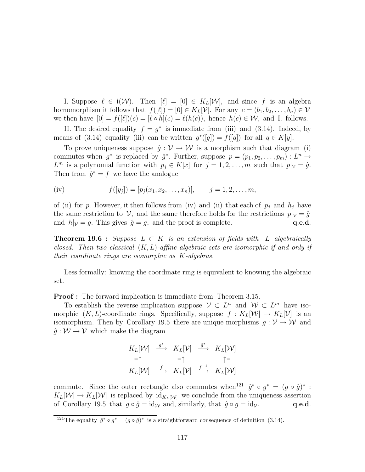I. Suppose  $\ell \in i(W)$ . Then  $[\ell] = [0] \in K_L[W]$ , and since f is an algebra homomorphism it follows that  $f([\ell]) = [0] \in K_L[\mathcal{V}]$ . For any  $c = (b_1, b_2, \ldots, b_n) \in \mathcal{V}$ we then have  $[0] = f([\ell])(c) = [\ell \circ h](c) = \ell(h(c)),$  hence  $h(c) \in \mathcal{W}$ , and I. follows.

II. The desired equality  $f = g^*$  is immediate from (iii) and (3.14). Indeed, by means of (3.14) equality (iii) can be written  $g^*([q]) = f([q])$  for all  $q \in K[y]$ .

To prove uniqueness suppose  $\hat{g}: V \to W$  is a morphism such that diagram (i) commutes when  $g^*$  is replaced by  $\hat{g}^*$ . Further, suppose  $p = (p_1, p_2, \ldots, p_m) : L^n \to$  $L^m$  is a polynomial function with  $p_j \in K[x]$  for  $j = 1, 2, \ldots, m$  such that  $p|_{\mathcal{V}} = \hat{g}$ . Then from  $\hat{g}^* = f$  we have the analogue

(iv) 
$$
f([y_j]) = [p_j(x_1, x_2, ..., x_n)], \quad j = 1, 2, ..., m,
$$

of (ii) for p. However, it then follows from (iv) and (ii) that each of  $p_j$  and  $h_j$  have the same restriction to V, and the same therefore holds for the restrictions  $p|_V = \hat{g}$ and  $h|_V = g$ . This gives  $\hat{g} = g$ , and the proof is complete.  $q.e.d.$ 

**Theorem 19.6 :** Suppose  $L \subset K$  is an extension of fields with L algebraically closed. Then two classical  $(K, L)$ -affine algebraic sets are isomorphic if and only if their coordinate rings are isomorphic as K-algebras.

Less formally: knowing the coordinate ring is equivalent to knowing the algebraic set.

**Proof**: The forward implication is immediate from Theorem 3.15.

To establish the reverse implication suppose  $V \subset L^n$  and  $W \subset L^m$  have isomorphic  $(K, L)$ -coordinate rings. Specifically, suppose  $f: K_L[\mathcal{W}] \to K_L[\mathcal{V}]$  is an isomorphism. Then by Corollary 19.5 there are unique morphisms  $g: V \to W$  and  $\hat{g}: \mathcal{W} \to \mathcal{V}$  which make the diagram

$$
K_L[\mathcal{W}] \xrightarrow{g^*} K_L[\mathcal{V}] \xrightarrow{\hat{g}^*} K_L[\mathcal{W}]
$$
  
= $\uparrow$  = $\uparrow$   $\uparrow$  =  
 $K_L[\mathcal{W}] \xrightarrow{f} K_L[\mathcal{V}] \xrightarrow{f^{-1}} K_L[\mathcal{W}]$ 

commute. Since the outer rectangle also commutes when<sup>121</sup>  $\hat{g}^* \circ g^* = (g \circ \hat{g})^*$ :  $K_L[\mathcal{W}] \to K_L[\mathcal{W}]$  is replaced by  $\mathrm{id}_{K_L[\mathcal{W}]}$  we conclude from the uniqueness assertion of Corollary 19.5 that  $g \circ \hat{g} = id_{\mathcal{W}}$  and, similarly, that  $\hat{g} \circ g = id_{\mathcal{V}}$ . q.e.d.

<sup>&</sup>lt;sup>121</sup>The equality  $\hat{g}^* \circ g^* = (g \circ \hat{g})^*$  is a straightforward consequence of definition (3.14).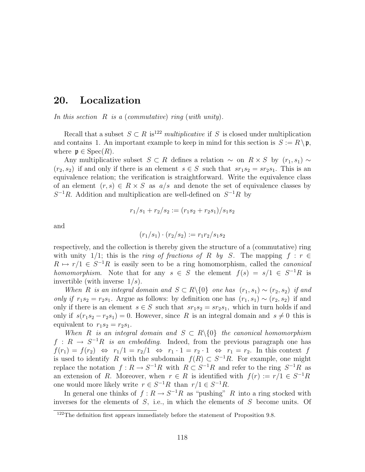# 20. Localization

In this section  $R$  is a (commutative) ring (with unity).

Recall that a subset  $S \subset R$  is<sup>122</sup> multiplicative if S is closed under multiplication and contains 1. An important example to keep in mind for this section is  $S := R \backslash \mathfrak{p}$ , where  $\mathfrak{p} \in \text{Spec}(R)$ .

Any multiplicative subset  $S \subset R$  defines a relation  $\sim$  on  $R \times S$  by  $(r_1, s_1) \sim$  $(r_2, s_2)$  if and only if there is an element  $s \in S$  such that  $sr_1s_2 = sr_2s_1$ . This is an equivalence relation; the verification is straightforward. Write the equivalence class of an element  $(r, s) \in R \times S$  as  $a/s$  and denote the set of equivalence classes by  $S^{-1}R$ . Addition and multiplication are well-defined on  $S^{-1}R$  by

$$
r_1/s_1 + r_2/s_2 := (r_1s_2 + r_2s_1)/s_1s_2
$$

and

$$
(r_1/s_1) \cdot (r_2/s_2) := r_1r_2/s_1s_2
$$

respectively, and the collection is thereby given the structure of a (commutative) ring with unity 1/1; this is the *ring of fractions of R by S*. The mapping  $f : r \in$  $R \mapsto r/1 \in S^{-1}R$  is easily seen to be a ring homomorphism, called the *canonical* homomorphism. Note that for any  $s \in S$  the element  $f(s) = s/1 \in S^{-1}R$  is invertible (with inverse  $1/s$ ).

When R is an integral domain and  $S \subset R \setminus \{0\}$  one has  $(r_1, s_1) \sim (r_2, s_2)$  if and only if  $r_1s_2 = r_2s_1$ . Argue as follows: by definition one has  $(r_1, s_1) \sim (r_2, s_2)$  if and only if there is an element  $s \in S$  such that  $sr_1s_2 = sr_2s_1$ , which in turn holds if and only if  $s(r_1s_2 - r_2s_1) = 0$ . However, since R is an integral domain and  $s \neq 0$  this is equivalent to  $r_1s_2 = r_2s_1$ .

When R is an integral domain and  $S \subset R \setminus \{0\}$  the canonical homomorphism  $f: R \to S^{-1}R$  is an embedding. Indeed, from the previous paragraph one has  $f(r_1) = f(r_2) \Leftrightarrow r_1/1 = r_2/1 \Leftrightarrow r_1 \cdot 1 = r_2 \cdot 1 \Leftrightarrow r_1 = r_2$ . In this context f is used to identify R with the subdomain  $f(R) \subset S^{-1}R$ . For example, one might replace the notation  $f: R \to S^{-1}R$  with  $R \subset S^{-1}R$  and refer to the ring  $S^{-1}R$  as an extension of R. Moreover, when  $r \in R$  is identified with  $f(r) := r/1 \in S^{-1}R$ one would more likely write  $r \in S^{-1}R$  than  $r/1 \in S^{-1}R$ .

In general one thinks of  $f: R \to S^{-1}R$  as "pushing" R into a ring stocked with inverses for the elements of S, i.e., in which the elements of S become units. Of

<sup>&</sup>lt;sup>122</sup>The definition first appears immediately before the statement of Proposition 9.8.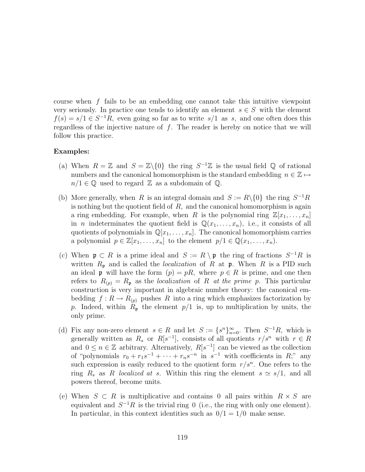course when  $f$  fails to be an embedding one cannot take this intuitive viewpoint very seriously. In practice one tends to identify an element  $s \in S$  with the element  $f(s) = s/1 \in S^{-1}R$ , even going so far as to write  $s/1$  as s, and one often does this regardless of the injective nature of  $f$ . The reader is hereby on notice that we will follow this practice.

### Examples:

- (a) When  $R = \mathbb{Z}$  and  $S = \mathbb{Z}\backslash\{0\}$  the ring  $S^{-1}\mathbb{Z}$  is the usual field  $\mathbb{Q}$  of rational numbers and the canonical homomorphism is the standard embedding  $\,n\in\mathbb{Z} \mapsto$  $n/1 \in \mathbb{Q}$  used to regard Z as a subdomain of Q.
- (b) More generally, when R is an integral domain and  $S := R \setminus \{0\}$  the ring  $S^{-1}R$ is nothing but the quotient field of  $R$ , and the canonical homomorphism is again a ring embedding. For example, when R is the polynomial ring  $\mathbb{Z}[x_1, \ldots, x_n]$ in *n* indeterminates the quotient field is  $\mathbb{Q}(x_1, \ldots, x_n)$ , i.e., it consists of all quotients of polynomials in  $\mathbb{Q}[x_1,\ldots,x_n]$ . The canonical homomorphism carries a polynomial  $p \in \mathbb{Z}[x_1,\ldots,x_n]$  to the element  $p/1 \in \mathbb{Q}(x_1,\ldots,x_n)$ .
- (c) When  $\mathfrak{p} \subset R$  is a prime ideal and  $S := R \setminus \mathfrak{p}$  the ring of fractions  $S^{-1}R$  is written  $R_{\mathfrak{p}}$  and is called the *localization* of R at  $\mathfrak{p}$ . When R is a PID such an ideal **p** will have the form  $(p) = pR$ , where  $p \in R$  is prime, and one then refers to  $R_{(p)} = R_p$  as the *localization* of R at the prime p. This particular construction is very important in algebraic number theory: the canonical embedding  $f: R \to R_{(p)}$  pushes R into a ring which emphasizes factorization by p. Indeed, within  $R_{\mathfrak{p}}$  the element  $p/1$  is, up to multiplication by units, the only prime.
- (d) Fix any non-zero element  $s \in R$  and let  $S := \{s^n\}_{n=0}^{\infty}$ . Then  $S^{-1}R$ , which is generally written as  $R_s$  or  $R[s^{-1}]$ , consists of all quotients  $r/s^n$  with  $r \in R$ and  $0 \leq n \in \mathbb{Z}$  arbitrary. Alternatively,  $R[s^{-1}]$  can be viewed as the collection of "polynomials  $r_0 + r_1 s^{-1} + \cdots + r_n s^{-n}$  in  $s^{-1}$  with coefficients in R;" any such expression is easily reduced to the quotient form  $r/s^n$ . One refers to the ring  $R_s$  as R localized at s. Within this ring the element  $s \simeq s/1$ , and all powers thereof, become units.
- (e) When  $S \subset R$  is multiplicative and contains 0 all pairs within  $R \times S$  are equivalent and  $S^{-1}R$  is the trivial ring 0 (i.e., the ring with only one element). In particular, in this context identities such as  $0/1 = 1/0$  make sense.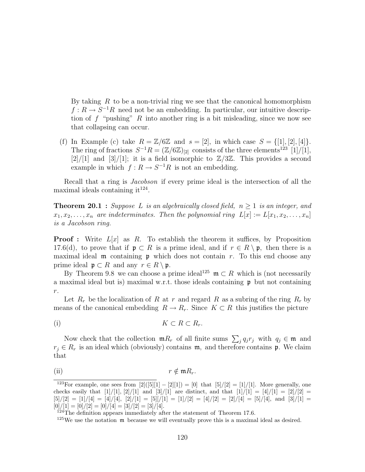By taking  $R$  to be a non-trivial ring we see that the canonical homomorphism  $f: R \to S^{-1}R$  need not be an embedding. In particular, our intuitive description of f "pushing" R into another ring is a bit misleading, since we now see that collapsing can occur.

(f) In Example (c) take  $R = \mathbb{Z}/6\mathbb{Z}$  and  $s = [2]$ , in which case  $S = \{[1], [2], [4]\}.$ The ring of fractions  $S^{-1}R = (\mathbb{Z}/6\mathbb{Z})_{[2]}$  consists of the three elements<sup>123</sup> [1]/[1],  $[2]/[1]$  and  $[3]/[1]$ ; it is a field isomorphic to  $\mathbb{Z}/3\mathbb{Z}$ . This provides a second example in which  $f: R \to S^{-1}R$  is not an embedding.

Recall that a ring is Jacobson if every prime ideal is the intersection of all the maximal ideals containing it<sup>124</sup>.

**Theorem 20.1** : Suppose L is an algebraically closed field,  $n \geq 1$  is an integer, and  $x_1, x_2, \ldots, x_n$  are indeterminates. Then the polynomial ring  $L[x] := L[x_1, x_2, \ldots, x_n]$ is a Jacobson ring.

**Proof**: Write  $L[x]$  as R. To establish the theorem it suffices, by Proposition 17.6(d), to prove that if  $\mathfrak{p} \subset R$  is a prime ideal, and if  $r \in R \setminus \mathfrak{p}$ , then there is a maximal ideal  $\mathfrak m$  containing  $\mathfrak p$  which does not contain r. To this end choose any prime ideal  $\mathfrak{p} \subset R$  and any  $r \in R \setminus \mathfrak{p}$ .

By Theorem 9.8 we can choose a prime ideal<sup>125</sup>  $\mathfrak{m} \subset R$  which is (not necessarily a maximal ideal but is) maximal w.r.t. those ideals containing  $\mathfrak p$  but not containing  $r. \,$ 

Let  $R_r$  be the localization of R at r and regard R as a subring of the ring  $R_r$  by means of the canonical embedding  $R \to R_r$ . Since  $K \subset R$  this justifies the picture

$$
(i) \t K \subset R \subset R_r.
$$

Now check that the collection  $mR_r$  of all finite sums  $\sum_j q_j r_j$  with  $q_j \in \mathfrak{m}$  and  $r_i \in R_r$  is an ideal which (obviously) contains m, and therefore contains p. We claim that

(ii) 
$$
r \notin \mathfrak{m}R_r.
$$

<sup>&</sup>lt;sup>123</sup>For example, one sees from  $[2]([5][1] - [2][1]) = [0]$  that  $[5]/[2] = [1]/[1]$ . More generally, one checks easily that  $[1]/[1]$ ,  $[2]/[1]$  and  $[3]/[1]$  are distinct, and that  $[1]/[1] = [4]/[1] = [2]/[2] =$  $[5]/[2] = [1]/[4] = [4]/[4], [2]/[1] = [5][/[1] = [1]/[2] = [4]/[2] = [2]/[4] = [5]/[4],$  and  $[3]/[1] = [3]/[4] = [4]/[4] = [4]/[4] = [4]/[4] = [4]/[4] = [4]/[4] = [4]/[4] = [4]/[4] = [4]/[4] = [4]/[4] = [4]/[4] = [4]/[4] = [4]/[4] = [4]/[4] = [4]/[4] = [4]/[4] = [4]/[4] = [4]/[4] = [4]/[4] = [4]/[4] = [4]/[$  $[0]/[1] = [0]/[2] = [0]/[4] = [3]/[2] = [3]/[4].$ 

 $124$ The definition appears immediately after the statement of Theorem 17.6.

 $125$  We use the notation  $\mathfrak m$  because we will eventually prove this is a maximal ideal as desired.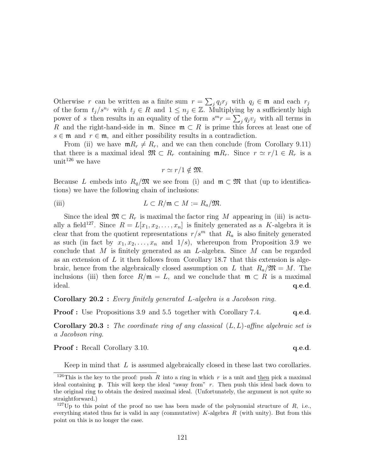Otherwise r can be written as a finite sum  $r =$  $\overline{ }$  $_j q_j r_j$  with  $q_j \in \mathfrak{m}$  and each  $r_j$ of the form  $t_j/s^{n_j}$  with  $t_j \in R$  and  $1 \leq n_j \in \mathbb{Z}$ . Multiplying by a sufficiently high power of s then results in an equality of the form  $s^{m}r = \sum_{j} q_{j}v_{j}$  with all terms in R and the right-hand-side in  $\mathfrak{m}$ . Since  $\mathfrak{m} \subset R$  is prime this forces at least one of  $s \in \mathfrak{m}$  and  $r \in \mathfrak{m}$ , and either possibility results in a contradiction.

From (ii) we have  $mR_r \neq R_r$ , and we can then conclude (from Corollary 9.11) that there is a maximal ideal  $\mathfrak{M} \subset R_r$  containing  $\mathfrak{m} R_r$ . Since  $r \simeq r/1 \in R_r$  is a unit<sup>126</sup> we have

$$
r \simeq r/1 \notin \mathfrak{M}.
$$

Because L embeds into  $R_q/\mathfrak{M}$  we see from (i) and  $\mathfrak{m} \subset \mathfrak{M}$  that (up to identifications) we have the following chain of inclusions:

(iii) 
$$
L \subset R/\mathfrak{m} \subset M := R_a/\mathfrak{M}.
$$

Since the ideal  $\mathfrak{M} \subset R_r$  is maximal the factor ring M appearing in (iii) is actually a field<sup>127</sup>. Since  $R = L[x_1, x_2, \ldots, x_n]$  is finitely generated as a K-algebra it is clear that from the quotient representations  $r/s^m$  that  $R_a$  is also finitely generated as such (in fact by  $x_1, x_2, \ldots, x_n$  and  $1/s$ ), whereupon from Proposition 3.9 we conclude that M is finitely generated as an L-algebra. Since M can be regarded as an extension of  $L$  it then follows from Corollary 18.7 that this extension is algebraic, hence from the algebraically closed assumption on L that  $R_a/\mathfrak{M} = M$ . The inclusions (iii) then force  $R/\mathfrak{m} = L$ , and we conclude that  $\mathfrak{m} \subset R$  is a maximal  $ideal.$   $q.e.d.$ 

Corollary 20.2 : Every finitely generated L-algebra is a Jacobson ring.

**Proof :** Use Propositions 3.9 and 5.5 together with Corollary 7.4. **q.e.d.** 

**Corollary 20.3** : The coordinate ring of any classical  $(L, L)$ -affine algebraic set is a Jacobson ring.

**Proof :** Recall Corollary 3.10. **q.e.d. q.e.d.** 

Keep in mind that  $L$  is assumed algebraically closed in these last two corollaries.

<sup>&</sup>lt;sup>126</sup>This is the key to the proof: push R into a ring in which r is a unit and then pick a maximal ideal containing p. This will keep the ideal "away from" r. Then push this ideal back down to the original ring to obtain the desired maximal ideal. (Unfortunately, the argument is not quite so straightforward.)

<sup>&</sup>lt;sup>127</sup>Up to this point of the proof no use has been made of the polynomial structure of R, i.e., everything stated thus far is valid in any (commutative)  $K$ -algebra  $R$  (with unity). But from this point on this is no longer the case.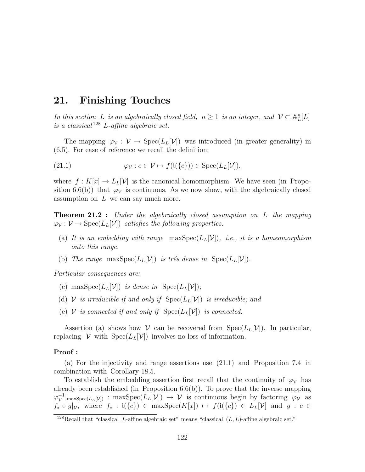## 21. Finishing Touches

In this section L is an algebraically closed field,  $n \geq 1$  is an integer, and  $\mathcal{V} \subset \mathbb{A}^n_L[L]$ is a classical<sup>128</sup> L-affine algebraic set.

The mapping  $\varphi_{\mathcal{V}}: \mathcal{V} \to \text{Spec}(L_L[\mathcal{V}])$  was introduced (in greater generality) in (6.5). For ease of reference we recall the definition:

(21.1) 
$$
\varphi_{\mathcal{V}} : c \in \mathcal{V} \mapsto f(\mathfrak{i}(\{c\})) \in \text{Spec}(L_L[\mathcal{V}]),
$$

where  $f: K[x] \to L_L[\mathcal{V}]$  is the canonical homomorphism. We have seen (in Proposition 6.6(b)) that  $\varphi_{\mathcal{V}}$  is continuous. As we now show, with the algebraically closed assumption on  $L$  we can say much more.

**Theorem 21.2** : Under the algebraically closed assumption on L the mapping  $\varphi_{\mathcal{V}} : \mathcal{V} \to \text{Spec}(L_L[\mathcal{V}])$  satisfies the following properties.

- (a) It is an embedding with range  $\max Spec(L_L[V])$ , i.e., it is a homeomorphism onto this range.
- (b) The range maxSpec( $L_L[V]$ ) is trés dense in Spec( $L_L[V]$ ).

Particular consequences are:

- (c) max $Spec(L_L[\mathcal{V}])$  is dense in  $Spec(L_L[\mathcal{V}])$ ;
- (d) V is irreducible if and only if  $Spec(L_L[V])$  is irreducible; and
- (e)  $V$  is connected if and only if  $Spec(L_L[V])$  is connected.

Assertion (a) shows how V can be recovered from  $Spec(L_L[V])$ . In particular, replacing  $V$  with  $Spec(L_L[V])$  involves no loss of information.

#### Proof :

(a) For the injectivity and range assertions use (21.1) and Proposition 7.4 in combination with Corollary 18.5.

To establish the embedding assertion first recall that the continuity of  $\varphi_{\mathcal{V}}$  has already been established (in Proposition 6.6(b)). To prove that the inverse mapping  $\varphi_{\mathcal{V}}^{-1}$  $|\mathcal{V}|$ <sub>maxSpec</sub>(L<sub>L</sub>[V]) : maxSpec(L<sub>L</sub>[V])  $\rightarrow$  V is continuous begin by factoring  $\varphi$ <sub>V</sub> as  $f_* \circ g|_{\mathcal{V}},$  where  $f_* : \mathfrak{i}(\{c\}) \in \max \operatorname{Spec}(K[x]) \mapsto f(\mathfrak{i}(\{c\}) \in L_L[\mathcal{V}]$  and  $g : c \in$ 

<sup>&</sup>lt;sup>128</sup>Recall that "classical L-affine algebraic set" means "classical  $(L, L)$ -affine algebraic set."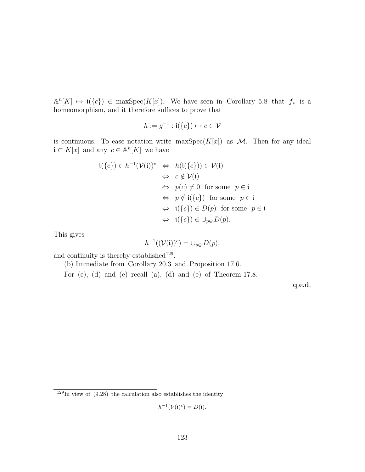$\mathbb{A}^n[K] \mapsto \mathfrak{i}(\{c\}) \in \max \operatorname{Spec}(K[x])$ . We have seen in Corollary 5.8 that  $f_*$  is a homeomorphism, and it therefore suffices to prove that

$$
h := g^{-1} : \mathfrak{i}(\{c\}) \mapsto c \in \mathcal{V}
$$

is continuous. To ease notation write maxSpec $(K[x])$  as M. Then for any ideal  $\mathfrak{i} \subset K[x]$  and any  $c \in \mathbb{A}^n[K]$  we have

$$
\mathfrak{i}(\{c\}) \in h^{-1}(\mathcal{V}(\mathfrak{i}))^c \Leftrightarrow h(\mathfrak{i}(\{c\})) \in \mathcal{V}(\mathfrak{i})
$$
  
\n
$$
\Leftrightarrow c \notin \mathcal{V}(\mathfrak{i})
$$
  
\n
$$
\Leftrightarrow p(c) \neq 0 \text{ for some } p \in \mathfrak{i}
$$
  
\n
$$
\Leftrightarrow p \notin \mathfrak{i}(\{c\}) \text{ for some } p \in \mathfrak{i}
$$
  
\n
$$
\Leftrightarrow \mathfrak{i}(\{c\}) \in D(p) \text{ for some } p \in \mathfrak{i}
$$
  
\n
$$
\Leftrightarrow \mathfrak{i}(\{c\}) \in \cup_{p \in \mathfrak{i}} D(p).
$$

This gives

$$
h^{-1}((\mathcal{V}(\mathfrak{i}))^c) = \cup_{p \in \mathfrak{i}} D(p),
$$

and continuity is thereby established<sup>129</sup>.

(b) Immediate from Corollary 20.3 and Proposition 17.6.

For (c), (d) and (e) recall (a), (d) and (e) of Theorem 17.8.

q.e.d.

$$
h^{-1}(\mathcal{V}(\mathfrak{i})^c) = D(\mathfrak{i}).
$$

 $129$ In view of  $(9.28)$  the calculation also establishes the identity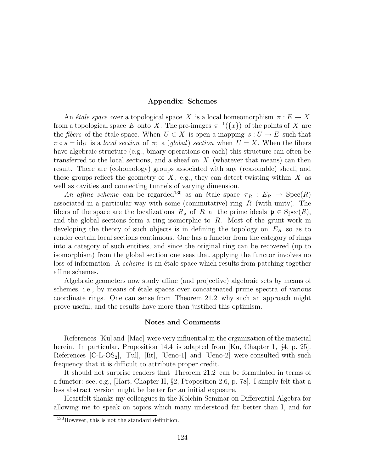#### Appendix: Schemes

An *étale space* over a topological space X is a local homeomorphism  $\pi : E \to X$ from a topological space E onto X. The pre-images  $\pi^{-1}(\lbrace x \rbrace)$  of the points of X are the *fibers* of the étale space. When  $U \subset X$  is open a mapping  $s : U \to E$  such that  $\pi \circ s = id_U$  is a local section of  $\pi$ ; a (global) section when  $U = X$ . When the fibers have algebraic structure (e.g., binary operations on each) this structure can often be transferred to the local sections, and a sheaf on  $X$  (whatever that means) can then result. There are (cohomology) groups associated with any (reasonable) sheaf, and these groups reflect the geometry of  $X$ , e.g., they can detect twisting within X as well as cavities and connecting tunnels of varying dimension.

An affine scheme can be regarded<sup>130</sup> as an étale space  $\pi_R : E_R \to \text{Spec}(R)$ associated in a particular way with some (commutative) ring  $R$  (with unity). The fibers of the space are the localizations  $R_{\mathfrak{p}}$  of R at the prime ideals  $\mathfrak{p} \in \text{Spec}(R)$ , and the global sections form a ring isomorphic to R. Most of the grunt work in developing the theory of such objects is in defining the topology on  $E_R$  so as to render certain local sections continuous. One has a functor from the category of rings into a category of such entities, and since the original ring can be recovered (up to isomorphism) from the global section one sees that applying the functor involves no loss of information. A *scheme* is an *étale space which results from patching together* affine schemes.

Algebraic geometers now study affine (and projective) algebraic sets by means of schemes, i.e., by means of étale spaces over concatenated prime spectra of various coordinate rings. One can sense from Theorem 21.2 why such an approach might prove useful, and the results have more than justified this optimism.

#### Notes and Comments

References [Ku] and [Mac] were very influential in the organization of the material herein. In particular, Proposition 14.4 is adapted from [Ku, Chapter 1, §4, p. 25]. References  $[C-L-OS_2]$ ,  $[Full, [lit], [Ueno-1]$  and  $[Ueno-2]$  were consulted with such frequency that it is difficult to attribute proper credit.

It should not surprise readers that Theorem 21.2 can be formulated in terms of a functor: see, e.g., [Hart, Chapter II, §2, Proposition 2.6, p. 78]. I simply felt that a less abstract version might be better for an initial exposure.

Heartfelt thanks my colleagues in the Kolchin Seminar on Differential Algebra for allowing me to speak on topics which many understood far better than I, and for

<sup>130</sup>However, this is not the standard definition.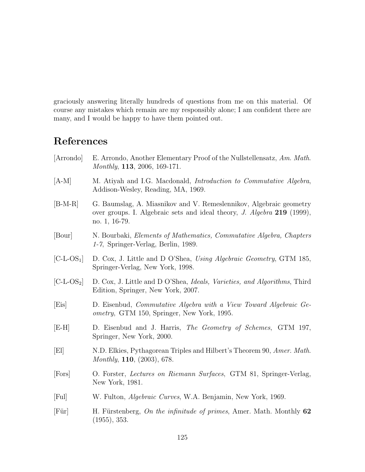graciously answering literally hundreds of questions from me on this material. Of course any mistakes which remain are my responsibly alone; I am confident there are many, and I would be happy to have them pointed out.

# References

- [Arrondo] E. Arrondo, Another Elementary Proof of the Nullstellensatz, Am. Math. Monthly, 113, 2006, 169-171.
- [A-M] M. Atiyah and I.G. Macdonald, Introduction to Commutative Algebra, Addison-Wesley, Reading, MA, 1969.
- [B-M-R] G. Baumslag, A. Miasnikov and V. Remeslennikov, Algebraic geometry over groups. I. Algebraic sets and ideal theory, J. Algebra 219 (1999), no. 1, 16-79.
- [Bour] N. Bourbaki, Elements of Mathematics, Commutative Algebra, Chapters 1-7, Springer-Verlag, Berlin, 1989.
- $\begin{bmatrix} \text{C-L-OS}_1 \\ \text{D} \end{bmatrix}$  D. Cox, J. Little and D O'Shea, Using Algebraic Geometry, GTM 185, Springer-Verlag, New York, 1998.
- [C-L-OS<sub>2</sub>] D. Cox, J. Little and D O'Shea, *Ideals, Varieties, and Algorithms*, Third Edition, Springer, New York, 2007.
- [Eis] D. Eisenbud, Commutative Algebra with a View Toward Algebraic Geometry, GTM 150, Springer, New York, 1995.
- [E-H] D. Eisenbud and J. Harris, The Geometry of Schemes, GTM 197, Springer, New York, 2000.
- [El] N.D. Elkies, Pythagorean Triples and Hilbert's Theorem 90, Amer. Math. Monthly, 110, (2003), 678.
- [Fors] O. Forster, Lectures on Riemann Surfaces, GTM 81, Springer-Verlag, New York, 1981.
- [Ful] W. Fulton, Algebraic Curves, W.A. Benjamin, New York, 1969.
- [Für] H. Fürstenberg, On the infinitude of primes, Amer. Math. Monthly  $62$ (1955), 353.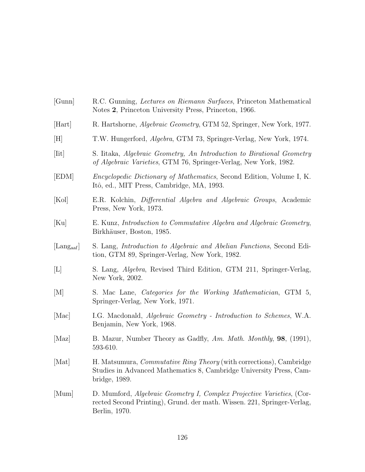| [Gunn]                                 | R.C. Gunning, <i>Lectures on Riemann Surfaces</i> , Princeton Mathematical<br>Notes 2, Princeton University Press, Princeton, 1966.                                |
|----------------------------------------|--------------------------------------------------------------------------------------------------------------------------------------------------------------------|
| [Hart]                                 | R. Hartshorne, <i>Algebraic Geometry</i> , GTM 52, Springer, New York, 1977.                                                                                       |
| [H]                                    | T.W. Hungerford, Algebra, GTM 73, Springer-Verlag, New York, 1974.                                                                                                 |
| $[$ Iit $]$                            | S. Iitaka, Algebraic Geometry, An Introduction to Birational Geometry<br>of Algebraic Varieties, GTM 76, Springer-Verlag, New York, 1982.                          |
| [EDM]                                  | <i>Encyclopedic Dictionary of Mathematics</i> , Second Edition, Volume I, K.<br>Itô, ed., MIT Press, Cambridge, MA, 1993.                                          |
| [Kol]                                  | E.R. Kolchin, Differential Algebra and Algebraic Groups, Academic<br>Press, New York, 1973.                                                                        |
| [Ku]                                   | E. Kunz, Introduction to Commutative Algebra and Algebraic Geometry,<br>Birkhäuser, Boston, 1985.                                                                  |
| $\left[$ Lang <sub>aaf</sub> $\right]$ | S. Lang, Introduction to Algebraic and Abelian Functions, Second Edi-<br>tion, GTM 89, Springer-Verlag, New York, 1982.                                            |
| L                                      | S. Lang, <i>Algebra</i> , Revised Third Edition, GTM 211, Springer-Verlag,<br>New York, 2002.                                                                      |
| $\vert M \vert$                        | S. Mac Lane, <i>Categories for the Working Mathematician</i> , GTM 5,<br>Springer-Verlag, New York, 1971.                                                          |
| [Mac]                                  | I.G. Macdonald, Algebraic Geometry - Introduction to Schemes, W.A.<br>Benjamin, New York, 1968.                                                                    |
| $[{\rm Maz}]$                          | B. Mazur, Number Theory as Gadfly, Am. Math. Monthly, 98, (1991),<br>593-610.                                                                                      |
| [Mat]                                  | H. Matsumura, <i>Commutative Ring Theory</i> (with corrections), Cambridge<br>Studies in Advanced Mathematics 8, Cambridge University Press, Cam-<br>bridge, 1989. |
| [Mum]                                  | D. Mumford, Algebraic Geometry I, Complex Projective Varieties, (Cor-<br>rected Second Printing), Grund. der math. Wissen. 221, Springer-Verlag,<br>Berlin, 1970.  |